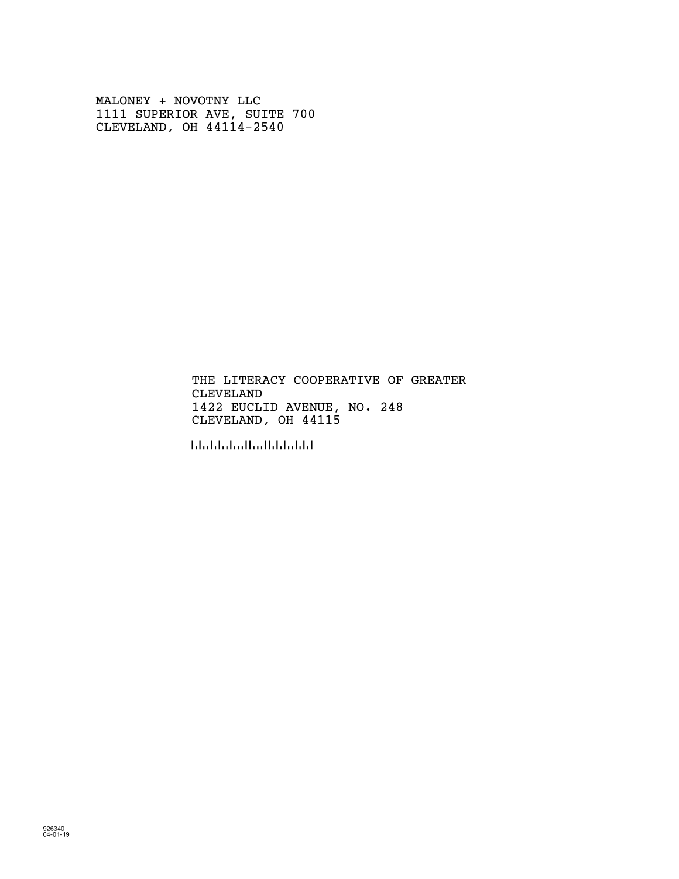MALONEY + NOVOTNY LLC 1111 SUPERIOR AVE, SUITE 700 CLEVELAND, OH 44114-2540

> CLEVELAND 1422 EUCLID AVENUE, NO. 248 THE LITERACY COOPERATIVE OF GREATER CLEVELAND, OH 44115

!441155!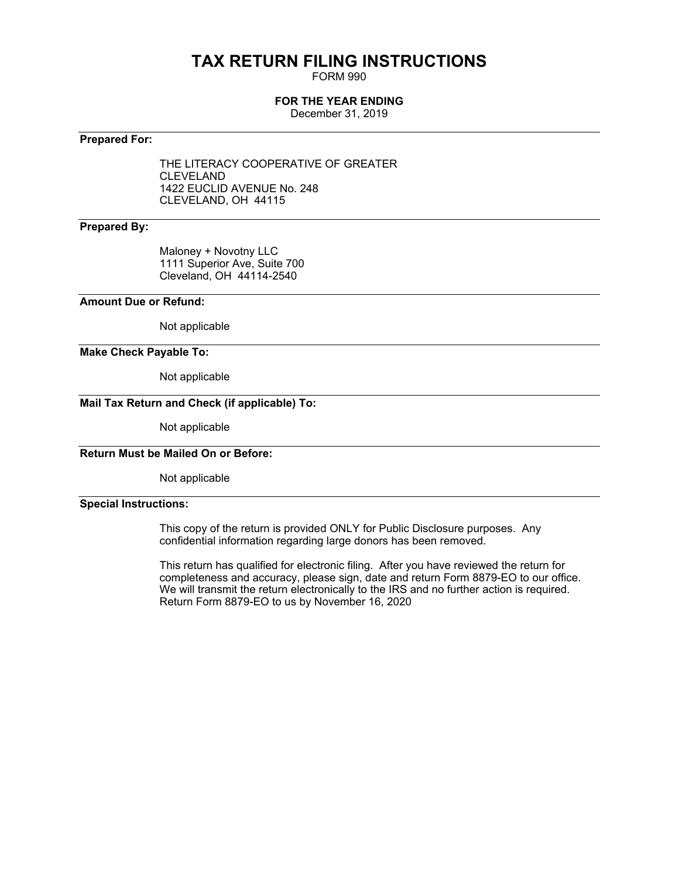# **TAX RETURN FILING INSTRUCTIONS**

FORM 990

## **FOR THE YEAR ENDING**

December 31, 2019

## **Prepared For:**

THE LITERACY COOPERATIVE OF GREATER CLEVELAND 1422 EUCLID AVENUE No. 248 CLEVELAND, OH 44115

## **Prepared By:**

Maloney + Novotny LLC 1111 Superior Ave, Suite 700 Cleveland, OH 44114-2540

## **Amount Due or Refund:**

Not applicable

### **Make Check Payable To:**

Not applicable

## **Mail Tax Return and Check (if applicable) To:**

Not applicable

## **Return Must be Mailed On or Before:**

Not applicable

## **Special Instructions:**

This copy of the return is provided ONLY for Public Disclosure purposes. Any confidential information regarding large donors has been removed.

This return has qualified for electronic filing. After you have reviewed the return for completeness and accuracy, please sign, date and return Form 8879-EO to our office. We will transmit the return electronically to the IRS and no further action is required. Return Form 8879-EO to us by November 16, 2020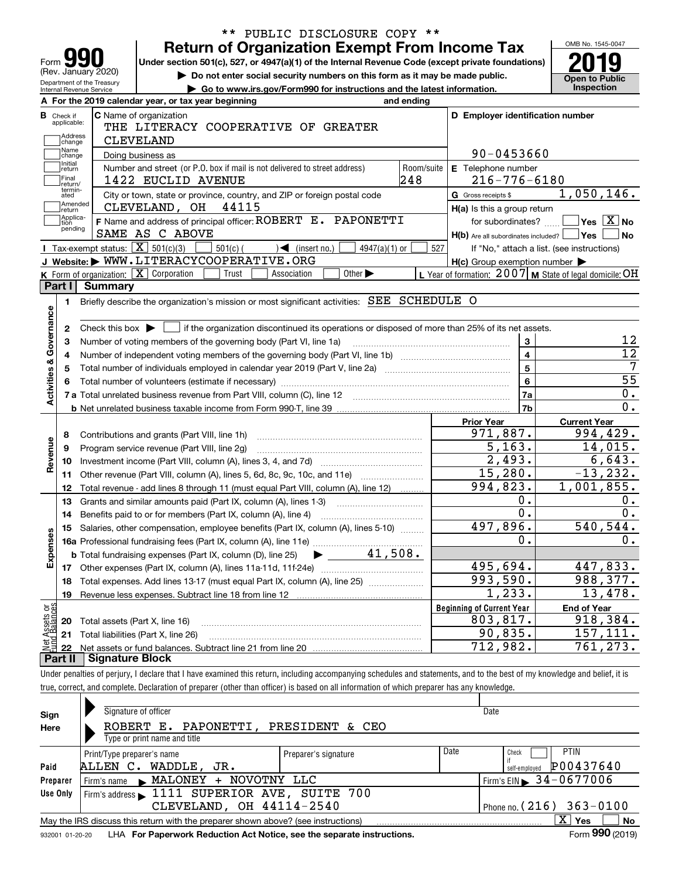| <b>Return of Organization Exempt From Income Tax</b><br>Form JY<br>Under section 501(c), 527, or 4947(a)(1) of the Internal Revenue Code (except private foundations)<br>(Rev. January 2020)<br>Do not enter social security numbers on this form as it may be made public.<br>Department of the Treasury<br>► Go to www.irs.gov/Form990 for instructions and the latest information.<br><b>Internal Revenue Service</b> |                   |                                                                       | OMB No. 1545-0047<br><b>Open to Public</b><br><b>Inspection</b> |
|--------------------------------------------------------------------------------------------------------------------------------------------------------------------------------------------------------------------------------------------------------------------------------------------------------------------------------------------------------------------------------------------------------------------------|-------------------|-----------------------------------------------------------------------|-----------------------------------------------------------------|
| A For the 2019 calendar year, or tax year beginning                                                                                                                                                                                                                                                                                                                                                                      | and ending        |                                                                       |                                                                 |
| <b>C</b> Name of organization<br><b>B</b> Check if<br>applicable:<br>THE LITERACY COOPERATIVE OF GREATER<br>Address<br><b>CLEVELAND</b><br>change                                                                                                                                                                                                                                                                        |                   | D Employer identification number                                      |                                                                 |
| Name<br>Doing business as<br>change                                                                                                                                                                                                                                                                                                                                                                                      |                   | 90-0453660                                                            |                                                                 |
| Initial<br>Number and street (or P.O. box if mail is not delivered to street address)<br>return<br>Final<br>1422 EUCLID AVENUE<br>Ireturn/                                                                                                                                                                                                                                                                               | Room/suite<br>248 | E Telephone number<br>$216 - 776 - 6180$                              |                                                                 |
| termin-<br>City or town, state or province, country, and ZIP or foreign postal code<br>ated                                                                                                                                                                                                                                                                                                                              |                   | G Gross receipts \$                                                   | 1,050,146.                                                      |
| Amended<br>44115<br>CLEVELAND, OH<br>∣return                                                                                                                                                                                                                                                                                                                                                                             |                   | H(a) Is this a group return                                           |                                                                 |
| Applica-<br>F Name and address of principal officer: ROBERT E. PAPONETTI<br>tion<br>pending<br>SAME AS C ABOVE                                                                                                                                                                                                                                                                                                           |                   | for subordinates?<br>$H(b)$ Are all subordinates included? $\Box$ Yes | $\sqrt{}$ Yes $\sqrt{X}$ No<br>l No                             |
| Tax-exempt status: $\boxed{\mathbf{X}}$ 501(c)(3)<br>$501(c)$ (<br>$\sqrt{\phantom{a}}$ (insert no.)<br>$4947(a)(1)$ or                                                                                                                                                                                                                                                                                                  | 527               |                                                                       | If "No," attach a list. (see instructions)                      |
| J Website: WWW.LITERACYCOOPERATIVE.ORG                                                                                                                                                                                                                                                                                                                                                                                   |                   | $H(c)$ Group exemption number $\blacktriangleright$                   |                                                                 |
| K Form of organization: X Corporation<br>Other $\blacktriangleright$<br>Trust<br>Association                                                                                                                                                                                                                                                                                                                             |                   | L Year of formation: $2007$ M State of legal domicile: OH             |                                                                 |
| Part I<br>Summary                                                                                                                                                                                                                                                                                                                                                                                                        |                   |                                                                       |                                                                 |
| Briefly describe the organization's mission or most significant activities: SEE SCHEDULE O<br>1.                                                                                                                                                                                                                                                                                                                         |                   |                                                                       |                                                                 |
|                                                                                                                                                                                                                                                                                                                                                                                                                          |                   |                                                                       |                                                                 |
| Activities & Governance<br>if the organization discontinued its operations or disposed of more than 25% of its net assets.<br>2<br>Check this box $\blacktriangleright$                                                                                                                                                                                                                                                  |                   |                                                                       |                                                                 |
| Number of voting members of the governing body (Part VI, line 1a)<br>3                                                                                                                                                                                                                                                                                                                                                   |                   | 3                                                                     | 12                                                              |
| 4                                                                                                                                                                                                                                                                                                                                                                                                                        |                   | 4                                                                     | $\overline{12}$                                                 |
| 5                                                                                                                                                                                                                                                                                                                                                                                                                        |                   | 5                                                                     |                                                                 |
|                                                                                                                                                                                                                                                                                                                                                                                                                          |                   | 6                                                                     | $\overline{55}$                                                 |
|                                                                                                                                                                                                                                                                                                                                                                                                                          |                   | 7a                                                                    | $0$ .                                                           |
|                                                                                                                                                                                                                                                                                                                                                                                                                          |                   | 7b                                                                    | $0$ .                                                           |
|                                                                                                                                                                                                                                                                                                                                                                                                                          |                   | <b>Prior Year</b>                                                     | <b>Current Year</b>                                             |
| Contributions and grants (Part VIII, line 1h)<br>8                                                                                                                                                                                                                                                                                                                                                                       |                   | 971,887.                                                              | 994,429.                                                        |
| Revenue<br>Program service revenue (Part VIII, line 2g)<br>9                                                                                                                                                                                                                                                                                                                                                             |                   | 5, 163.                                                               | 14,015.                                                         |
| 10                                                                                                                                                                                                                                                                                                                                                                                                                       |                   | 2,493.                                                                | 6,643.                                                          |
| Other revenue (Part VIII, column (A), lines 5, 6d, 8c, 9c, 10c, and 11e)<br>11                                                                                                                                                                                                                                                                                                                                           |                   | 15,280.                                                               | $-13, 232.$                                                     |
| Total revenue - add lines 8 through 11 (must equal Part VIII, column (A), line 12)<br>12                                                                                                                                                                                                                                                                                                                                 |                   | $\overline{994}$ , 823.                                               | 1,001,855.                                                      |
| Grants and similar amounts paid (Part IX, column (A), lines 1-3)<br>13                                                                                                                                                                                                                                                                                                                                                   |                   | Ο.                                                                    | 0.                                                              |
| 14                                                                                                                                                                                                                                                                                                                                                                                                                       |                   | Ο.                                                                    | 0.                                                              |
| 15 Salaries, other compensation, employee benefits (Part IX, column (A), lines 5-10)                                                                                                                                                                                                                                                                                                                                     |                   | 497,896.                                                              | 540, 544.                                                       |
| Expenses                                                                                                                                                                                                                                                                                                                                                                                                                 |                   | 0.                                                                    | $0$ .                                                           |
| <b>b</b> Total fundraising expenses (Part IX, column (D), line 25)                                                                                                                                                                                                                                                                                                                                                       | 41,508.           |                                                                       |                                                                 |
| Other expenses (Part IX, column (A), lines 11a-11d, 11f-24e)<br>17                                                                                                                                                                                                                                                                                                                                                       |                   | 495,694.                                                              | 447,833.                                                        |
| Total expenses. Add lines 13-17 (must equal Part IX, column (A), line 25)<br>18                                                                                                                                                                                                                                                                                                                                          |                   | 993,590.                                                              | 988,377.                                                        |
| Revenue less expenses. Subtract line 18 from line 12<br>19                                                                                                                                                                                                                                                                                                                                                               |                   | $\overline{1}$ , 233.                                                 | 13,478.                                                         |
|                                                                                                                                                                                                                                                                                                                                                                                                                          |                   | <b>Beginning of Current Year</b>                                      | <b>End of Year</b>                                              |
| t Assets or<br>d Balances<br>Total assets (Part X, line 16)<br>20                                                                                                                                                                                                                                                                                                                                                        |                   | 803,817.                                                              | 918,384.                                                        |
| Total liabilities (Part X, line 26)<br>21                                                                                                                                                                                                                                                                                                                                                                                |                   | 90,835.                                                               | 157,111.                                                        |
| Net<br>22                                                                                                                                                                                                                                                                                                                                                                                                                |                   | 712,982.                                                              | 761,273.                                                        |
| Part II<br><b>Signature Block</b>                                                                                                                                                                                                                                                                                                                                                                                        |                   |                                                                       |                                                                 |
| Under penalties of perjury, I declare that I have examined this return, including accompanying schedules and statements, and to the best of my knowledge and belief, it is                                                                                                                                                                                                                                               |                   |                                                                       |                                                                 |
| true, correct, and complete. Declaration of preparer (other than officer) is based on all information of which preparer has any knowledge.                                                                                                                                                                                                                                                                               |                   |                                                                       |                                                                 |
|                                                                                                                                                                                                                                                                                                                                                                                                                          |                   |                                                                       |                                                                 |
| Signature of officer<br>Sian                                                                                                                                                                                                                                                                                                                                                                                             |                   | Date                                                                  |                                                                 |

| Sign                                                                                                 | Signature of officer                                                                                         |  | Date                                         |  |  |  |  |  |  |  |
|------------------------------------------------------------------------------------------------------|--------------------------------------------------------------------------------------------------------------|--|----------------------------------------------|--|--|--|--|--|--|--|
| Here                                                                                                 | ROBERT E. PAPONETTI, PRESIDENT & CEO                                                                         |  |                                              |  |  |  |  |  |  |  |
| Type or print name and title                                                                         |                                                                                                              |  |                                              |  |  |  |  |  |  |  |
| Date<br><b>PTIN</b><br>Check<br>Print/Type preparer's name<br>Preparer's signature                   |                                                                                                              |  |                                              |  |  |  |  |  |  |  |
| P00437640<br>WADDLE, JR.<br>ALLEN C.<br>Paid<br>self-employed                                        |                                                                                                              |  |                                              |  |  |  |  |  |  |  |
| Preparer                                                                                             | Firm's name MALONEY + NOVOTNY LLC                                                                            |  | $1$ Firm's EIN $\triangleright$ 34 - 0677006 |  |  |  |  |  |  |  |
| Firm's address 1111 SUPERIOR AVE, SUITE 700<br>Use Only                                              |                                                                                                              |  |                                              |  |  |  |  |  |  |  |
|                                                                                                      | CLEVELAND, OH 44114-2540<br>Phone no. $(216)$ 363-0100                                                       |  |                                              |  |  |  |  |  |  |  |
| X.<br>No<br>Yes<br>May the IRS discuss this return with the preparer shown above? (see instructions) |                                                                                                              |  |                                              |  |  |  |  |  |  |  |
|                                                                                                      | Form 990 (2019)<br>LHA For Paperwork Reduction Act Notice, see the separate instructions.<br>932001 01-20-20 |  |                                              |  |  |  |  |  |  |  |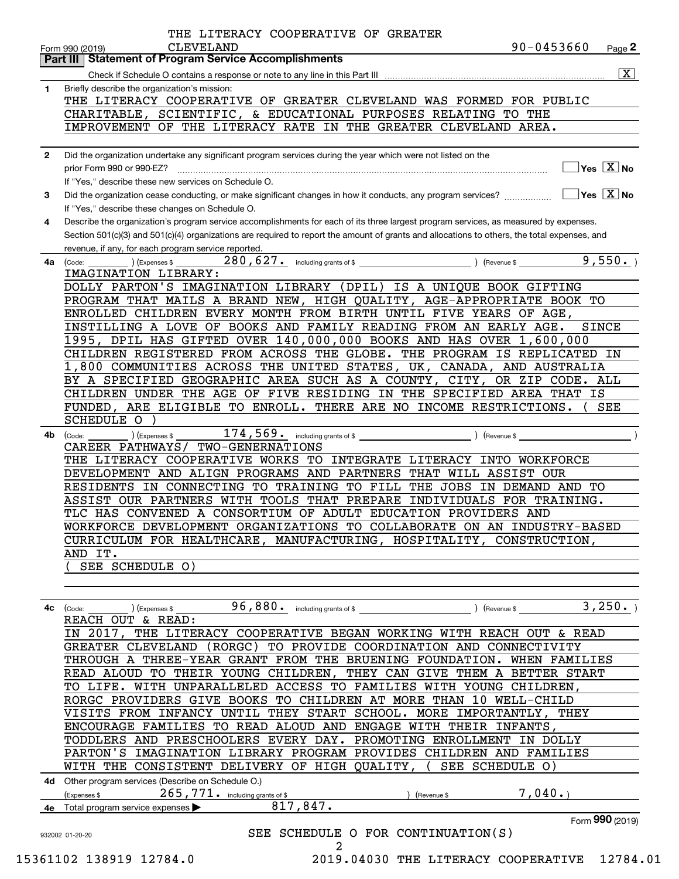|              | $90 - 0453660$<br><b>CLEVELAND</b><br>Page $2$<br>Form 990 (2019)<br>Part III   Statement of Program Service Accomplishments                 |
|--------------|----------------------------------------------------------------------------------------------------------------------------------------------|
|              | $\overline{\mathbf{X}}$                                                                                                                      |
| 1.           | Briefly describe the organization's mission:                                                                                                 |
|              | THE LITERACY COOPERATIVE OF GREATER CLEVELAND WAS FORMED FOR PUBLIC                                                                          |
|              | CHARITABLE, SCIENTIFIC, & EDUCATIONAL PURPOSES RELATING TO THE                                                                               |
|              | IMPROVEMENT OF THE LITERACY RATE IN THE GREATER CLEVELAND AREA.                                                                              |
|              |                                                                                                                                              |
| $\mathbf{2}$ | Did the organization undertake any significant program services during the year which were not listed on the                                 |
|              | $\overline{\ }$ Yes $\overline{\rm X}$ No<br>prior Form 990 or 990-EZ?                                                                       |
|              | If "Yes," describe these new services on Schedule O.                                                                                         |
| 3            |                                                                                                                                              |
|              | If "Yes," describe these changes on Schedule O.                                                                                              |
| 4            | Describe the organization's program service accomplishments for each of its three largest program services, as measured by expenses.         |
|              | Section 501(c)(3) and 501(c)(4) organizations are required to report the amount of grants and allocations to others, the total expenses, and |
|              | revenue, if any, for each program service reported.                                                                                          |
| 4a           | ) (Expenses \$<br>(Code:                                                                                                                     |
|              | IMAGINATION LIBRARY:                                                                                                                         |
|              | DOLLY PARTON'S IMAGINATION LIBRARY (DPIL) IS A UNIQUE BOOK GIFTING                                                                           |
|              | PROGRAM THAT MAILS A BRAND NEW, HIGH QUALITY, AGE-APPROPRIATE BOOK TO                                                                        |
|              | ENROLLED CHILDREN EVERY MONTH FROM BIRTH UNTIL FIVE YEARS OF AGE,                                                                            |
|              | INSTILLING A LOVE OF BOOKS AND FAMILY READING FROM AN EARLY AGE.<br>SINCE                                                                    |
|              | 1995, DPIL HAS GIFTED OVER 140,000,000 BOOKS AND HAS OVER 1,600,000                                                                          |
|              | CHILDREN REGISTERED FROM ACROSS THE GLOBE. THE PROGRAM IS REPLICATED IN                                                                      |
|              | 1,800 COMMUNITIES ACROSS THE UNITED STATES, UK, CANADA, AND AUSTRALIA                                                                        |
|              | BY A SPECIFIED GEOGRAPHIC AREA SUCH AS A COUNTY, CITY, OR ZIP CODE. ALL                                                                      |
|              | CHILDREN UNDER THE AGE OF FIVE RESIDING IN THE SPECIFIED AREA THAT IS                                                                        |
|              | FUNDED, ARE ELIGIBLE TO ENROLL. THERE ARE NO INCOME RESTRICTIONS.<br>SEE                                                                     |
|              | <b>SCHEDULE O</b>                                                                                                                            |
| 4b.          | ) (Expenses \$<br>(Code:                                                                                                                     |
|              | CAREER PATHWAYS/ TWO-GENERNATIONS                                                                                                            |
|              | THE LITERACY COOPERATIVE WORKS TO INTEGRATE LITERACY INTO WORKFORCE<br>DEVELOPMENT AND ALIGN PROGRAMS AND PARTNERS THAT WILL ASSIST OUR      |
|              | RESIDENTS IN CONNECTING TO TRAINING TO FILL THE JOBS IN DEMAND AND TO                                                                        |
|              | ASSIST OUR PARTNERS WITH TOOLS THAT PREPARE INDIVIDUALS FOR TRAINING.                                                                        |
|              | TLC HAS CONVENED A CONSORTIUM OF ADULT EDUCATION PROVIDERS AND                                                                               |
|              | WORKFORCE DEVELOPMENT ORGANIZATIONS TO COLLABORATE ON AN INDUSTRY-BASED                                                                      |
|              | CURRICULUM FOR HEALTHCARE, MANUFACTURING, HOSPITALITY, CONSTRUCTION,                                                                         |
|              | AND IT.                                                                                                                                      |
|              | SEE SCHEDULE O)                                                                                                                              |
|              |                                                                                                                                              |
|              |                                                                                                                                              |
| 4с           | 3,250.<br>96,880. including grants of $$$<br>(Revenue \$<br>(Expenses \$<br>(Code:                                                           |
|              | REACH OUT & READ:                                                                                                                            |
|              |                                                                                                                                              |
|              | IN 2017, THE LITERACY COOPERATIVE BEGAN WORKING WITH REACH OUT & READ                                                                        |
|              | GREATER CLEVELAND (RORGC) TO PROVIDE COORDINATION AND CONNECTIVITY                                                                           |
|              | THROUGH A THREE-YEAR GRANT FROM THE BRUENING FOUNDATION. WHEN FAMILIES                                                                       |
|              | READ ALOUD TO THEIR YOUNG CHILDREN, THEY CAN GIVE THEM A BETTER START                                                                        |
|              | TO LIFE. WITH UNPARALLELED ACCESS TO FAMILIES WITH YOUNG CHILDREN,                                                                           |
|              | RORGC PROVIDERS GIVE BOOKS TO CHILDREN AT MORE THAN 10 WELL-CHILD                                                                            |
|              | VISITS FROM INFANCY UNTIL THEY START SCHOOL. MORE IMPORTANTLY, THEY                                                                          |
|              | ENCOURAGE FAMILIES TO READ ALOUD AND ENGAGE WITH THEIR INFANTS,                                                                              |
|              | TODDLERS AND PRESCHOOLERS EVERY DAY. PROMOTING ENROLLMENT IN DOLLY                                                                           |
|              | PARTON'S IMAGINATION LIBRARY PROGRAM PROVIDES CHILDREN AND FAMILIES                                                                          |
|              | WITH THE CONSISTENT DELIVERY OF HIGH QUALITY, (SEE SCHEDULE O)                                                                               |
|              | 4d Other program services (Describe on Schedule O.)                                                                                          |
|              | 7,040.<br>$265$ , $771$ . including grants of \$<br>(Expenses \$<br>(Revenue \$                                                              |
|              | 817,847.<br>4e Total program service expenses $\blacktriangleright$                                                                          |
|              | Form 990 (2019)                                                                                                                              |
|              | SEE SCHEDULE O FOR CONTINUATION(S)<br>932002 01-20-20                                                                                        |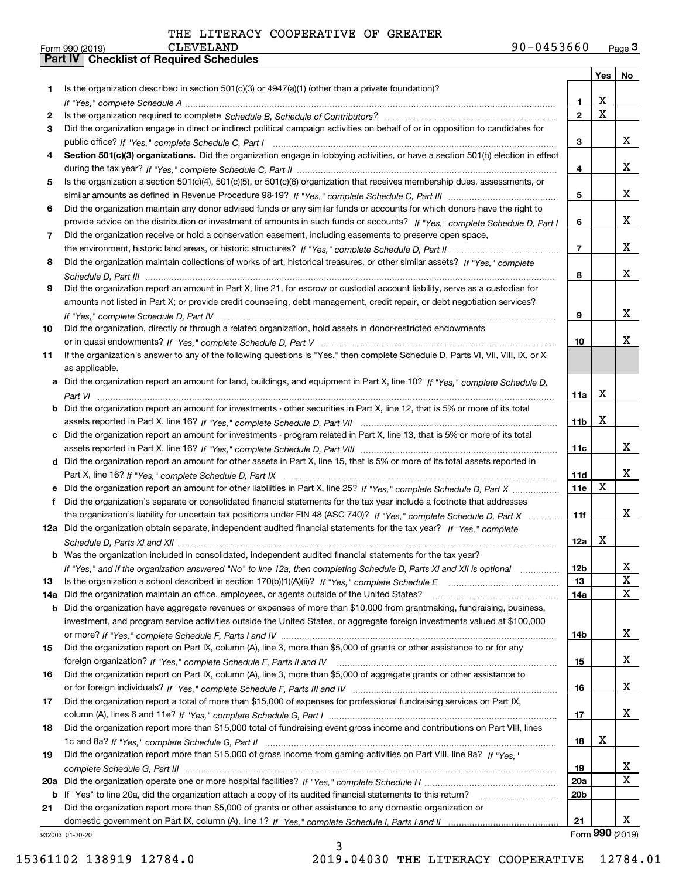|     |                                                                                                                                                                                                                                 |                 |             | Yes   No             |
|-----|---------------------------------------------------------------------------------------------------------------------------------------------------------------------------------------------------------------------------------|-----------------|-------------|----------------------|
| 1   | Is the organization described in section $501(c)(3)$ or $4947(a)(1)$ (other than a private foundation)?                                                                                                                         |                 |             |                      |
|     |                                                                                                                                                                                                                                 | 1.              | X           |                      |
| 2   | Is the organization required to complete Schedule B, Schedule of Contributors? [11] The organization required to complete Schedule B, Schedule of Contributors? [11] The organization required to complete $S$ chedule B, Sched | $\overline{2}$  | $\mathbf X$ |                      |
| 3   | Did the organization engage in direct or indirect political campaign activities on behalf of or in opposition to candidates for                                                                                                 |                 |             |                      |
|     |                                                                                                                                                                                                                                 | 3               |             | x                    |
| 4   | Section 501(c)(3) organizations. Did the organization engage in lobbying activities, or have a section 501(h) election in effect                                                                                                |                 |             |                      |
|     |                                                                                                                                                                                                                                 | 4               |             | x                    |
| 5   | Is the organization a section 501(c)(4), 501(c)(5), or 501(c)(6) organization that receives membership dues, assessments, or                                                                                                    |                 |             |                      |
|     |                                                                                                                                                                                                                                 | 5               |             | x                    |
| 6   | Did the organization maintain any donor advised funds or any similar funds or accounts for which donors have the right to                                                                                                       |                 |             |                      |
|     | provide advice on the distribution or investment of amounts in such funds or accounts? If "Yes," complete Schedule D, Part I                                                                                                    | 6               |             | x                    |
| 7   | Did the organization receive or hold a conservation easement, including easements to preserve open space,                                                                                                                       |                 |             |                      |
|     |                                                                                                                                                                                                                                 | $\overline{7}$  |             | x                    |
| 8   | Did the organization maintain collections of works of art, historical treasures, or other similar assets? If "Yes," complete                                                                                                    |                 |             |                      |
|     |                                                                                                                                                                                                                                 | 8               |             | x                    |
| 9   | Did the organization report an amount in Part X, line 21, for escrow or custodial account liability, serve as a custodian for                                                                                                   |                 |             |                      |
|     | amounts not listed in Part X; or provide credit counseling, debt management, credit repair, or debt negotiation services?                                                                                                       |                 |             | x                    |
|     |                                                                                                                                                                                                                                 | 9               |             |                      |
| 10  | Did the organization, directly or through a related organization, hold assets in donor-restricted endowments                                                                                                                    |                 |             | x                    |
|     |                                                                                                                                                                                                                                 | 10              |             |                      |
| 11  | If the organization's answer to any of the following questions is "Yes," then complete Schedule D, Parts VI, VII, VIII, IX, or X                                                                                                |                 |             |                      |
|     | as applicable.<br>Did the organization report an amount for land, buildings, and equipment in Part X, line 10? If "Yes," complete Schedule D.                                                                                   |                 |             |                      |
| а   |                                                                                                                                                                                                                                 | 11a             | X           |                      |
| b   | Did the organization report an amount for investments - other securities in Part X, line 12, that is 5% or more of its total                                                                                                    |                 |             |                      |
|     |                                                                                                                                                                                                                                 | 11 <sub>b</sub> | X           |                      |
|     | c Did the organization report an amount for investments - program related in Part X, line 13, that is 5% or more of its total                                                                                                   |                 |             |                      |
|     |                                                                                                                                                                                                                                 | 11c             |             | x                    |
|     | d Did the organization report an amount for other assets in Part X, line 15, that is 5% or more of its total assets reported in                                                                                                 |                 |             |                      |
|     |                                                                                                                                                                                                                                 | 11d             |             | x                    |
|     | Did the organization report an amount for other liabilities in Part X, line 25? If "Yes," complete Schedule D, Part X                                                                                                           | 11e             | X           |                      |
| f   | Did the organization's separate or consolidated financial statements for the tax year include a footnote that addresses                                                                                                         |                 |             |                      |
|     | the organization's liability for uncertain tax positions under FIN 48 (ASC 740)? If "Yes," complete Schedule D, Part X                                                                                                          | 11f             |             | x                    |
|     | 12a Did the organization obtain separate, independent audited financial statements for the tax year? If "Yes," complete                                                                                                         |                 |             |                      |
|     |                                                                                                                                                                                                                                 | 12a             | x           |                      |
|     | <b>b</b> Was the organization included in consolidated, independent audited financial statements for the tax year?                                                                                                              |                 |             |                      |
|     | If "Yes," and if the organization answered "No" to line 12a, then completing Schedule D, Parts XI and XII is optional                                                                                                           | 12 <sub>b</sub> |             | 4                    |
| 13  |                                                                                                                                                                                                                                 | 13              |             | X                    |
| 14a | Did the organization maintain an office, employees, or agents outside of the United States?                                                                                                                                     | 14a             |             | x                    |
| b   | Did the organization have aggregate revenues or expenses of more than \$10,000 from grantmaking, fundraising, business,                                                                                                         |                 |             |                      |
|     | investment, and program service activities outside the United States, or aggregate foreign investments valued at \$100,000                                                                                                      |                 |             |                      |
|     |                                                                                                                                                                                                                                 | 14b             |             | x                    |
| 15  | Did the organization report on Part IX, column (A), line 3, more than \$5,000 of grants or other assistance to or for any                                                                                                       |                 |             |                      |
|     |                                                                                                                                                                                                                                 | 15              |             | x                    |
| 16  | Did the organization report on Part IX, column (A), line 3, more than \$5,000 of aggregate grants or other assistance to                                                                                                        |                 |             |                      |
|     |                                                                                                                                                                                                                                 | 16              |             | x                    |
| 17  | Did the organization report a total of more than \$15,000 of expenses for professional fundraising services on Part IX,                                                                                                         |                 |             |                      |
|     |                                                                                                                                                                                                                                 | 17              |             | x                    |
| 18  | Did the organization report more than \$15,000 total of fundraising event gross income and contributions on Part VIII, lines                                                                                                    |                 |             |                      |
|     |                                                                                                                                                                                                                                 | 18              | х           |                      |
| 19  | Did the organization report more than \$15,000 of gross income from gaming activities on Part VIII, line 9a? If "Yes."                                                                                                          |                 |             |                      |
|     |                                                                                                                                                                                                                                 | 19              |             | x                    |
| 20a |                                                                                                                                                                                                                                 | 20a             |             | X                    |
|     | b If "Yes" to line 20a, did the organization attach a copy of its audited financial statements to this return?                                                                                                                  | 20 <sub>b</sub> |             |                      |
| 21  | Did the organization report more than \$5,000 of grants or other assistance to any domestic organization or                                                                                                                     |                 |             |                      |
|     |                                                                                                                                                                                                                                 | 21              |             | x<br>Form 990 (2019) |
|     | 932003 01-20-20                                                                                                                                                                                                                 |                 |             |                      |

932003 01-20-20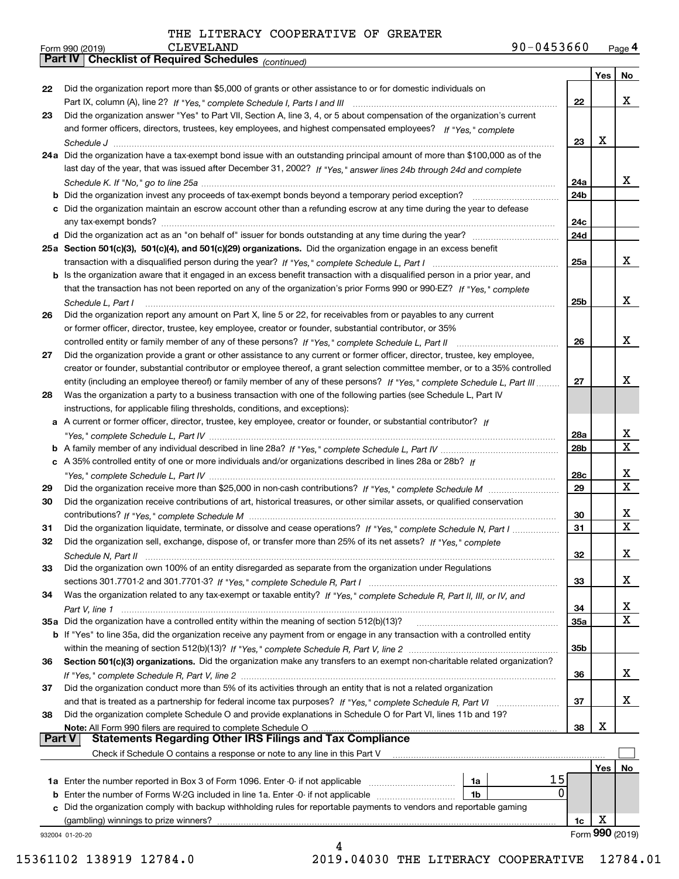| Form 990 (2019) | CLEVELAND                                             | 90-0453660 | Page 4 |
|-----------------|-------------------------------------------------------|------------|--------|
|                 | Part IV   Checklist of Required Schedules (continued) |            |        |

|               | <b>Failly</b><br>Critical Continued Scribution (Continued)                                                                            |                 |     |                 |
|---------------|---------------------------------------------------------------------------------------------------------------------------------------|-----------------|-----|-----------------|
|               |                                                                                                                                       |                 | Yes | No              |
| 22            | Did the organization report more than \$5,000 of grants or other assistance to or for domestic individuals on                         |                 |     |                 |
|               |                                                                                                                                       | 22              |     | x               |
| 23            | Did the organization answer "Yes" to Part VII, Section A, line 3, 4, or 5 about compensation of the organization's current            |                 |     |                 |
|               | and former officers, directors, trustees, key employees, and highest compensated employees? If "Yes," complete                        |                 |     |                 |
|               |                                                                                                                                       | 23              | х   |                 |
|               | 24a Did the organization have a tax-exempt bond issue with an outstanding principal amount of more than \$100,000 as of the           |                 |     |                 |
|               | last day of the year, that was issued after December 31, 2002? If "Yes," answer lines 24b through 24d and complete                    |                 |     |                 |
|               |                                                                                                                                       | 24a             |     | X.              |
|               | <b>b</b> Did the organization invest any proceeds of tax-exempt bonds beyond a temporary period exception?                            | 24b             |     |                 |
|               | c Did the organization maintain an escrow account other than a refunding escrow at any time during the year to defease                |                 |     |                 |
|               |                                                                                                                                       | 24c             |     |                 |
|               |                                                                                                                                       | 24d             |     |                 |
|               | 25a Section 501(c)(3), 501(c)(4), and 501(c)(29) organizations. Did the organization engage in an excess benefit                      |                 |     |                 |
|               |                                                                                                                                       | 25a             |     | x               |
|               | b Is the organization aware that it engaged in an excess benefit transaction with a disqualified person in a prior year, and          |                 |     |                 |
|               | that the transaction has not been reported on any of the organization's prior Forms 990 or 990-EZ? If "Yes," complete                 |                 |     |                 |
|               |                                                                                                                                       | 25b             |     | x               |
|               | Schedule L. Part I<br>Did the organization report any amount on Part X, line 5 or 22, for receivables from or payables to any current |                 |     |                 |
| 26            |                                                                                                                                       |                 |     |                 |
|               | or former officer, director, trustee, key employee, creator or founder, substantial contributor, or 35%                               |                 |     | x               |
|               |                                                                                                                                       | 26              |     |                 |
| 27            | Did the organization provide a grant or other assistance to any current or former officer, director, trustee, key employee,           |                 |     |                 |
|               | creator or founder, substantial contributor or employee thereof, a grant selection committee member, or to a 35% controlled           |                 |     | x               |
|               | entity (including an employee thereof) or family member of any of these persons? If "Yes," complete Schedule L, Part III              | 27              |     |                 |
| 28            | Was the organization a party to a business transaction with one of the following parties (see Schedule L, Part IV                     |                 |     |                 |
|               | instructions, for applicable filing thresholds, conditions, and exceptions):                                                          |                 |     |                 |
|               | a A current or former officer, director, trustee, key employee, creator or founder, or substantial contributor? If                    |                 |     |                 |
|               |                                                                                                                                       | 28a             |     | x               |
|               |                                                                                                                                       | 28 <sub>b</sub> |     | x               |
|               | c A 35% controlled entity of one or more individuals and/or organizations described in lines 28a or 28b? If                           |                 |     |                 |
|               |                                                                                                                                       | 28c             |     | x               |
| 29            |                                                                                                                                       | 29              |     | х               |
| 30            | Did the organization receive contributions of art, historical treasures, or other similar assets, or qualified conservation           |                 |     |                 |
|               |                                                                                                                                       | 30              |     | x               |
| 31            | Did the organization liquidate, terminate, or dissolve and cease operations? If "Yes," complete Schedule N, Part I                    | 31              |     | х               |
| 32            | Did the organization sell, exchange, dispose of, or transfer more than 25% of its net assets? If "Yes," complete                      |                 |     |                 |
|               | Schedule N, Part II                                                                                                                   | 32              |     | х               |
| 33            | Did the organization own 100% of an entity disregarded as separate from the organization under Regulations                            |                 |     |                 |
|               |                                                                                                                                       | 33              |     | x               |
| 34            | Was the organization related to any tax-exempt or taxable entity? If "Yes," complete Schedule R, Part II, III, or IV, and             |                 |     |                 |
|               |                                                                                                                                       | 34              |     | x               |
|               | 35a Did the organization have a controlled entity within the meaning of section 512(b)(13)?                                           | <b>35a</b>      |     | X               |
|               | <b>b</b> If "Yes" to line 35a, did the organization receive any payment from or engage in any transaction with a controlled entity    |                 |     |                 |
|               |                                                                                                                                       | 35b             |     |                 |
| 36            | Section 501(c)(3) organizations. Did the organization make any transfers to an exempt non-charitable related organization?            |                 |     |                 |
|               |                                                                                                                                       | 36              |     | x               |
| 37            | Did the organization conduct more than 5% of its activities through an entity that is not a related organization                      |                 |     |                 |
|               | and that is treated as a partnership for federal income tax purposes? If "Yes," complete Schedule R, Part VI                          | 37              |     | x               |
| 38            | Did the organization complete Schedule O and provide explanations in Schedule O for Part VI, lines 11b and 19?                        |                 |     |                 |
|               | Note: All Form 990 filers are required to complete Schedule O                                                                         | 38              | X   |                 |
| <b>Part V</b> | <b>Statements Regarding Other IRS Filings and Tax Compliance</b>                                                                      |                 |     |                 |
|               | Check if Schedule O contains a response or note to any line in this Part V                                                            |                 |     |                 |
|               |                                                                                                                                       |                 | Yes | No              |
|               | 15<br>1a                                                                                                                              |                 |     |                 |
|               | 0<br><b>b</b> Enter the number of Forms W-2G included in line 1a. Enter -0- if not applicable<br>1b                                   |                 |     |                 |
|               | c Did the organization comply with backup withholding rules for reportable payments to vendors and reportable gaming                  |                 |     |                 |
|               | (gambling) winnings to prize winners?                                                                                                 | 1c              | х   |                 |
|               | 932004 01-20-20                                                                                                                       |                 |     | Form 990 (2019) |
|               | 4                                                                                                                                     |                 |     |                 |

15361102 138919 12784.0 2019.04030 THE LITERACY COOPERATIVE 12784.01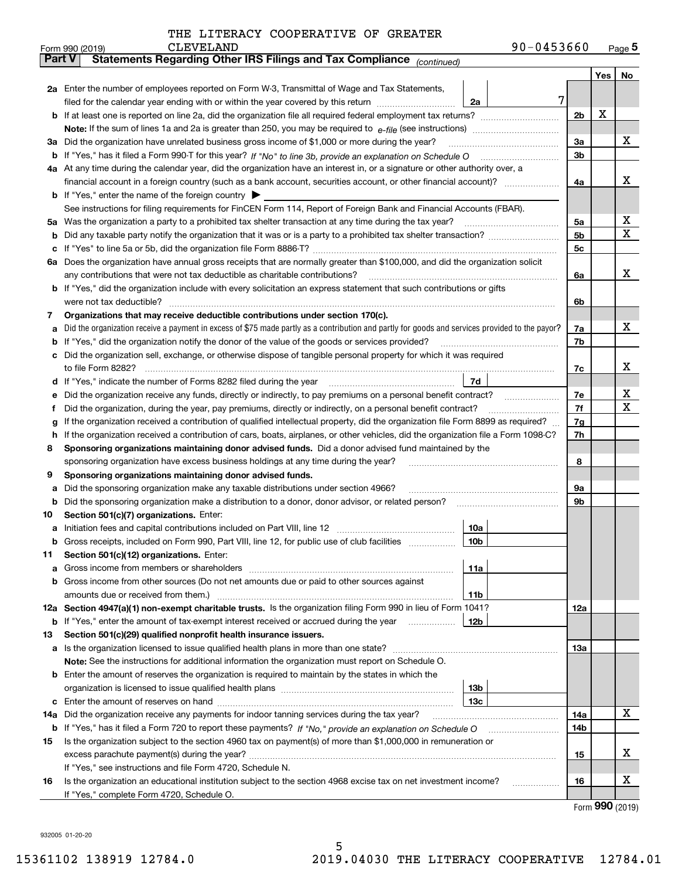|     | 90-0453660<br><b>CLEVELAND</b><br>Form 990 (2019)                                                                                               |                |     | $_{\text{Page}}$ 5 |  |  |  |
|-----|-------------------------------------------------------------------------------------------------------------------------------------------------|----------------|-----|--------------------|--|--|--|
|     | Statements Regarding Other IRS Filings and Tax Compliance (continued)<br><b>Part V</b>                                                          |                |     |                    |  |  |  |
|     |                                                                                                                                                 |                | Yes | No                 |  |  |  |
|     | 2a Enter the number of employees reported on Form W-3, Transmittal of Wage and Tax Statements,                                                  |                |     |                    |  |  |  |
|     | 7<br>filed for the calendar year ending with or within the year covered by this return<br>2a                                                    |                |     |                    |  |  |  |
|     |                                                                                                                                                 | 2 <sub>b</sub> | х   |                    |  |  |  |
|     |                                                                                                                                                 |                |     |                    |  |  |  |
|     | 3a Did the organization have unrelated business gross income of \$1,000 or more during the year?                                                |                |     |                    |  |  |  |
|     |                                                                                                                                                 |                |     |                    |  |  |  |
|     | 4a At any time during the calendar year, did the organization have an interest in, or a signature or other authority over, a                    |                |     |                    |  |  |  |
|     |                                                                                                                                                 | 4a             |     | х                  |  |  |  |
|     | <b>b</b> If "Yes," enter the name of the foreign country $\blacktriangleright$                                                                  |                |     |                    |  |  |  |
|     | See instructions for filing requirements for FinCEN Form 114, Report of Foreign Bank and Financial Accounts (FBAR).                             |                |     |                    |  |  |  |
|     | 5a Was the organization a party to a prohibited tax shelter transaction at any time during the tax year?                                        | 5a             |     | х                  |  |  |  |
| b   |                                                                                                                                                 | 5b             |     | X                  |  |  |  |
| c   |                                                                                                                                                 | 5c             |     |                    |  |  |  |
|     | 6a Does the organization have annual gross receipts that are normally greater than \$100,000, and did the organization solicit                  |                |     |                    |  |  |  |
|     |                                                                                                                                                 | 6a             |     | х                  |  |  |  |
|     | <b>b</b> If "Yes," did the organization include with every solicitation an express statement that such contributions or gifts                   |                |     |                    |  |  |  |
|     | were not tax deductible?                                                                                                                        | 6b             |     |                    |  |  |  |
| 7   | Organizations that may receive deductible contributions under section 170(c).                                                                   |                |     |                    |  |  |  |
| а   | Did the organization receive a payment in excess of \$75 made partly as a contribution and partly for goods and services provided to the payor? | 7a             |     | х                  |  |  |  |
| b   | If "Yes," did the organization notify the donor of the value of the goods or services provided?                                                 | 7b             |     |                    |  |  |  |
|     | c Did the organization sell, exchange, or otherwise dispose of tangible personal property for which it was required                             |                |     |                    |  |  |  |
|     |                                                                                                                                                 | 7c             |     | х                  |  |  |  |
|     | 7d                                                                                                                                              |                |     |                    |  |  |  |
| е   | Did the organization receive any funds, directly or indirectly, to pay premiums on a personal benefit contract?                                 | 7e             |     | х<br>х             |  |  |  |
| f   | Did the organization, during the year, pay premiums, directly or indirectly, on a personal benefit contract?                                    |                |     |                    |  |  |  |
| g   | If the organization received a contribution of qualified intellectual property, did the organization file Form 8899 as required?                |                |     |                    |  |  |  |
| h.  | If the organization received a contribution of cars, boats, airplanes, or other vehicles, did the organization file a Form 1098-C?              |                |     |                    |  |  |  |
| 8   | Sponsoring organizations maintaining donor advised funds. Did a donor advised fund maintained by the                                            |                |     |                    |  |  |  |
|     | sponsoring organization have excess business holdings at any time during the year?                                                              | 8              |     |                    |  |  |  |
| 9   | Sponsoring organizations maintaining donor advised funds.                                                                                       |                |     |                    |  |  |  |
| а   | Did the sponsoring organization make any taxable distributions under section 4966?                                                              | 9а             |     |                    |  |  |  |
| b   | Did the sponsoring organization make a distribution to a donor, donor advisor, or related person?                                               | 9b             |     |                    |  |  |  |
| 10  | Section 501(c)(7) organizations. Enter:                                                                                                         |                |     |                    |  |  |  |
|     | 10a<br> 10 <sub>b</sub>  <br>Gross receipts, included on Form 990, Part VIII, line 12, for public use of club facilities                        |                |     |                    |  |  |  |
|     |                                                                                                                                                 |                |     |                    |  |  |  |
| 11  | Section 501(c)(12) organizations. Enter:                                                                                                        |                |     |                    |  |  |  |
| a   | 11a<br>b Gross income from other sources (Do not net amounts due or paid to other sources against                                               |                |     |                    |  |  |  |
|     | <b>11b</b>                                                                                                                                      |                |     |                    |  |  |  |
|     | 12a Section 4947(a)(1) non-exempt charitable trusts. Is the organization filing Form 990 in lieu of Form 1041?                                  | 12a            |     |                    |  |  |  |
|     | 12b<br><b>b</b> If "Yes," enter the amount of tax-exempt interest received or accrued during the year <i>manument</i>                           |                |     |                    |  |  |  |
| 13  | Section 501(c)(29) qualified nonprofit health insurance issuers.                                                                                |                |     |                    |  |  |  |
|     | a Is the organization licensed to issue qualified health plans in more than one state?                                                          | 13a            |     |                    |  |  |  |
|     | Note: See the instructions for additional information the organization must report on Schedule O.                                               |                |     |                    |  |  |  |
|     | <b>b</b> Enter the amount of reserves the organization is required to maintain by the states in which the                                       |                |     |                    |  |  |  |
|     | 13b                                                                                                                                             |                |     |                    |  |  |  |
|     | 13с                                                                                                                                             |                |     |                    |  |  |  |
| 14a | Did the organization receive any payments for indoor tanning services during the tax year?                                                      | 14a            |     | х                  |  |  |  |
|     | <b>b</b> If "Yes," has it filed a Form 720 to report these payments? If "No," provide an explanation on Schedule O                              | 14b            |     |                    |  |  |  |
| 15  | Is the organization subject to the section 4960 tax on payment(s) of more than \$1,000,000 in remuneration or                                   |                |     |                    |  |  |  |
|     |                                                                                                                                                 | 15             |     | x                  |  |  |  |
|     | If "Yes," see instructions and file Form 4720, Schedule N.                                                                                      |                |     |                    |  |  |  |
| 16  | Is the organization an educational institution subject to the section 4968 excise tax on net investment income?                                 | 16             |     | х                  |  |  |  |
|     | If "Yes," complete Form 4720, Schedule O.                                                                                                       |                |     |                    |  |  |  |

5

Form (2019) **990**

932005 01-20-20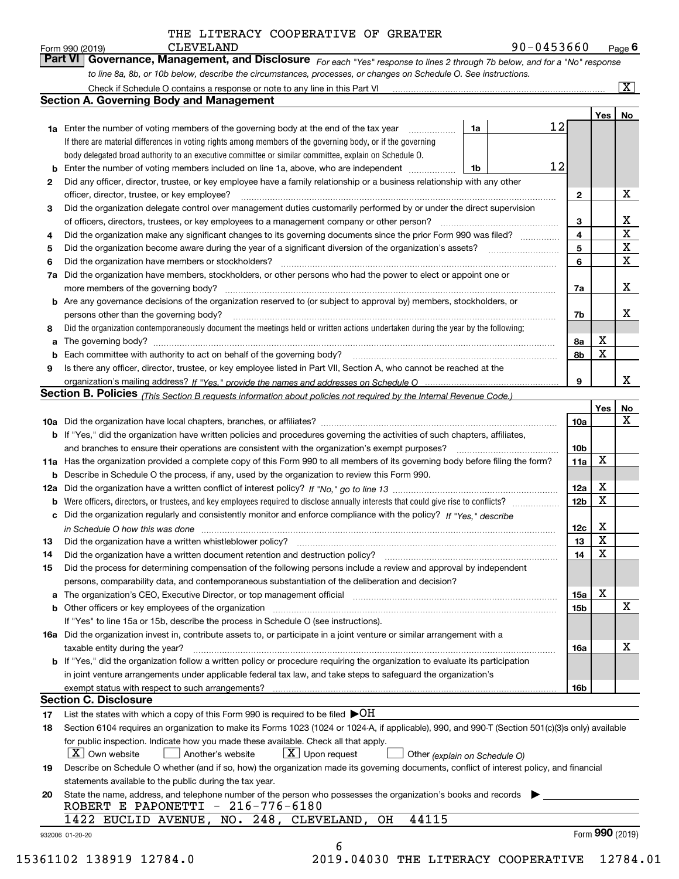**Yes No 1a1b1a** Enter the number of voting members of the governing body at the end of the tax year **7a** Did the organization have members, stockholders, or other persons who had the power to elect or appoint one or **b** Enter the number of voting members included on line 1a, above, who are independent  $\ldots$ **234567a7b8a8b9b** Are any governance decisions of the organization reserved to (or subject to approval by) members, stockholders, or **a**The governing body? ~~~~~~~~~~~~~~~~~~~~~~~~~~~~~~~~~~~~~~~~~~~~~~~~~~~ **b** Each committee with authority to act on behalf of the governing body? **Yes No 10 a** Did the organization have local chapters, branches, or affiliates? ~~~~~~~~~~~~~~~~~~~~~~~~~~~~~~ **b** If "Yes," did the organization have written policies and procedures governing the activities of such chapters, affiliates, **10a***For each "Yes" response to lines 2 through 7b below, and for a "No" response to line 8a, 8b, or 10b below, describe the circumstances, processes, or changes on Schedule O. See instructions. If "Yes," provide the names and addresses on Schedule O* organization's mailing address? **Section B. Policies** <sub>(This Section B requests information about policies not required by the Internal Revenue Code.)</sub> If there are material differences in voting rights among members of the governing body, or if the governing body delegated broad authority to an executive committee or similar committee, explain on Schedule O. Did the organization contemporaneously document the meetings held or written actions undertaken during the year by the following: **Form 990 (2019)** CLEVELAND<br>**Part VI | Governance, Management, and Disclosure** For each "Yes" response to lines 2 through 7b below, and for a "No" response Check if Schedule O contains a response or note to any line in this Part VI Did any officer, director, trustee, or key employee have a family relationship or a business relationship with any other officer, director, trustee, or key employee? ~~~~~~~~~~~~~~~~~~~~~~~~~~~~~~~~~~~~~~~~Did the organization delegate control over management duties customarily performed by or under the direct supervision of officers, directors, trustees, or key employees to a management company or other person? Did the organization make any significant changes to its governing documents since the prior Form 990 was filed? ~~~~~Did the organization become aware during the year of a significant diversion of the organization's assets? Did the organization have members or stockholders? ~~~~~~~~~~~~~~~~~~~~~~~~~~~~~~~~~~~ more members of the governing body? ~~~~~~~~~~~~~~~~~~~~~~~~~~~~~~~~~~~~~~~~~~persons other than the governing body? ~~~~~~~~~~~~~~~~~~~~~~~~~~~~~~~~~~~~~~~~~Is there any officer, director, trustee, or key employee listed in Part VII, Section A, who cannot be reached at the **Section A. Governing Body and Management**  $\boxed{\text{X}}$ 12 12 X X X X X X X X X X X CLEVELAND 90-0453660

| х<br>11a Has the organization provided a complete copy of this Form 990 to all members of its governing body before filing the form?<br>11a<br><b>b</b> Describe in Schedule O the process, if any, used by the organization to review this Form 990.<br>X<br>12a<br>12a<br>х<br>12 <sub>b</sub><br>Were officers, directors, or trustees, and key employees required to disclose annually interests that could give rise to conflicts?<br>b<br>c Did the organization regularly and consistently monitor and enforce compliance with the policy? If "Yes," describe<br>х<br>12 <sub>c</sub><br>X<br>13<br>Did the organization have a written whistleblower policy?<br>X<br>14<br>Did the process for determining compensation of the following persons include a review and approval by independent<br>persons, comparability data, and contemporaneous substantiation of the deliberation and decision?<br>x<br>15a<br>The organization's CEO, Executive Director, or top management official manufaction and contain an intervention<br>a<br>x<br>15b<br>If "Yes" to line 15a or 15b, describe the process in Schedule O (see instructions). |    | and branches to ensure their operations are consistent with the organization's exempt purposes?                                  | 10 <sub>b</sub> |  |
|--------------------------------------------------------------------------------------------------------------------------------------------------------------------------------------------------------------------------------------------------------------------------------------------------------------------------------------------------------------------------------------------------------------------------------------------------------------------------------------------------------------------------------------------------------------------------------------------------------------------------------------------------------------------------------------------------------------------------------------------------------------------------------------------------------------------------------------------------------------------------------------------------------------------------------------------------------------------------------------------------------------------------------------------------------------------------------------------------------------------------------------------------|----|----------------------------------------------------------------------------------------------------------------------------------|-----------------|--|
|                                                                                                                                                                                                                                                                                                                                                                                                                                                                                                                                                                                                                                                                                                                                                                                                                                                                                                                                                                                                                                                                                                                                                  |    |                                                                                                                                  |                 |  |
|                                                                                                                                                                                                                                                                                                                                                                                                                                                                                                                                                                                                                                                                                                                                                                                                                                                                                                                                                                                                                                                                                                                                                  |    |                                                                                                                                  |                 |  |
|                                                                                                                                                                                                                                                                                                                                                                                                                                                                                                                                                                                                                                                                                                                                                                                                                                                                                                                                                                                                                                                                                                                                                  |    |                                                                                                                                  |                 |  |
|                                                                                                                                                                                                                                                                                                                                                                                                                                                                                                                                                                                                                                                                                                                                                                                                                                                                                                                                                                                                                                                                                                                                                  |    |                                                                                                                                  |                 |  |
|                                                                                                                                                                                                                                                                                                                                                                                                                                                                                                                                                                                                                                                                                                                                                                                                                                                                                                                                                                                                                                                                                                                                                  |    |                                                                                                                                  |                 |  |
|                                                                                                                                                                                                                                                                                                                                                                                                                                                                                                                                                                                                                                                                                                                                                                                                                                                                                                                                                                                                                                                                                                                                                  |    |                                                                                                                                  |                 |  |
|                                                                                                                                                                                                                                                                                                                                                                                                                                                                                                                                                                                                                                                                                                                                                                                                                                                                                                                                                                                                                                                                                                                                                  | 13 |                                                                                                                                  |                 |  |
|                                                                                                                                                                                                                                                                                                                                                                                                                                                                                                                                                                                                                                                                                                                                                                                                                                                                                                                                                                                                                                                                                                                                                  | 14 |                                                                                                                                  |                 |  |
|                                                                                                                                                                                                                                                                                                                                                                                                                                                                                                                                                                                                                                                                                                                                                                                                                                                                                                                                                                                                                                                                                                                                                  | 15 |                                                                                                                                  |                 |  |
|                                                                                                                                                                                                                                                                                                                                                                                                                                                                                                                                                                                                                                                                                                                                                                                                                                                                                                                                                                                                                                                                                                                                                  |    |                                                                                                                                  |                 |  |
|                                                                                                                                                                                                                                                                                                                                                                                                                                                                                                                                                                                                                                                                                                                                                                                                                                                                                                                                                                                                                                                                                                                                                  |    |                                                                                                                                  |                 |  |
|                                                                                                                                                                                                                                                                                                                                                                                                                                                                                                                                                                                                                                                                                                                                                                                                                                                                                                                                                                                                                                                                                                                                                  |    |                                                                                                                                  |                 |  |
|                                                                                                                                                                                                                                                                                                                                                                                                                                                                                                                                                                                                                                                                                                                                                                                                                                                                                                                                                                                                                                                                                                                                                  |    |                                                                                                                                  |                 |  |
|                                                                                                                                                                                                                                                                                                                                                                                                                                                                                                                                                                                                                                                                                                                                                                                                                                                                                                                                                                                                                                                                                                                                                  |    | <b>16a</b> Did the organization invest in, contribute assets to, or participate in a joint venture or similar arrangement with a |                 |  |
| х<br>taxable entity during the year?<br>16a                                                                                                                                                                                                                                                                                                                                                                                                                                                                                                                                                                                                                                                                                                                                                                                                                                                                                                                                                                                                                                                                                                      |    |                                                                                                                                  |                 |  |
| <b>b</b> If "Yes," did the organization follow a written policy or procedure requiring the organization to evaluate its participation                                                                                                                                                                                                                                                                                                                                                                                                                                                                                                                                                                                                                                                                                                                                                                                                                                                                                                                                                                                                            |    |                                                                                                                                  |                 |  |
| in joint venture arrangements under applicable federal tax law, and take steps to safeguard the organization's                                                                                                                                                                                                                                                                                                                                                                                                                                                                                                                                                                                                                                                                                                                                                                                                                                                                                                                                                                                                                                   |    |                                                                                                                                  |                 |  |
| 16b                                                                                                                                                                                                                                                                                                                                                                                                                                                                                                                                                                                                                                                                                                                                                                                                                                                                                                                                                                                                                                                                                                                                              |    |                                                                                                                                  |                 |  |

#### **Section C. Disclosure**

**17**List the states with which a copy of this Form 990 is required to be filed  $\blacktriangleright\mathsf{OH}$ 

| 18 Section 6104 requires an organization to make its Forms 1023 (1024 or 1024-A, if applicable), 990, and 990-T (Section 501(c)(3)s only) available |
|-----------------------------------------------------------------------------------------------------------------------------------------------------|
| for public inspection. Indicate how you made these available. Check all that apply.                                                                 |
| $\boxed{\mathrm{X}}$ Own website<br>$\boxed{\text{X}}$ Upon request<br>Other (explain on Schedule O)                                                |

 *(explain on Schedule O)*  $\boxed{\textbf{X}}$  Own website  $\boxed{\phantom{0}}$  Another's website  $\boxed{\textbf{X}}$  Upon request  $\boxed{\phantom{0}}$  Other

| Describe on Schedule O whether (and if so, how) the organization made its governing documents, conflict of interest policy, and financial |
|-------------------------------------------------------------------------------------------------------------------------------------------|
| statements available to the public during the tax year.                                                                                   |

6

**20**State the name, address, and telephone number of the person who possesses the organization's books and records ROBERT E PAPONETTI - 216-776-6180

|  |  |  | $1422$ EUCLID AVENUE, NO. 248, CLEVELAND, OH 44115 |  |
|--|--|--|----------------------------------------------------|--|
|  |  |  |                                                    |  |

932006 01-20-20

**19**

**2**

**3**

**456**

**8**

**9**

15361102 138919 12784.0 2019.04030 THE LITERACY COOPERATIVE 12784.01

Form (2019) **990**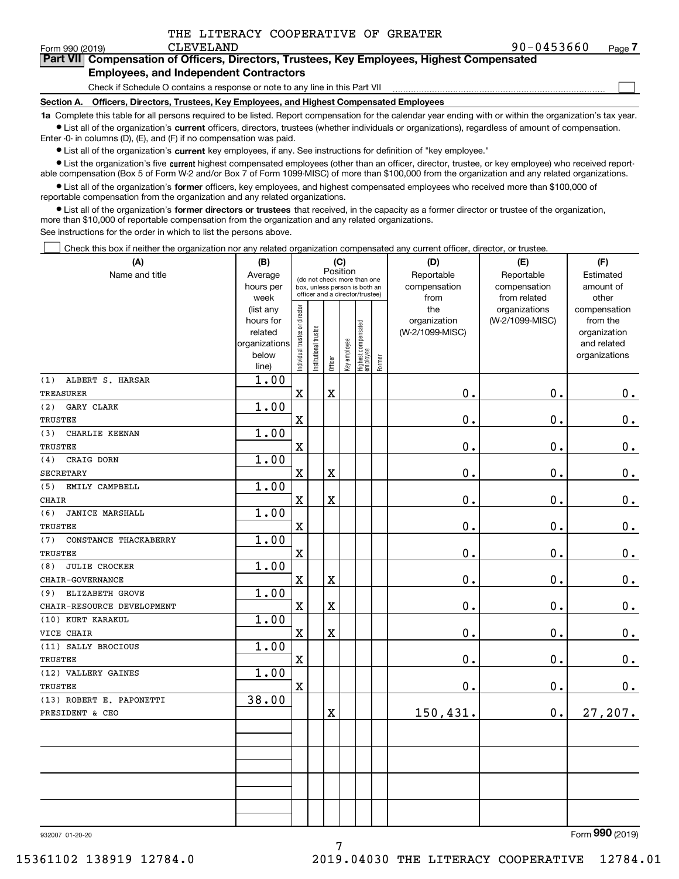| THE LITERACY COOPERATIVE OF GREATER |
|-------------------------------------|
|                                     |

| Form 990 (2019) | 90-0453660<br>CLEVELAND                                                                    | Page 7 |
|-----------------|--------------------------------------------------------------------------------------------|--------|
|                 | Part VII Compensation of Officers, Directors, Trustees, Key Employees, Highest Compensated |        |

### **Employees, and Independent Contractors**

Check if Schedule O contains a response or note to any line in this Part VII

**Section A. Officers, Directors, Trustees, Key Employees, and Highest Compensated Employees**

**1a**  Complete this table for all persons required to be listed. Report compensation for the calendar year ending with or within the organization's tax year. **•** List all of the organization's current officers, directors, trustees (whether individuals or organizations), regardless of amount of compensation.

Enter -0- in columns (D), (E), and (F) if no compensation was paid.

 $\bullet$  List all of the organization's  $\,$ current key employees, if any. See instructions for definition of "key employee."

**•** List the organization's five current highest compensated employees (other than an officer, director, trustee, or key employee) who received reportable compensation (Box 5 of Form W-2 and/or Box 7 of Form 1099-MISC) of more than \$100,000 from the organization and any related organizations.

**•** List all of the organization's former officers, key employees, and highest compensated employees who received more than \$100,000 of reportable compensation from the organization and any related organizations.

**former directors or trustees**  ¥ List all of the organization's that received, in the capacity as a former director or trustee of the organization, more than \$10,000 of reportable compensation from the organization and any related organizations.

See instructions for the order in which to list the persons above.

Check this box if neither the organization nor any related organization compensated any current officer, director, or trustee.  $\mathcal{L}^{\text{max}}$ 

| (A)                           | (B)                    |                                         |                                                                  |                         | (C)          |                                   |           | (D)             | (E)             | (F)                          |
|-------------------------------|------------------------|-----------------------------------------|------------------------------------------------------------------|-------------------------|--------------|-----------------------------------|-----------|-----------------|-----------------|------------------------------|
| Name and title                | Average                | Position<br>(do not check more than one |                                                                  |                         |              |                                   |           | Reportable      | Reportable      | Estimated                    |
|                               | hours per              |                                         | box, unless person is both an<br>officer and a director/trustee) |                         | compensation | compensation                      | amount of |                 |                 |                              |
|                               | week                   |                                         |                                                                  |                         |              |                                   |           | from            | from related    | other                        |
|                               | (list any              |                                         |                                                                  |                         |              |                                   |           | the             | organizations   | compensation                 |
|                               | hours for              |                                         |                                                                  |                         |              |                                   |           | organization    | (W-2/1099-MISC) | from the                     |
|                               | related                |                                         |                                                                  |                         |              |                                   |           | (W-2/1099-MISC) |                 | organization                 |
|                               | organizations<br>below |                                         |                                                                  |                         |              |                                   |           |                 |                 | and related<br>organizations |
|                               | line)                  | Individual trustee or director          | Institutional trustee                                            | Officer                 | Key employee | Highest compensated<br>  employee | Former    |                 |                 |                              |
| (1)<br>ALBERT S. HARSAR       | 1.00                   |                                         |                                                                  |                         |              |                                   |           |                 |                 |                              |
| TREASURER                     |                        | $\mathbf x$                             |                                                                  | $\mathbf x$             |              |                                   |           | 0.              | $\mathbf 0$ .   | 0.                           |
| (2)<br>GARY CLARK             | 1.00                   |                                         |                                                                  |                         |              |                                   |           |                 |                 |                              |
| TRUSTEE                       |                        | X                                       |                                                                  |                         |              |                                   |           | 0.              | $\mathbf 0$ .   | 0.                           |
| (3)<br>CHARLIE KEENAN         | 1.00                   |                                         |                                                                  |                         |              |                                   |           |                 |                 |                              |
| <b>TRUSTEE</b>                |                        | $\mathbf X$                             |                                                                  |                         |              |                                   |           | 0.              | 0.              | $\mathbf 0$ .                |
| CRAIG DORN<br>(4)             | 1.00                   |                                         |                                                                  |                         |              |                                   |           |                 |                 |                              |
| <b>SECRETARY</b>              |                        | $\overline{\text{X}}$                   |                                                                  | $\overline{\text{X}}$   |              |                                   |           | 0.              | $\mathbf 0$ .   | $0_{.}$                      |
| (5)<br>EMILY CAMPBELL         | 1.00                   |                                         |                                                                  |                         |              |                                   |           |                 |                 |                              |
| <b>CHAIR</b>                  |                        | $\mathbf X$                             |                                                                  | $\overline{\textbf{X}}$ |              |                                   |           | 0.              | $\mathbf 0$ .   | $\mathbf 0$ .                |
| (6)<br><b>JANICE MARSHALL</b> | 1.00                   |                                         |                                                                  |                         |              |                                   |           |                 |                 |                              |
| <b>TRUSTEE</b>                |                        | $\mathbf x$                             |                                                                  |                         |              |                                   |           | 0.              | $\mathbf 0$ .   | 0.                           |
| CONSTANCE THACKABERRY<br>(7)  | 1.00                   |                                         |                                                                  |                         |              |                                   |           |                 |                 |                              |
| TRUSTEE                       |                        | $\overline{\mathbf{X}}$                 |                                                                  |                         |              |                                   |           | 0.              | $\mathbf 0$ .   | $\mathbf 0$ .                |
| <b>JULIE CROCKER</b><br>(8)   | 1.00                   |                                         |                                                                  |                         |              |                                   |           |                 |                 |                              |
| CHAIR-GOVERNANCE              |                        | $\mathbf x$                             |                                                                  | $\overline{\text{X}}$   |              |                                   |           | 0.              | $\mathbf 0$ .   | $0_{.}$                      |
| ELIZABETH GROVE<br>(9)        | 1.00                   |                                         |                                                                  |                         |              |                                   |           |                 |                 |                              |
| CHAIR-RESOURCE DEVELOPMENT    |                        | $\mathbf X$                             |                                                                  | $\overline{\textbf{X}}$ |              |                                   |           | 0.              | $\mathbf 0$ .   | $\mathbf 0$ .                |
| (10) KURT KARAKUL             | 1.00                   |                                         |                                                                  |                         |              |                                   |           |                 |                 |                              |
| VICE CHAIR                    |                        | $\mathbf X$                             |                                                                  | $\overline{\textbf{X}}$ |              |                                   |           | 0.              | $\mathbf 0$ .   | 0.                           |
| (11) SALLY BROCIOUS           | 1.00                   |                                         |                                                                  |                         |              |                                   |           |                 |                 |                              |
| TRUSTEE                       |                        | X                                       |                                                                  |                         |              |                                   |           | 0.              | 0.              | $\mathbf 0$ .                |
| (12) VALLERY GAINES           | 1.00                   |                                         |                                                                  |                         |              |                                   |           |                 |                 |                              |
| TRUSTEE                       |                        | $\mathbf X$                             |                                                                  |                         |              |                                   |           | 0.              | $\mathbf 0$ .   | $\mathbf 0$ .                |
| (13) ROBERT E. PAPONETTI      | 38.00                  |                                         |                                                                  |                         |              |                                   |           |                 |                 |                              |
| PRESIDENT & CEO               |                        |                                         |                                                                  | $\overline{\textbf{X}}$ |              |                                   |           | 150,431.        | $\mathbf 0$ .   | 27,207.                      |
|                               |                        |                                         |                                                                  |                         |              |                                   |           |                 |                 |                              |
|                               |                        |                                         |                                                                  |                         |              |                                   |           |                 |                 |                              |
|                               |                        |                                         |                                                                  |                         |              |                                   |           |                 |                 |                              |
|                               |                        |                                         |                                                                  |                         |              |                                   |           |                 |                 |                              |
|                               |                        |                                         |                                                                  |                         |              |                                   |           |                 |                 |                              |
|                               |                        |                                         |                                                                  |                         |              |                                   |           |                 |                 |                              |
|                               |                        |                                         |                                                                  |                         |              |                                   |           |                 |                 |                              |
|                               |                        |                                         |                                                                  |                         |              |                                   |           |                 |                 | $\overline{000}$<br>$\sim$ . |

932007 01-20-20

Form (2019) **990**

15361102 138919 12784.0 2019.04030 THE LITERACY COOPERATIVE 12784.01

 $\mathcal{L}^{\text{max}}$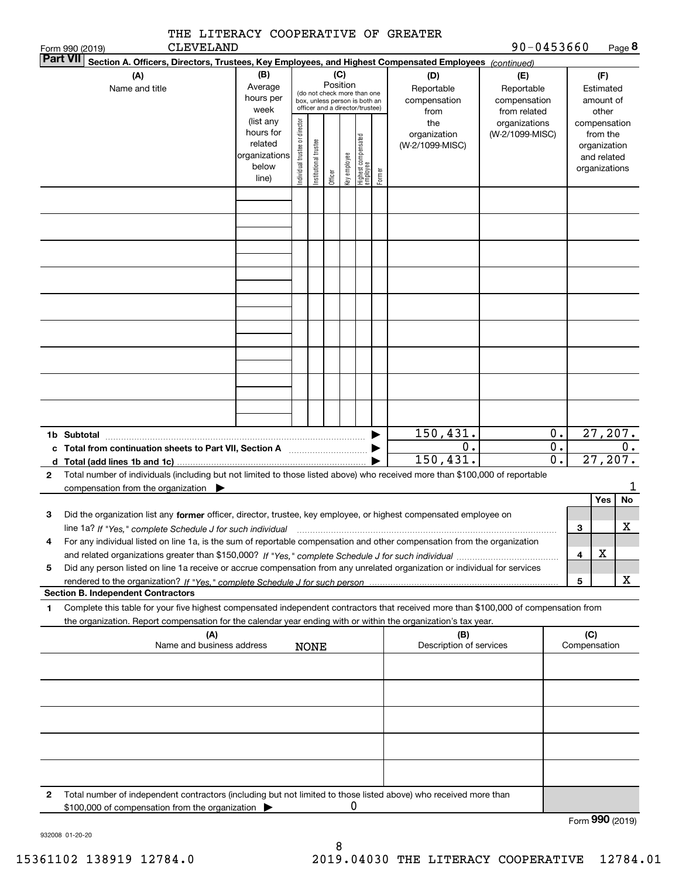|                                                                     | THE LITERACY COOPERATIVE OF GREATER                                                                                                                                                      |                                                                      |                                |                       |                 |              |                                                                                                 |        |                                           |                                                                                       |                        |                 |                                                          |           |
|---------------------------------------------------------------------|------------------------------------------------------------------------------------------------------------------------------------------------------------------------------------------|----------------------------------------------------------------------|--------------------------------|-----------------------|-----------------|--------------|-------------------------------------------------------------------------------------------------|--------|-------------------------------------------|---------------------------------------------------------------------------------------|------------------------|-----------------|----------------------------------------------------------|-----------|
| Form 990 (2019)<br><b>Part VII</b>                                  | <b>CLEVELAND</b><br>Section A. Officers, Directors, Trustees, Key Employees, and Highest Compensated Employees (continued)                                                               |                                                                      |                                |                       |                 |              |                                                                                                 |        |                                           | 90-0453660                                                                            |                        |                 |                                                          | Page 8    |
|                                                                     | (A)<br>Name and title                                                                                                                                                                    | (B)<br>Average<br>hours per<br>week                                  |                                |                       | (C)<br>Position |              | (do not check more than one<br>box, unless person is both an<br>officer and a director/trustee) |        | (D)<br>Reportable<br>compensation<br>from | (E)<br>Reportable<br>compensation<br>from related<br>organizations<br>(W-2/1099-MISC) |                        |                 | (F)<br>Estimated<br>amount of<br>other                   |           |
|                                                                     |                                                                                                                                                                                          | (list any<br>hours for<br>related<br>organizations<br>below<br>line) | Individual trustee or director | Institutional trustee | Officer         | Key employee | Highest compensated<br>employee                                                                 | Former | the<br>organization<br>(W-2/1099-MISC)    |                                                                                       |                        | compensation    | from the<br>organization<br>and related<br>organizations |           |
|                                                                     |                                                                                                                                                                                          |                                                                      |                                |                       |                 |              |                                                                                                 |        |                                           |                                                                                       |                        |                 |                                                          |           |
|                                                                     |                                                                                                                                                                                          |                                                                      |                                |                       |                 |              |                                                                                                 |        |                                           |                                                                                       |                        |                 |                                                          |           |
|                                                                     |                                                                                                                                                                                          |                                                                      |                                |                       |                 |              |                                                                                                 |        |                                           |                                                                                       |                        |                 |                                                          |           |
|                                                                     |                                                                                                                                                                                          |                                                                      |                                |                       |                 |              |                                                                                                 |        |                                           |                                                                                       |                        |                 |                                                          |           |
|                                                                     |                                                                                                                                                                                          |                                                                      |                                |                       |                 |              |                                                                                                 |        |                                           |                                                                                       |                        |                 |                                                          |           |
| 1b Subtotal                                                         |                                                                                                                                                                                          |                                                                      |                                |                       |                 |              |                                                                                                 |        | 150, 431.<br>0.                           |                                                                                       | 0.<br>$\overline{0}$ . |                 | 27, 207.                                                 | 0.        |
|                                                                     | d Total (add lines 1b and 1c).                                                                                                                                                           |                                                                      |                                |                       |                 |              |                                                                                                 |        | 150, 431.                                 |                                                                                       | $\overline{0}$ .       |                 | 27, 207.                                                 |           |
| 2                                                                   | Total number of individuals (including but not limited to those listed above) who received more than \$100,000 of reportable<br>compensation from the organization $\blacktriangleright$ |                                                                      |                                |                       |                 |              |                                                                                                 |        |                                           |                                                                                       |                        |                 |                                                          | 1         |
| 3                                                                   | Did the organization list any former officer, director, trustee, key employee, or highest compensated employee on                                                                        |                                                                      |                                |                       |                 |              |                                                                                                 |        |                                           |                                                                                       |                        |                 | Yes                                                      | <b>No</b> |
|                                                                     | line 1a? If "Yes," complete Schedule J for such individual manufactured contained and the line 1a? If "Yes," complete Schedule J for such individual                                     |                                                                      |                                |                       |                 |              |                                                                                                 |        |                                           |                                                                                       |                        | 3               |                                                          | X         |
| 4                                                                   | For any individual listed on line 1a, is the sum of reportable compensation and other compensation from the organization                                                                 |                                                                      |                                |                       |                 |              |                                                                                                 |        |                                           |                                                                                       |                        | 4               | х                                                        |           |
| 5                                                                   | Did any person listed on line 1a receive or accrue compensation from any unrelated organization or individual for services                                                               |                                                                      |                                |                       |                 |              |                                                                                                 |        |                                           |                                                                                       |                        |                 |                                                          |           |
|                                                                     | <b>Section B. Independent Contractors</b>                                                                                                                                                |                                                                      |                                |                       |                 |              |                                                                                                 |        |                                           |                                                                                       |                        | 5               |                                                          | x         |
| 1                                                                   | Complete this table for your five highest compensated independent contractors that received more than \$100,000 of compensation from                                                     |                                                                      |                                |                       |                 |              |                                                                                                 |        |                                           |                                                                                       |                        |                 |                                                          |           |
|                                                                     | the organization. Report compensation for the calendar year ending with or within the organization's tax year.<br>(A)                                                                    |                                                                      |                                |                       |                 |              |                                                                                                 |        | (B)                                       |                                                                                       |                        | (C)             |                                                          |           |
| Name and business address<br>Description of services<br><b>NONE</b> |                                                                                                                                                                                          |                                                                      |                                |                       |                 |              |                                                                                                 |        | Compensation                              |                                                                                       |                        |                 |                                                          |           |
|                                                                     |                                                                                                                                                                                          |                                                                      |                                |                       |                 |              |                                                                                                 |        |                                           |                                                                                       |                        |                 |                                                          |           |
|                                                                     |                                                                                                                                                                                          |                                                                      |                                |                       |                 |              |                                                                                                 |        |                                           |                                                                                       |                        |                 |                                                          |           |
|                                                                     |                                                                                                                                                                                          |                                                                      |                                |                       |                 |              |                                                                                                 |        |                                           |                                                                                       |                        |                 |                                                          |           |
|                                                                     |                                                                                                                                                                                          |                                                                      |                                |                       |                 |              |                                                                                                 |        |                                           |                                                                                       |                        |                 |                                                          |           |
|                                                                     |                                                                                                                                                                                          |                                                                      |                                |                       |                 |              |                                                                                                 |        |                                           |                                                                                       |                        |                 |                                                          |           |
| 2                                                                   | Total number of independent contractors (including but not limited to those listed above) who received more than<br>\$100,000 of compensation from the organization                      |                                                                      |                                |                       |                 | 0            |                                                                                                 |        |                                           |                                                                                       |                        |                 |                                                          |           |
|                                                                     |                                                                                                                                                                                          |                                                                      |                                |                       |                 |              |                                                                                                 |        |                                           |                                                                                       |                        | Form 990 (2019) |                                                          |           |

| 932008 01-20-20 |
|-----------------|
|                 |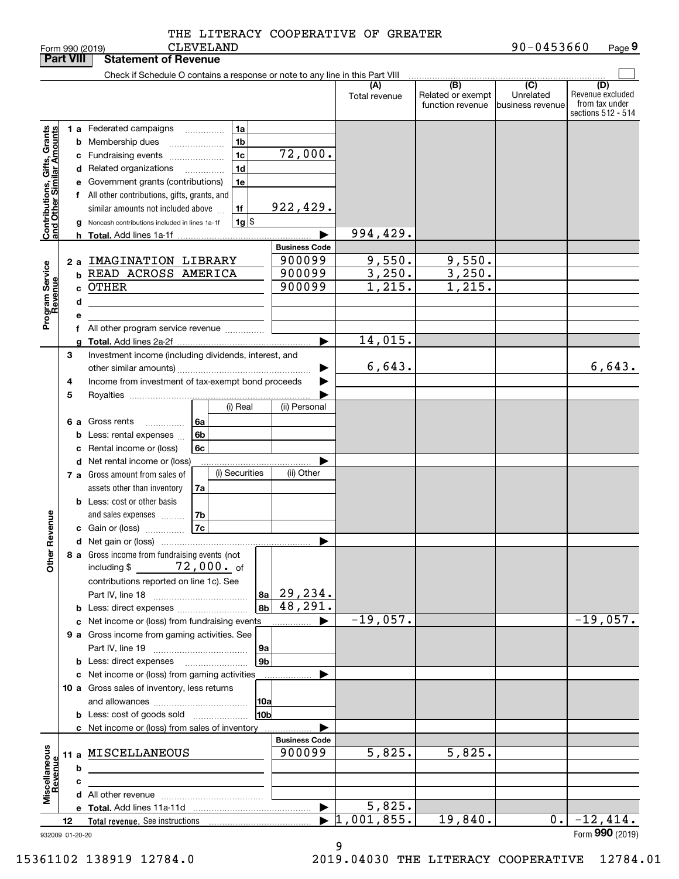| <b>Part VIII</b>                                          |    |    | <b>Statement of Revenue</b>                                                   |                       |                      |                                              |                                                  |                                                                 |
|-----------------------------------------------------------|----|----|-------------------------------------------------------------------------------|-----------------------|----------------------|----------------------------------------------|--------------------------------------------------|-----------------------------------------------------------------|
|                                                           |    |    | Check if Schedule O contains a response or note to any line in this Part VIII |                       |                      |                                              |                                                  |                                                                 |
|                                                           |    |    |                                                                               |                       | (A)<br>Total revenue | (B)<br>Related or exempt<br>function revenue | $\overline{C}$<br>Unrelated<br> business revenue | (D)<br>Revenue excluded<br>from tax under<br>sections 512 - 514 |
|                                                           |    |    | 1 a Federated campaigns<br>1a<br>.                                            |                       |                      |                                              |                                                  |                                                                 |
| Contributions, Gifts, Grants<br>and Other Similar Amounts |    |    | 1 <sub>b</sub><br><b>b</b> Membership dues                                    |                       |                      |                                              |                                                  |                                                                 |
|                                                           |    |    | 1c<br>c Fundraising events                                                    | 72,000.               |                      |                                              |                                                  |                                                                 |
|                                                           |    |    | 1 <sub>d</sub><br>d Related organizations<br>.                                |                       |                      |                                              |                                                  |                                                                 |
|                                                           |    |    | e Government grants (contributions)<br>1e                                     |                       |                      |                                              |                                                  |                                                                 |
|                                                           |    |    | f All other contributions, gifts, grants, and                                 |                       |                      |                                              |                                                  |                                                                 |
|                                                           |    |    | 1f<br>similar amounts not included above                                      | 922,429.              |                      |                                              |                                                  |                                                                 |
|                                                           |    |    | $1g$ $\frac{1}{3}$<br>Noncash contributions included in lines 1a-1f           |                       |                      |                                              |                                                  |                                                                 |
|                                                           |    | h. |                                                                               |                       | 994,429.             |                                              |                                                  |                                                                 |
|                                                           |    |    |                                                                               | <b>Business Code</b>  |                      |                                              |                                                  |                                                                 |
|                                                           |    | 2a | IMAGINATION LIBRARY                                                           | 900099                | 9,550.               | 9,550.                                       |                                                  |                                                                 |
|                                                           |    | b  | READ ACROSS AMERICA                                                           | 900099                | 3,250.               | 3,250.                                       |                                                  |                                                                 |
|                                                           |    | C. | <b>OTHER</b>                                                                  | 900099                | 1,215.               | 1,215.                                       |                                                  |                                                                 |
|                                                           |    | d  |                                                                               |                       |                      |                                              |                                                  |                                                                 |
|                                                           |    | е  |                                                                               |                       |                      |                                              |                                                  |                                                                 |
| Program Service<br>Revenue                                |    |    | f All other program service revenue                                           |                       |                      |                                              |                                                  |                                                                 |
|                                                           |    | a  |                                                                               | ▶                     | 14,015.              |                                              |                                                  |                                                                 |
|                                                           | З  |    | Investment income (including dividends, interest, and                         |                       |                      |                                              |                                                  |                                                                 |
|                                                           |    |    |                                                                               |                       | 6,643.               |                                              |                                                  | 6,643.                                                          |
|                                                           | 4  |    | Income from investment of tax-exempt bond proceeds                            |                       |                      |                                              |                                                  |                                                                 |
|                                                           | 5  |    |                                                                               |                       |                      |                                              |                                                  |                                                                 |
|                                                           |    |    | (i) Real                                                                      | (ii) Personal         |                      |                                              |                                                  |                                                                 |
|                                                           |    |    | 6 a Gross rents<br>6a<br>.                                                    |                       |                      |                                              |                                                  |                                                                 |
|                                                           |    | b  | 6b<br>Less: rental expenses                                                   |                       |                      |                                              |                                                  |                                                                 |
|                                                           |    | с  | Rental income or (loss)<br>6c                                                 |                       |                      |                                              |                                                  |                                                                 |
|                                                           |    |    | d Net rental income or (loss)                                                 |                       |                      |                                              |                                                  |                                                                 |
|                                                           |    |    | (i) Securities<br>7 a Gross amount from sales of                              | (ii) Other            |                      |                                              |                                                  |                                                                 |
|                                                           |    |    | assets other than inventory<br>7a                                             |                       |                      |                                              |                                                  |                                                                 |
|                                                           |    |    | <b>b</b> Less: cost or other basis                                            |                       |                      |                                              |                                                  |                                                                 |
|                                                           |    |    | 7b<br>and sales expenses                                                      |                       |                      |                                              |                                                  |                                                                 |
|                                                           |    |    | <b>7c</b><br>c Gain or (loss)                                                 |                       |                      |                                              |                                                  |                                                                 |
| Revenue                                                   |    |    |                                                                               | ▶                     |                      |                                              |                                                  |                                                                 |
|                                                           |    |    | 8 a Gross income from fundraising events (not                                 |                       |                      |                                              |                                                  |                                                                 |
| Other                                                     |    |    | $72$ , $000$ . of<br>including $$$                                            |                       |                      |                                              |                                                  |                                                                 |
|                                                           |    |    | contributions reported on line 1c). See                                       |                       |                      |                                              |                                                  |                                                                 |
|                                                           |    |    | 8a                                                                            | 29,234.               |                      |                                              |                                                  |                                                                 |
|                                                           |    |    | 8b                                                                            | $\overline{48,291}$ . |                      |                                              |                                                  |                                                                 |
|                                                           |    |    | c Net income or (loss) from fundraising events                                | ▶                     | $-19,057.$           |                                              |                                                  | $-19,057.$                                                      |
|                                                           |    |    | 9 a Gross income from gaming activities. See                                  |                       |                      |                                              |                                                  |                                                                 |
|                                                           |    |    | 9а                                                                            |                       |                      |                                              |                                                  |                                                                 |
|                                                           |    |    | 9 <sub>b</sub>                                                                |                       |                      |                                              |                                                  |                                                                 |
|                                                           |    |    | c Net income or (loss) from gaming activities                                 |                       |                      |                                              |                                                  |                                                                 |
|                                                           |    |    | 10 a Gross sales of inventory, less returns                                   |                       |                      |                                              |                                                  |                                                                 |
|                                                           |    |    | 10a                                                                           |                       |                      |                                              |                                                  |                                                                 |
|                                                           |    |    | 10bl<br><b>b</b> Less: cost of goods sold                                     |                       |                      |                                              |                                                  |                                                                 |
|                                                           |    |    | c Net income or (loss) from sales of inventory                                |                       |                      |                                              |                                                  |                                                                 |
|                                                           |    |    |                                                                               | <b>Business Code</b>  |                      |                                              |                                                  |                                                                 |
|                                                           |    |    | 11 a MISCELLANEOUS                                                            | 900099                | 5,825.               | 5,825.                                       |                                                  |                                                                 |
|                                                           |    | b  |                                                                               |                       |                      |                                              |                                                  |                                                                 |
|                                                           |    | c  |                                                                               |                       |                      |                                              |                                                  |                                                                 |
| Miscellaneous<br>Revenue                                  |    |    |                                                                               |                       |                      |                                              |                                                  |                                                                 |
|                                                           |    |    |                                                                               | $\blacktriangleright$ | 5,825.               |                                              |                                                  |                                                                 |
|                                                           | 12 |    |                                                                               |                       | 1,001,855.           | 19,840.                                      | 0.1                                              | $-12,414.$                                                      |
| 932009 01-20-20                                           |    |    |                                                                               |                       |                      |                                              |                                                  | Form 990 (2019)                                                 |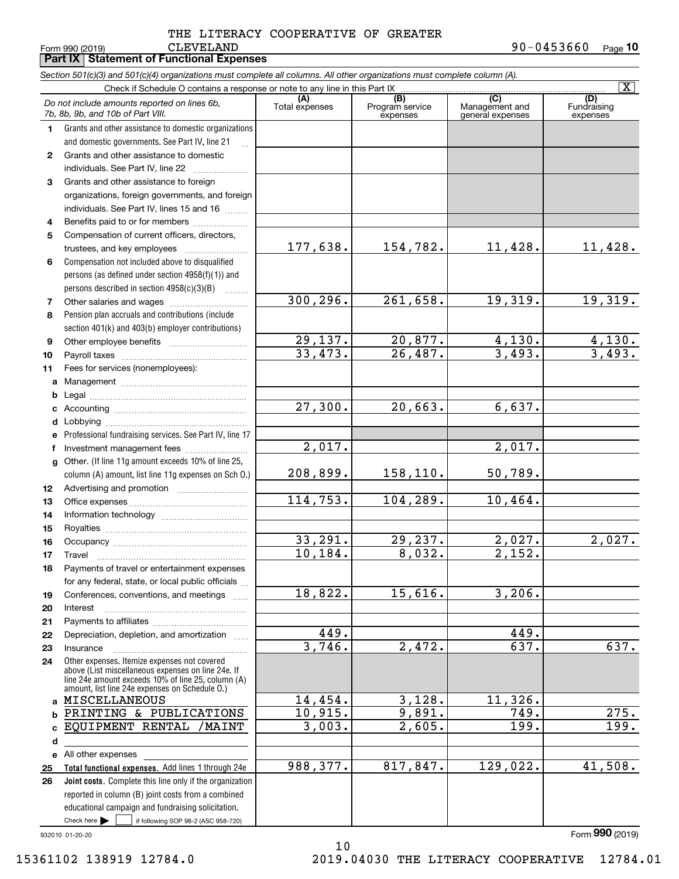|              | Section 501(c)(3) and 501(c)(4) organizations must complete all columns. All other organizations must complete column (A). |                      |                                    |                                    | $\overline{\mathbf{x}}$ |
|--------------|----------------------------------------------------------------------------------------------------------------------------|----------------------|------------------------------------|------------------------------------|-------------------------|
|              | Check if Schedule O contains a response or note to any line in this Part IX                                                | (A)                  |                                    | (C)                                | (D)                     |
|              | Do not include amounts reported on lines 6b,<br>7b, 8b, 9b, and 10b of Part VIII.                                          | Total expenses       | (B)<br>Program service<br>expenses | Management and<br>general expenses | Fundraising<br>expenses |
| 1.           | Grants and other assistance to domestic organizations                                                                      |                      |                                    |                                    |                         |
|              | and domestic governments. See Part IV, line 21                                                                             |                      |                                    |                                    |                         |
| $\mathbf{2}$ | Grants and other assistance to domestic                                                                                    |                      |                                    |                                    |                         |
|              | individuals. See Part IV, line 22                                                                                          |                      |                                    |                                    |                         |
| 3            | Grants and other assistance to foreign                                                                                     |                      |                                    |                                    |                         |
|              | organizations, foreign governments, and foreign                                                                            |                      |                                    |                                    |                         |
|              | individuals. See Part IV, lines 15 and 16                                                                                  |                      |                                    |                                    |                         |
| 4            | Benefits paid to or for members                                                                                            |                      |                                    |                                    |                         |
| 5            | Compensation of current officers, directors,                                                                               |                      |                                    |                                    |                         |
|              |                                                                                                                            | 177,638.             | 154,782.                           | 11,428.                            | 11,428.                 |
| 6            | Compensation not included above to disqualified                                                                            |                      |                                    |                                    |                         |
|              | persons (as defined under section 4958(f)(1)) and                                                                          |                      |                                    |                                    |                         |
|              | persons described in section $4958(c)(3)(B)$<br>.                                                                          |                      |                                    |                                    |                         |
| 7            |                                                                                                                            | 300, 296.            | 261,658.                           | 19,319.                            | 19,319.                 |
| 8            | Pension plan accruals and contributions (include                                                                           |                      |                                    |                                    |                         |
|              | section 401(k) and 403(b) employer contributions)                                                                          |                      |                                    |                                    |                         |
| 9            |                                                                                                                            | <u>29,137.</u>       | 20,877.                            | <u>4,130.</u>                      | 4,130.                  |
| 10           |                                                                                                                            | 33,473.              | 26,487.                            | 3,493.                             | 3,493.                  |
| 11           | Fees for services (nonemployees):                                                                                          |                      |                                    |                                    |                         |
| a            |                                                                                                                            |                      |                                    |                                    |                         |
| b            |                                                                                                                            |                      |                                    |                                    |                         |
| c            |                                                                                                                            | 27,300.              | 20,663.                            | 6,637.                             |                         |
| d            |                                                                                                                            |                      |                                    |                                    |                         |
| e            | Professional fundraising services. See Part IV, line 17                                                                    |                      |                                    |                                    |                         |
| f            | Investment management fees                                                                                                 | $\overline{2,017}$ . |                                    | 2,017.                             |                         |
| g            | Other. (If line 11g amount exceeds 10% of line 25,                                                                         |                      |                                    |                                    |                         |
|              | column (A) amount, list line 11g expenses on Sch O.)                                                                       | 208,899.             | 158,110.                           | 50,789.                            |                         |
| 12           |                                                                                                                            | 114,753.             | 104,289.                           | 10,464.                            |                         |
| 13           |                                                                                                                            |                      |                                    |                                    |                         |
| 14           |                                                                                                                            |                      |                                    |                                    |                         |
| 15           |                                                                                                                            | 33,291.              | 29,237.                            | 2,027.                             | 2,027.                  |
| 16<br>17     |                                                                                                                            | 10,184.              | 8,032.                             | 2,152.                             |                         |
| 18           | Payments of travel or entertainment expenses                                                                               |                      |                                    |                                    |                         |
|              | for any federal, state, or local public officials                                                                          |                      |                                    |                                    |                         |
| 19           | Conferences, conventions, and meetings                                                                                     | 18,822.              | 15,616.                            | 3,206.                             |                         |
| 20           | Interest                                                                                                                   |                      |                                    |                                    |                         |
| 21           |                                                                                                                            |                      |                                    |                                    |                         |
| 22           | Depreciation, depletion, and amortization                                                                                  | 449.                 |                                    | 449.                               |                         |
| 23           | Insurance                                                                                                                  | 3,746.               | 2,472.                             | 637.                               | $\overline{637}$ .      |
| 24           | Other expenses. Itemize expenses not covered                                                                               |                      |                                    |                                    |                         |
|              | above (List miscellaneous expenses on line 24e. If<br>line 24e amount exceeds 10% of line 25, column (A)                   |                      |                                    |                                    |                         |
|              | amount, list line 24e expenses on Schedule O.)                                                                             |                      |                                    |                                    |                         |
| a            | MISCELLANEOUS                                                                                                              | 14,454.              | 3,128.                             | 11,326.                            |                         |
| b            | PRINTING & PUBLICATIONS                                                                                                    | 10,915.              | 9,891.                             | 749.                               | 275.                    |
| C            | EQUIPMENT RENTAL<br>/MAINT                                                                                                 | 3,003.               | 2,605.                             | 199.                               | $\overline{199}$ .      |
| d            |                                                                                                                            |                      |                                    |                                    |                         |
|              | e All other expenses                                                                                                       |                      |                                    |                                    |                         |
| 25           | Total functional expenses. Add lines 1 through 24e                                                                         | 988,377.             | 817,847.                           | 129,022.                           | 41,508.                 |
| 26           | Joint costs. Complete this line only if the organization                                                                   |                      |                                    |                                    |                         |
|              | reported in column (B) joint costs from a combined                                                                         |                      |                                    |                                    |                         |
|              | educational campaign and fundraising solicitation.                                                                         |                      |                                    |                                    |                         |
|              | Check here $\blacktriangleright$<br>if following SOP 98-2 (ASC 958-720)                                                    |                      |                                    |                                    |                         |

10

932010 01-20-20

Form (2019) **990**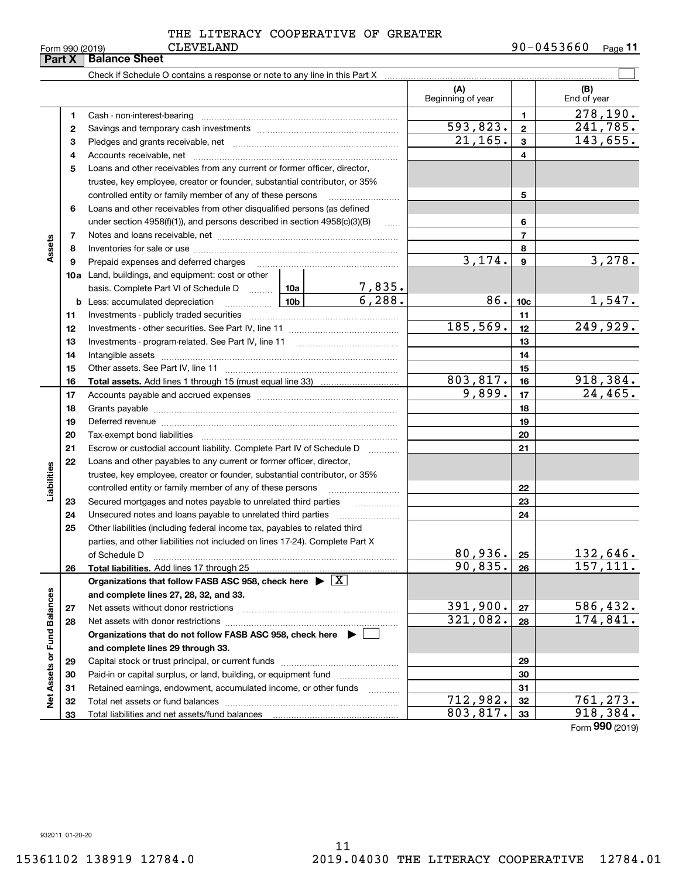|                             | Part X | <b>Balance Sheet</b>                                                                                                                                                                                                           |                 |                         |                          |                 |                       |
|-----------------------------|--------|--------------------------------------------------------------------------------------------------------------------------------------------------------------------------------------------------------------------------------|-----------------|-------------------------|--------------------------|-----------------|-----------------------|
|                             |        | Check if Schedule O contains a response or note to any line in this Part X [11] manumeroless in successive contains a response or note to any line in this Part X [11] manumeroless in the Schedule O contains and the Schedul |                 |                         |                          |                 |                       |
|                             |        |                                                                                                                                                                                                                                |                 |                         | (A)<br>Beginning of year |                 | (B)<br>End of year    |
|                             | 1      |                                                                                                                                                                                                                                |                 | 1                       | 278, 190.                |                 |                       |
|                             | 2      |                                                                                                                                                                                                                                |                 |                         | 593,823.                 | $\mathbf{2}$    | 241,785.              |
|                             | з      |                                                                                                                                                                                                                                | 21, 165.        | $\mathbf{3}$            | 143,655.                 |                 |                       |
|                             | 4      |                                                                                                                                                                                                                                |                 |                         |                          | 4               |                       |
|                             | 5      | Loans and other receivables from any current or former officer, director,                                                                                                                                                      |                 |                         |                          |                 |                       |
|                             |        | trustee, key employee, creator or founder, substantial contributor, or 35%                                                                                                                                                     |                 |                         |                          |                 |                       |
|                             |        | controlled entity or family member of any of these persons                                                                                                                                                                     |                 |                         |                          | 5               |                       |
|                             | 6      | Loans and other receivables from other disqualified persons (as defined                                                                                                                                                        |                 |                         |                          |                 |                       |
|                             |        | under section $4958(f)(1)$ , and persons described in section $4958(c)(3)(B)$                                                                                                                                                  |                 | $\ldots$                |                          | 6               |                       |
|                             | 7      |                                                                                                                                                                                                                                |                 |                         |                          | $\overline{7}$  |                       |
| Assets                      | 8      |                                                                                                                                                                                                                                |                 |                         |                          | 8               |                       |
|                             | 9      | Prepaid expenses and deferred charges                                                                                                                                                                                          |                 |                         | 3,174.                   | 9               | 3,278.                |
|                             |        | <b>10a</b> Land, buildings, and equipment: cost or other                                                                                                                                                                       |                 |                         |                          |                 |                       |
|                             |        | basis. Complete Part VI of Schedule D  10a                                                                                                                                                                                     |                 | $\frac{7,835.}{6,288.}$ |                          |                 |                       |
|                             | b      | Less: accumulated depreciation                                                                                                                                                                                                 | 10 <sub>b</sub> |                         | 86.                      | 10 <sub>c</sub> | 1,547.                |
|                             | 11     |                                                                                                                                                                                                                                |                 | 11                      |                          |                 |                       |
|                             | 12     |                                                                                                                                                                                                                                | 185,569.        | 12                      | 249,929.                 |                 |                       |
|                             | 13     |                                                                                                                                                                                                                                |                 | 13                      |                          |                 |                       |
|                             | 14     |                                                                                                                                                                                                                                |                 |                         | 14                       |                 |                       |
|                             | 15     |                                                                                                                                                                                                                                |                 |                         |                          | 15              |                       |
|                             | 16     |                                                                                                                                                                                                                                |                 |                         | 803,817.                 | 16              | 918,384.              |
|                             | 17     |                                                                                                                                                                                                                                |                 | 9,899.                  | 17                       | 24,465.         |                       |
|                             | 18     |                                                                                                                                                                                                                                |                 | 18                      |                          |                 |                       |
|                             | 19     | Deferred revenue manual contracts and contracts are contracted and contract and contract are contracted and contract are contracted and contract are contracted and contract are contracted and contract are contracted and co |                 |                         | 19                       |                 |                       |
|                             | 20     |                                                                                                                                                                                                                                |                 |                         |                          | 20              |                       |
|                             | 21     | Escrow or custodial account liability. Complete Part IV of Schedule D                                                                                                                                                          |                 | .                       |                          | 21              |                       |
|                             | 22     | Loans and other payables to any current or former officer, director,                                                                                                                                                           |                 |                         |                          |                 |                       |
|                             |        | trustee, key employee, creator or founder, substantial contributor, or 35%                                                                                                                                                     |                 |                         |                          |                 |                       |
| Liabilities                 |        | controlled entity or family member of any of these persons                                                                                                                                                                     |                 |                         |                          | 22              |                       |
|                             | 23     | Secured mortgages and notes payable to unrelated third parties                                                                                                                                                                 |                 |                         |                          | 23              |                       |
|                             | 24     |                                                                                                                                                                                                                                |                 |                         |                          | 24              |                       |
|                             | 25     | Other liabilities (including federal income tax, payables to related third                                                                                                                                                     |                 |                         |                          |                 |                       |
|                             |        | parties, and other liabilities not included on lines 17-24). Complete Part X                                                                                                                                                   |                 |                         |                          |                 |                       |
|                             |        | of Schedule D                                                                                                                                                                                                                  |                 |                         | 80,936.<br>90,835.       | 25              | 132,646.<br>157, 111. |
|                             | 26     | Total liabilities. Add lines 17 through 25<br>Organizations that follow FASB ASC 958, check here $\blacktriangleright \boxed{X}$                                                                                               |                 |                         |                          | 26              |                       |
|                             |        | and complete lines 27, 28, 32, and 33.                                                                                                                                                                                         |                 |                         |                          |                 |                       |
|                             | 27     |                                                                                                                                                                                                                                |                 |                         | 391,900.                 | 27              | 586,432.              |
|                             | 28     |                                                                                                                                                                                                                                |                 |                         | 321,082.                 | 28              | 174,841.              |
|                             |        | Organizations that do not follow FASB ASC 958, check here $\blacktriangleright$                                                                                                                                                |                 |                         |                          |                 |                       |
|                             |        | and complete lines 29 through 33.                                                                                                                                                                                              |                 |                         |                          |                 |                       |
|                             | 29     |                                                                                                                                                                                                                                |                 |                         |                          | 29              |                       |
|                             | 30     | Paid-in or capital surplus, or land, building, or equipment fund                                                                                                                                                               |                 |                         |                          | 30              |                       |
|                             | 31     | Retained earnings, endowment, accumulated income, or other funds                                                                                                                                                               |                 |                         |                          | 31              |                       |
| Net Assets or Fund Balances | 32     |                                                                                                                                                                                                                                |                 |                         | 712,982.                 | 32              | 761,273.              |
|                             | 33     |                                                                                                                                                                                                                                | 803,817.        | 33                      | 918,384.                 |                 |                       |
|                             |        |                                                                                                                                                                                                                                |                 |                         |                          |                 | Form 990 (2019)       |

932011 01-20-20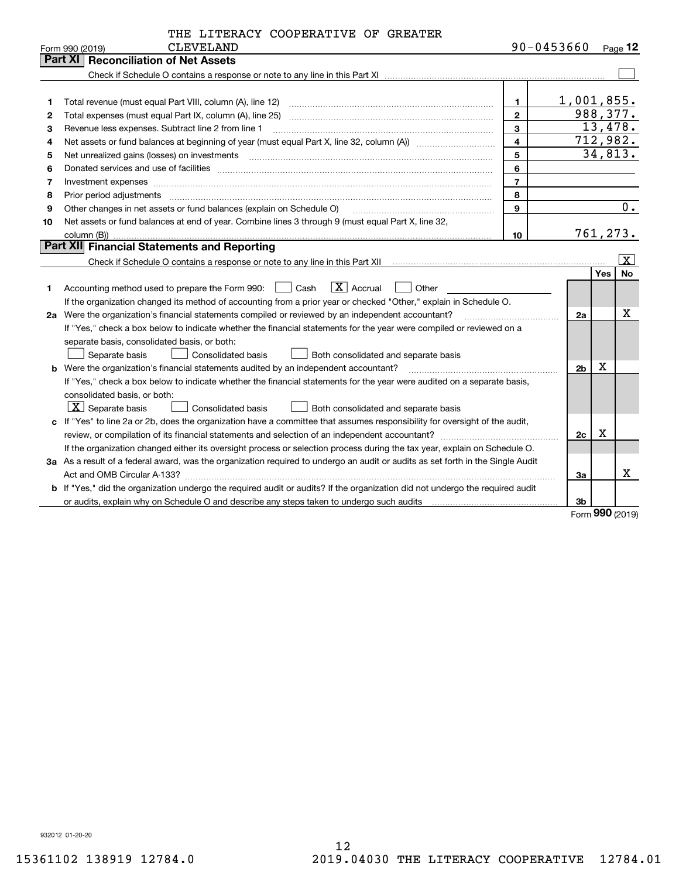|  |  | THE LITERACY COOPERATIVE OF GREATER |  |  |
|--|--|-------------------------------------|--|--|
|--|--|-------------------------------------|--|--|

| <b>Part XI Reconciliation of Net Assets</b><br>$1,001,855$ .<br>1<br>1<br>988, 377.<br>$\overline{2}$<br>Total expenses (must equal Part IX, column (A), line 25)<br>2<br>13,478.<br>3<br>Revenue less expenses. Subtract line 2 from line 1<br>з<br>712,982.<br>$\overline{\mathbf{4}}$<br>Net assets or fund balances at beginning of year (must equal Part X, line 32, column (A)) <i></i><br>4<br>34,813.<br>5<br>Net unrealized gains (losses) on investments<br>5<br>6<br>6<br>$\overline{7}$<br>Investment expenses www.communication.com/www.communication.com/www.communication.com/www.com<br>7<br>8<br>8<br>$\overline{0}$ .<br>9<br>Other changes in net assets or fund balances (explain on Schedule O)<br>9<br>Net assets or fund balances at end of year. Combine lines 3 through 9 (must equal Part X, line 32,<br>10<br>761,273.<br>10 <sup>1</sup><br>Part XII Financial Statements and Reporting<br>$ \mathbf{X} $<br><b>No</b><br>Yes<br>$\boxed{\text{X}}$ Accrual<br>Accounting method used to prepare the Form 990: <u>June</u> Cash<br>Other<br>1.<br>If the organization changed its method of accounting from a prior year or checked "Other," explain in Schedule O.<br>х<br>2a Were the organization's financial statements compiled or reviewed by an independent accountant?<br>2a<br>If "Yes," check a box below to indicate whether the financial statements for the year were compiled or reviewed on a<br>separate basis, consolidated basis, or both:<br>Separate basis<br>Consolidated basis<br>Both consolidated and separate basis<br>x<br><b>b</b> Were the organization's financial statements audited by an independent accountant?<br>2 <sub>b</sub><br>If "Yes," check a box below to indicate whether the financial statements for the year were audited on a separate basis,<br>consolidated basis, or both:<br>$ \mathbf{X} $ Separate basis<br>Consolidated basis<br>Both consolidated and separate basis<br>c If "Yes" to line 2a or 2b, does the organization have a committee that assumes responsibility for oversight of the audit,<br>x<br>2c<br>If the organization changed either its oversight process or selection process during the tax year, explain on Schedule O.<br>3a As a result of a federal award, was the organization required to undergo an audit or audits as set forth in the Single Audit<br>x<br>За<br><b>b</b> If "Yes," did the organization undergo the required audit or audits? If the organization did not undergo the required audit | <b>CLEVELAND</b><br>Form 990 (2019) |  | 90-0453660 |  | Page 12 |  |  |
|-----------------------------------------------------------------------------------------------------------------------------------------------------------------------------------------------------------------------------------------------------------------------------------------------------------------------------------------------------------------------------------------------------------------------------------------------------------------------------------------------------------------------------------------------------------------------------------------------------------------------------------------------------------------------------------------------------------------------------------------------------------------------------------------------------------------------------------------------------------------------------------------------------------------------------------------------------------------------------------------------------------------------------------------------------------------------------------------------------------------------------------------------------------------------------------------------------------------------------------------------------------------------------------------------------------------------------------------------------------------------------------------------------------------------------------------------------------------------------------------------------------------------------------------------------------------------------------------------------------------------------------------------------------------------------------------------------------------------------------------------------------------------------------------------------------------------------------------------------------------------------------------------------------------------------------------------------------------------------------------------------------------------------------------------------------------------------------------------------------------------------------------------------------------------------------------------------------------------------------------------------------------------------------------------------------------------------------------------------------------------------------------------------------------------------------------------------------------------------------------------------------------------|-------------------------------------|--|------------|--|---------|--|--|
|                                                                                                                                                                                                                                                                                                                                                                                                                                                                                                                                                                                                                                                                                                                                                                                                                                                                                                                                                                                                                                                                                                                                                                                                                                                                                                                                                                                                                                                                                                                                                                                                                                                                                                                                                                                                                                                                                                                                                                                                                                                                                                                                                                                                                                                                                                                                                                                                                                                                                                                       |                                     |  |            |  |         |  |  |
|                                                                                                                                                                                                                                                                                                                                                                                                                                                                                                                                                                                                                                                                                                                                                                                                                                                                                                                                                                                                                                                                                                                                                                                                                                                                                                                                                                                                                                                                                                                                                                                                                                                                                                                                                                                                                                                                                                                                                                                                                                                                                                                                                                                                                                                                                                                                                                                                                                                                                                                       |                                     |  |            |  |         |  |  |
|                                                                                                                                                                                                                                                                                                                                                                                                                                                                                                                                                                                                                                                                                                                                                                                                                                                                                                                                                                                                                                                                                                                                                                                                                                                                                                                                                                                                                                                                                                                                                                                                                                                                                                                                                                                                                                                                                                                                                                                                                                                                                                                                                                                                                                                                                                                                                                                                                                                                                                                       |                                     |  |            |  |         |  |  |
|                                                                                                                                                                                                                                                                                                                                                                                                                                                                                                                                                                                                                                                                                                                                                                                                                                                                                                                                                                                                                                                                                                                                                                                                                                                                                                                                                                                                                                                                                                                                                                                                                                                                                                                                                                                                                                                                                                                                                                                                                                                                                                                                                                                                                                                                                                                                                                                                                                                                                                                       |                                     |  |            |  |         |  |  |
|                                                                                                                                                                                                                                                                                                                                                                                                                                                                                                                                                                                                                                                                                                                                                                                                                                                                                                                                                                                                                                                                                                                                                                                                                                                                                                                                                                                                                                                                                                                                                                                                                                                                                                                                                                                                                                                                                                                                                                                                                                                                                                                                                                                                                                                                                                                                                                                                                                                                                                                       |                                     |  |            |  |         |  |  |
|                                                                                                                                                                                                                                                                                                                                                                                                                                                                                                                                                                                                                                                                                                                                                                                                                                                                                                                                                                                                                                                                                                                                                                                                                                                                                                                                                                                                                                                                                                                                                                                                                                                                                                                                                                                                                                                                                                                                                                                                                                                                                                                                                                                                                                                                                                                                                                                                                                                                                                                       |                                     |  |            |  |         |  |  |
|                                                                                                                                                                                                                                                                                                                                                                                                                                                                                                                                                                                                                                                                                                                                                                                                                                                                                                                                                                                                                                                                                                                                                                                                                                                                                                                                                                                                                                                                                                                                                                                                                                                                                                                                                                                                                                                                                                                                                                                                                                                                                                                                                                                                                                                                                                                                                                                                                                                                                                                       |                                     |  |            |  |         |  |  |
|                                                                                                                                                                                                                                                                                                                                                                                                                                                                                                                                                                                                                                                                                                                                                                                                                                                                                                                                                                                                                                                                                                                                                                                                                                                                                                                                                                                                                                                                                                                                                                                                                                                                                                                                                                                                                                                                                                                                                                                                                                                                                                                                                                                                                                                                                                                                                                                                                                                                                                                       |                                     |  |            |  |         |  |  |
|                                                                                                                                                                                                                                                                                                                                                                                                                                                                                                                                                                                                                                                                                                                                                                                                                                                                                                                                                                                                                                                                                                                                                                                                                                                                                                                                                                                                                                                                                                                                                                                                                                                                                                                                                                                                                                                                                                                                                                                                                                                                                                                                                                                                                                                                                                                                                                                                                                                                                                                       |                                     |  |            |  |         |  |  |
|                                                                                                                                                                                                                                                                                                                                                                                                                                                                                                                                                                                                                                                                                                                                                                                                                                                                                                                                                                                                                                                                                                                                                                                                                                                                                                                                                                                                                                                                                                                                                                                                                                                                                                                                                                                                                                                                                                                                                                                                                                                                                                                                                                                                                                                                                                                                                                                                                                                                                                                       |                                     |  |            |  |         |  |  |
|                                                                                                                                                                                                                                                                                                                                                                                                                                                                                                                                                                                                                                                                                                                                                                                                                                                                                                                                                                                                                                                                                                                                                                                                                                                                                                                                                                                                                                                                                                                                                                                                                                                                                                                                                                                                                                                                                                                                                                                                                                                                                                                                                                                                                                                                                                                                                                                                                                                                                                                       |                                     |  |            |  |         |  |  |
|                                                                                                                                                                                                                                                                                                                                                                                                                                                                                                                                                                                                                                                                                                                                                                                                                                                                                                                                                                                                                                                                                                                                                                                                                                                                                                                                                                                                                                                                                                                                                                                                                                                                                                                                                                                                                                                                                                                                                                                                                                                                                                                                                                                                                                                                                                                                                                                                                                                                                                                       |                                     |  |            |  |         |  |  |
|                                                                                                                                                                                                                                                                                                                                                                                                                                                                                                                                                                                                                                                                                                                                                                                                                                                                                                                                                                                                                                                                                                                                                                                                                                                                                                                                                                                                                                                                                                                                                                                                                                                                                                                                                                                                                                                                                                                                                                                                                                                                                                                                                                                                                                                                                                                                                                                                                                                                                                                       |                                     |  |            |  |         |  |  |
|                                                                                                                                                                                                                                                                                                                                                                                                                                                                                                                                                                                                                                                                                                                                                                                                                                                                                                                                                                                                                                                                                                                                                                                                                                                                                                                                                                                                                                                                                                                                                                                                                                                                                                                                                                                                                                                                                                                                                                                                                                                                                                                                                                                                                                                                                                                                                                                                                                                                                                                       |                                     |  |            |  |         |  |  |
|                                                                                                                                                                                                                                                                                                                                                                                                                                                                                                                                                                                                                                                                                                                                                                                                                                                                                                                                                                                                                                                                                                                                                                                                                                                                                                                                                                                                                                                                                                                                                                                                                                                                                                                                                                                                                                                                                                                                                                                                                                                                                                                                                                                                                                                                                                                                                                                                                                                                                                                       |                                     |  |            |  |         |  |  |
|                                                                                                                                                                                                                                                                                                                                                                                                                                                                                                                                                                                                                                                                                                                                                                                                                                                                                                                                                                                                                                                                                                                                                                                                                                                                                                                                                                                                                                                                                                                                                                                                                                                                                                                                                                                                                                                                                                                                                                                                                                                                                                                                                                                                                                                                                                                                                                                                                                                                                                                       |                                     |  |            |  |         |  |  |
|                                                                                                                                                                                                                                                                                                                                                                                                                                                                                                                                                                                                                                                                                                                                                                                                                                                                                                                                                                                                                                                                                                                                                                                                                                                                                                                                                                                                                                                                                                                                                                                                                                                                                                                                                                                                                                                                                                                                                                                                                                                                                                                                                                                                                                                                                                                                                                                                                                                                                                                       |                                     |  |            |  |         |  |  |
|                                                                                                                                                                                                                                                                                                                                                                                                                                                                                                                                                                                                                                                                                                                                                                                                                                                                                                                                                                                                                                                                                                                                                                                                                                                                                                                                                                                                                                                                                                                                                                                                                                                                                                                                                                                                                                                                                                                                                                                                                                                                                                                                                                                                                                                                                                                                                                                                                                                                                                                       |                                     |  |            |  |         |  |  |
|                                                                                                                                                                                                                                                                                                                                                                                                                                                                                                                                                                                                                                                                                                                                                                                                                                                                                                                                                                                                                                                                                                                                                                                                                                                                                                                                                                                                                                                                                                                                                                                                                                                                                                                                                                                                                                                                                                                                                                                                                                                                                                                                                                                                                                                                                                                                                                                                                                                                                                                       |                                     |  |            |  |         |  |  |
|                                                                                                                                                                                                                                                                                                                                                                                                                                                                                                                                                                                                                                                                                                                                                                                                                                                                                                                                                                                                                                                                                                                                                                                                                                                                                                                                                                                                                                                                                                                                                                                                                                                                                                                                                                                                                                                                                                                                                                                                                                                                                                                                                                                                                                                                                                                                                                                                                                                                                                                       |                                     |  |            |  |         |  |  |
|                                                                                                                                                                                                                                                                                                                                                                                                                                                                                                                                                                                                                                                                                                                                                                                                                                                                                                                                                                                                                                                                                                                                                                                                                                                                                                                                                                                                                                                                                                                                                                                                                                                                                                                                                                                                                                                                                                                                                                                                                                                                                                                                                                                                                                                                                                                                                                                                                                                                                                                       |                                     |  |            |  |         |  |  |
|                                                                                                                                                                                                                                                                                                                                                                                                                                                                                                                                                                                                                                                                                                                                                                                                                                                                                                                                                                                                                                                                                                                                                                                                                                                                                                                                                                                                                                                                                                                                                                                                                                                                                                                                                                                                                                                                                                                                                                                                                                                                                                                                                                                                                                                                                                                                                                                                                                                                                                                       |                                     |  |            |  |         |  |  |
|                                                                                                                                                                                                                                                                                                                                                                                                                                                                                                                                                                                                                                                                                                                                                                                                                                                                                                                                                                                                                                                                                                                                                                                                                                                                                                                                                                                                                                                                                                                                                                                                                                                                                                                                                                                                                                                                                                                                                                                                                                                                                                                                                                                                                                                                                                                                                                                                                                                                                                                       |                                     |  |            |  |         |  |  |
|                                                                                                                                                                                                                                                                                                                                                                                                                                                                                                                                                                                                                                                                                                                                                                                                                                                                                                                                                                                                                                                                                                                                                                                                                                                                                                                                                                                                                                                                                                                                                                                                                                                                                                                                                                                                                                                                                                                                                                                                                                                                                                                                                                                                                                                                                                                                                                                                                                                                                                                       |                                     |  |            |  |         |  |  |
|                                                                                                                                                                                                                                                                                                                                                                                                                                                                                                                                                                                                                                                                                                                                                                                                                                                                                                                                                                                                                                                                                                                                                                                                                                                                                                                                                                                                                                                                                                                                                                                                                                                                                                                                                                                                                                                                                                                                                                                                                                                                                                                                                                                                                                                                                                                                                                                                                                                                                                                       |                                     |  |            |  |         |  |  |
|                                                                                                                                                                                                                                                                                                                                                                                                                                                                                                                                                                                                                                                                                                                                                                                                                                                                                                                                                                                                                                                                                                                                                                                                                                                                                                                                                                                                                                                                                                                                                                                                                                                                                                                                                                                                                                                                                                                                                                                                                                                                                                                                                                                                                                                                                                                                                                                                                                                                                                                       |                                     |  |            |  |         |  |  |
|                                                                                                                                                                                                                                                                                                                                                                                                                                                                                                                                                                                                                                                                                                                                                                                                                                                                                                                                                                                                                                                                                                                                                                                                                                                                                                                                                                                                                                                                                                                                                                                                                                                                                                                                                                                                                                                                                                                                                                                                                                                                                                                                                                                                                                                                                                                                                                                                                                                                                                                       |                                     |  |            |  |         |  |  |
|                                                                                                                                                                                                                                                                                                                                                                                                                                                                                                                                                                                                                                                                                                                                                                                                                                                                                                                                                                                                                                                                                                                                                                                                                                                                                                                                                                                                                                                                                                                                                                                                                                                                                                                                                                                                                                                                                                                                                                                                                                                                                                                                                                                                                                                                                                                                                                                                                                                                                                                       |                                     |  |            |  |         |  |  |
|                                                                                                                                                                                                                                                                                                                                                                                                                                                                                                                                                                                                                                                                                                                                                                                                                                                                                                                                                                                                                                                                                                                                                                                                                                                                                                                                                                                                                                                                                                                                                                                                                                                                                                                                                                                                                                                                                                                                                                                                                                                                                                                                                                                                                                                                                                                                                                                                                                                                                                                       |                                     |  |            |  |         |  |  |
|                                                                                                                                                                                                                                                                                                                                                                                                                                                                                                                                                                                                                                                                                                                                                                                                                                                                                                                                                                                                                                                                                                                                                                                                                                                                                                                                                                                                                                                                                                                                                                                                                                                                                                                                                                                                                                                                                                                                                                                                                                                                                                                                                                                                                                                                                                                                                                                                                                                                                                                       |                                     |  |            |  |         |  |  |
|                                                                                                                                                                                                                                                                                                                                                                                                                                                                                                                                                                                                                                                                                                                                                                                                                                                                                                                                                                                                                                                                                                                                                                                                                                                                                                                                                                                                                                                                                                                                                                                                                                                                                                                                                                                                                                                                                                                                                                                                                                                                                                                                                                                                                                                                                                                                                                                                                                                                                                                       |                                     |  |            |  |         |  |  |
|                                                                                                                                                                                                                                                                                                                                                                                                                                                                                                                                                                                                                                                                                                                                                                                                                                                                                                                                                                                                                                                                                                                                                                                                                                                                                                                                                                                                                                                                                                                                                                                                                                                                                                                                                                                                                                                                                                                                                                                                                                                                                                                                                                                                                                                                                                                                                                                                                                                                                                                       |                                     |  |            |  |         |  |  |
|                                                                                                                                                                                                                                                                                                                                                                                                                                                                                                                                                                                                                                                                                                                                                                                                                                                                                                                                                                                                                                                                                                                                                                                                                                                                                                                                                                                                                                                                                                                                                                                                                                                                                                                                                                                                                                                                                                                                                                                                                                                                                                                                                                                                                                                                                                                                                                                                                                                                                                                       |                                     |  |            |  |         |  |  |
| 3b                                                                                                                                                                                                                                                                                                                                                                                                                                                                                                                                                                                                                                                                                                                                                                                                                                                                                                                                                                                                                                                                                                                                                                                                                                                                                                                                                                                                                                                                                                                                                                                                                                                                                                                                                                                                                                                                                                                                                                                                                                                                                                                                                                                                                                                                                                                                                                                                                                                                                                                    |                                     |  |            |  |         |  |  |

Form (2019) **990**

932012 01-20-20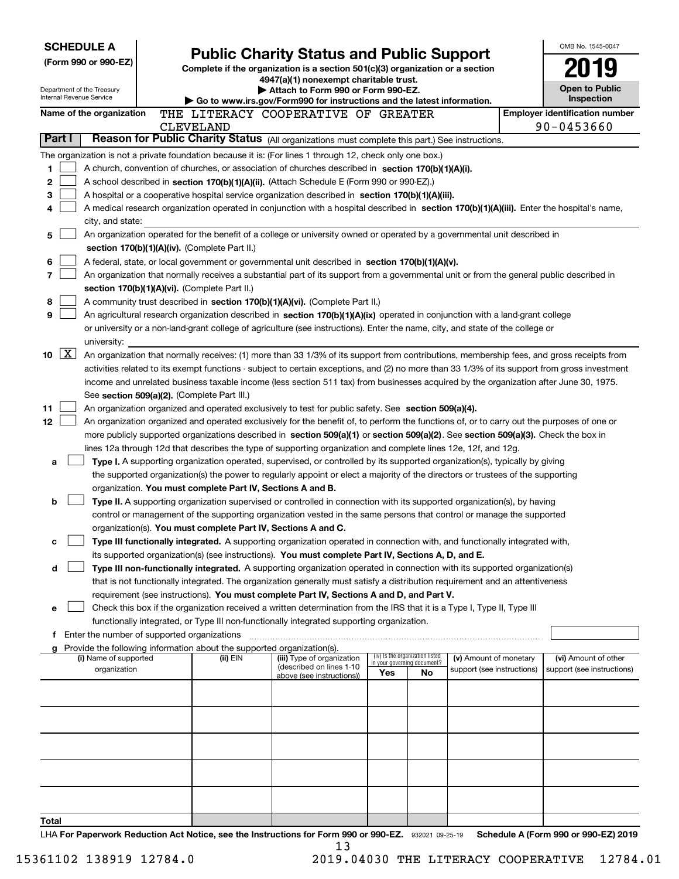| <b>SCHEDULE A</b>                                      |                                             |  |                                               |                                                                                                                                                                                                                                                                                        |     |                                                                |                            | OMB No. 1545-0047                                   |
|--------------------------------------------------------|---------------------------------------------|--|-----------------------------------------------|----------------------------------------------------------------------------------------------------------------------------------------------------------------------------------------------------------------------------------------------------------------------------------------|-----|----------------------------------------------------------------|----------------------------|-----------------------------------------------------|
|                                                        | (Form 990 or 990-EZ)                        |  |                                               | <b>Public Charity Status and Public Support</b>                                                                                                                                                                                                                                        |     |                                                                |                            |                                                     |
|                                                        |                                             |  |                                               | Complete if the organization is a section $501(c)(3)$ organization or a section<br>4947(a)(1) nonexempt charitable trust.                                                                                                                                                              |     |                                                                |                            |                                                     |
| Department of the Treasury<br>Internal Revenue Service |                                             |  |                                               | Attach to Form 990 or Form 990-EZ.                                                                                                                                                                                                                                                     |     |                                                                |                            | <b>Open to Public</b>                               |
|                                                        |                                             |  |                                               | Go to www.irs.gov/Form990 for instructions and the latest information.                                                                                                                                                                                                                 |     |                                                                |                            | Inspection                                          |
|                                                        | Name of the organization                    |  | <b>CLEVELAND</b>                              | THE LITERACY COOPERATIVE OF GREATER                                                                                                                                                                                                                                                    |     |                                                                |                            | <b>Employer identification number</b><br>90-0453660 |
| Part I                                                 |                                             |  |                                               | Reason for Public Charity Status (All organizations must complete this part.) See instructions.                                                                                                                                                                                        |     |                                                                |                            |                                                     |
|                                                        |                                             |  |                                               | The organization is not a private foundation because it is: (For lines 1 through 12, check only one box.)                                                                                                                                                                              |     |                                                                |                            |                                                     |
| 1.                                                     |                                             |  |                                               | A church, convention of churches, or association of churches described in section 170(b)(1)(A)(i).                                                                                                                                                                                     |     |                                                                |                            |                                                     |
| 2                                                      |                                             |  |                                               | A school described in section 170(b)(1)(A)(ii). (Attach Schedule E (Form 990 or 990-EZ).)                                                                                                                                                                                              |     |                                                                |                            |                                                     |
| 3                                                      |                                             |  |                                               | A hospital or a cooperative hospital service organization described in section 170(b)(1)(A)(iii).                                                                                                                                                                                      |     |                                                                |                            |                                                     |
| 4                                                      |                                             |  |                                               | A medical research organization operated in conjunction with a hospital described in section 170(b)(1)(A)(iii). Enter the hospital's name,                                                                                                                                             |     |                                                                |                            |                                                     |
|                                                        | city, and state:                            |  |                                               |                                                                                                                                                                                                                                                                                        |     |                                                                |                            |                                                     |
| 5                                                      |                                             |  |                                               | An organization operated for the benefit of a college or university owned or operated by a governmental unit described in                                                                                                                                                              |     |                                                                |                            |                                                     |
|                                                        |                                             |  | section 170(b)(1)(A)(iv). (Complete Part II.) |                                                                                                                                                                                                                                                                                        |     |                                                                |                            |                                                     |
| 6                                                      |                                             |  |                                               | A federal, state, or local government or governmental unit described in section $170(b)(1)(A)(v)$ .                                                                                                                                                                                    |     |                                                                |                            |                                                     |
| 7                                                      |                                             |  |                                               | An organization that normally receives a substantial part of its support from a governmental unit or from the general public described in                                                                                                                                              |     |                                                                |                            |                                                     |
|                                                        |                                             |  | section 170(b)(1)(A)(vi). (Complete Part II.) |                                                                                                                                                                                                                                                                                        |     |                                                                |                            |                                                     |
| 8                                                      |                                             |  |                                               | A community trust described in section 170(b)(1)(A)(vi). (Complete Part II.)                                                                                                                                                                                                           |     |                                                                |                            |                                                     |
| 9                                                      |                                             |  |                                               | An agricultural research organization described in section 170(b)(1)(A)(ix) operated in conjunction with a land-grant college                                                                                                                                                          |     |                                                                |                            |                                                     |
|                                                        |                                             |  |                                               | or university or a non-land-grant college of agriculture (see instructions). Enter the name, city, and state of the college or                                                                                                                                                         |     |                                                                |                            |                                                     |
|                                                        | university:                                 |  |                                               |                                                                                                                                                                                                                                                                                        |     |                                                                |                            |                                                     |
| $\lfloor x \rfloor$<br>10                              |                                             |  |                                               | An organization that normally receives: (1) more than 33 1/3% of its support from contributions, membership fees, and gross receipts from                                                                                                                                              |     |                                                                |                            |                                                     |
|                                                        |                                             |  |                                               | activities related to its exempt functions - subject to certain exceptions, and (2) no more than 33 1/3% of its support from gross investment<br>income and unrelated business taxable income (less section 511 tax) from businesses acquired by the organization after June 30, 1975. |     |                                                                |                            |                                                     |
|                                                        |                                             |  | See section 509(a)(2). (Complete Part III.)   |                                                                                                                                                                                                                                                                                        |     |                                                                |                            |                                                     |
| 11                                                     |                                             |  |                                               | An organization organized and operated exclusively to test for public safety. See section 509(a)(4).                                                                                                                                                                                   |     |                                                                |                            |                                                     |
| 12                                                     |                                             |  |                                               | An organization organized and operated exclusively for the benefit of, to perform the functions of, or to carry out the purposes of one or                                                                                                                                             |     |                                                                |                            |                                                     |
|                                                        |                                             |  |                                               | more publicly supported organizations described in section 509(a)(1) or section 509(a)(2). See section 509(a)(3). Check the box in                                                                                                                                                     |     |                                                                |                            |                                                     |
|                                                        |                                             |  |                                               | lines 12a through 12d that describes the type of supporting organization and complete lines 12e, 12f, and 12g.                                                                                                                                                                         |     |                                                                |                            |                                                     |
| a                                                      |                                             |  |                                               | Type I. A supporting organization operated, supervised, or controlled by its supported organization(s), typically by giving                                                                                                                                                            |     |                                                                |                            |                                                     |
|                                                        |                                             |  |                                               | the supported organization(s) the power to regularly appoint or elect a majority of the directors or trustees of the supporting                                                                                                                                                        |     |                                                                |                            |                                                     |
|                                                        |                                             |  |                                               | organization. You must complete Part IV, Sections A and B.                                                                                                                                                                                                                             |     |                                                                |                            |                                                     |
| b                                                      |                                             |  |                                               | Type II. A supporting organization supervised or controlled in connection with its supported organization(s), by having                                                                                                                                                                |     |                                                                |                            |                                                     |
|                                                        |                                             |  |                                               | control or management of the supporting organization vested in the same persons that control or manage the supported                                                                                                                                                                   |     |                                                                |                            |                                                     |
|                                                        |                                             |  |                                               | organization(s). You must complete Part IV, Sections A and C.                                                                                                                                                                                                                          |     |                                                                |                            |                                                     |
| с                                                      |                                             |  |                                               | Type III functionally integrated. A supporting organization operated in connection with, and functionally integrated with,                                                                                                                                                             |     |                                                                |                            |                                                     |
|                                                        |                                             |  |                                               | its supported organization(s) (see instructions). You must complete Part IV, Sections A, D, and E.                                                                                                                                                                                     |     |                                                                |                            |                                                     |
| d                                                      |                                             |  |                                               | Type III non-functionally integrated. A supporting organization operated in connection with its supported organization(s)<br>that is not functionally integrated. The organization generally must satisfy a distribution requirement and an attentiveness                              |     |                                                                |                            |                                                     |
|                                                        |                                             |  |                                               | requirement (see instructions). You must complete Part IV, Sections A and D, and Part V.                                                                                                                                                                                               |     |                                                                |                            |                                                     |
| е                                                      |                                             |  |                                               | Check this box if the organization received a written determination from the IRS that it is a Type I, Type II, Type III                                                                                                                                                                |     |                                                                |                            |                                                     |
|                                                        |                                             |  |                                               | functionally integrated, or Type III non-functionally integrated supporting organization.                                                                                                                                                                                              |     |                                                                |                            |                                                     |
| f.                                                     | Enter the number of supported organizations |  |                                               |                                                                                                                                                                                                                                                                                        |     |                                                                |                            |                                                     |
| a                                                      |                                             |  |                                               | Provide the following information about the supported organization(s).                                                                                                                                                                                                                 |     |                                                                |                            |                                                     |
|                                                        | (i) Name of supported                       |  | (ii) EIN                                      | (iii) Type of organization<br>(described on lines 1-10                                                                                                                                                                                                                                 |     | (iv) Is the organization listed<br>in your governing document? | (v) Amount of monetary     | (vi) Amount of other                                |
|                                                        | organization                                |  |                                               | above (see instructions))                                                                                                                                                                                                                                                              | Yes | No                                                             | support (see instructions) | support (see instructions)                          |
|                                                        |                                             |  |                                               |                                                                                                                                                                                                                                                                                        |     |                                                                |                            |                                                     |
|                                                        |                                             |  |                                               |                                                                                                                                                                                                                                                                                        |     |                                                                |                            |                                                     |
|                                                        |                                             |  |                                               |                                                                                                                                                                                                                                                                                        |     |                                                                |                            |                                                     |
|                                                        |                                             |  |                                               |                                                                                                                                                                                                                                                                                        |     |                                                                |                            |                                                     |
|                                                        |                                             |  |                                               |                                                                                                                                                                                                                                                                                        |     |                                                                |                            |                                                     |
|                                                        |                                             |  |                                               |                                                                                                                                                                                                                                                                                        |     |                                                                |                            |                                                     |
|                                                        |                                             |  |                                               |                                                                                                                                                                                                                                                                                        |     |                                                                |                            |                                                     |
|                                                        |                                             |  |                                               |                                                                                                                                                                                                                                                                                        |     |                                                                |                            |                                                     |
|                                                        |                                             |  |                                               |                                                                                                                                                                                                                                                                                        |     |                                                                |                            |                                                     |
| Total                                                  |                                             |  |                                               |                                                                                                                                                                                                                                                                                        |     |                                                                |                            |                                                     |
|                                                        |                                             |  |                                               | $1 \text{ H}$ Ear Reparatively Reduction Act Notice, see the Instructions for Earm 880 or 880.57 $\pm$ 200001, 89.85.19                                                                                                                                                                |     |                                                                |                            | Schodule A (Form 000 or 000 FZ) 2010                |

LHA For Paperwork Reduction Act Notice, see the Instructions for Form 990 or 990-EZ. 932021 09-25-19 Schedule A (Form 990 or 990-EZ) 2019 13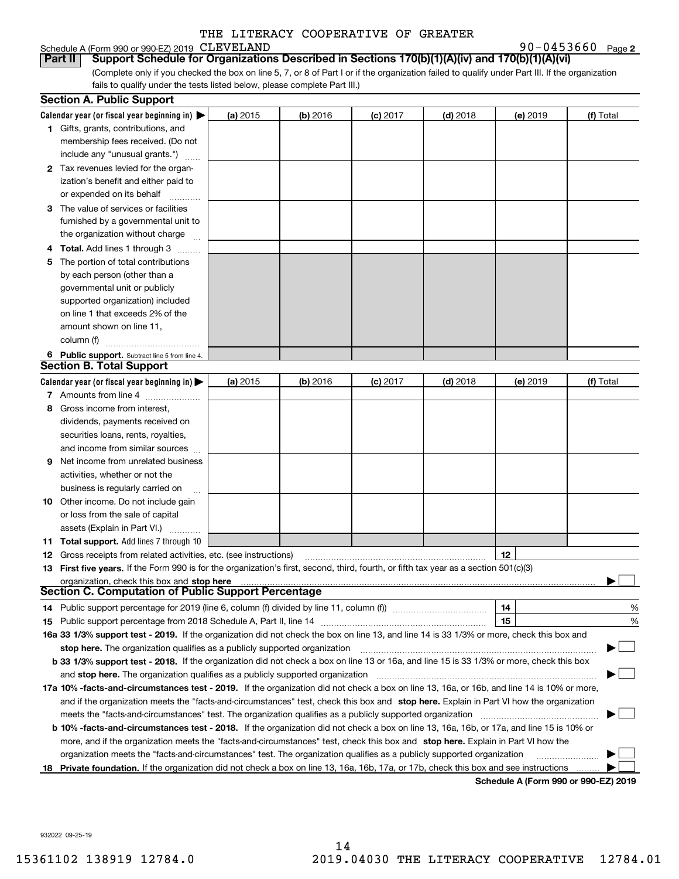## Schedule A (Form 990 or 990-EZ) 2019 CLEVELAND

**2** CLEVELAND 90-0453660

(Complete only if you checked the box on line 5, 7, or 8 of Part I or if the organization failed to qualify under Part III. If the organization fails to qualify under the tests listed below, please complete Part III.) **Part II Support Schedule for Organizations Described in Sections 170(b)(1)(A)(iv) and 170(b)(1)(A)(vi)**

|    | <b>Section A. Public Support</b>                                                                                                               |          |            |                 |            |          |                                      |
|----|------------------------------------------------------------------------------------------------------------------------------------------------|----------|------------|-----------------|------------|----------|--------------------------------------|
|    | Calendar year (or fiscal year beginning in) $\blacktriangleright$                                                                              | (a) 2015 | (b) 2016   | <b>(c)</b> 2017 | $(d)$ 2018 | (e) 2019 | (f) Total                            |
|    | 1 Gifts, grants, contributions, and                                                                                                            |          |            |                 |            |          |                                      |
|    | membership fees received. (Do not                                                                                                              |          |            |                 |            |          |                                      |
|    | include any "unusual grants.")                                                                                                                 |          |            |                 |            |          |                                      |
|    | 2 Tax revenues levied for the organ-                                                                                                           |          |            |                 |            |          |                                      |
|    | ization's benefit and either paid to                                                                                                           |          |            |                 |            |          |                                      |
|    | or expended on its behalf                                                                                                                      |          |            |                 |            |          |                                      |
|    | 3 The value of services or facilities                                                                                                          |          |            |                 |            |          |                                      |
|    | furnished by a governmental unit to                                                                                                            |          |            |                 |            |          |                                      |
|    | the organization without charge                                                                                                                |          |            |                 |            |          |                                      |
|    | 4 Total. Add lines 1 through 3                                                                                                                 |          |            |                 |            |          |                                      |
| 5. | The portion of total contributions                                                                                                             |          |            |                 |            |          |                                      |
|    | by each person (other than a                                                                                                                   |          |            |                 |            |          |                                      |
|    | governmental unit or publicly                                                                                                                  |          |            |                 |            |          |                                      |
|    | supported organization) included                                                                                                               |          |            |                 |            |          |                                      |
|    | on line 1 that exceeds 2% of the                                                                                                               |          |            |                 |            |          |                                      |
|    | amount shown on line 11,                                                                                                                       |          |            |                 |            |          |                                      |
|    | column (f)                                                                                                                                     |          |            |                 |            |          |                                      |
|    | 6 Public support. Subtract line 5 from line 4.                                                                                                 |          |            |                 |            |          |                                      |
|    | <b>Section B. Total Support</b>                                                                                                                |          |            |                 |            |          |                                      |
|    | Calendar year (or fiscal year beginning in) $\blacktriangleright$                                                                              | (a) 2015 | $(b)$ 2016 | $(c)$ 2017      | $(d)$ 2018 | (e) 2019 | (f) Total                            |
|    | 7 Amounts from line 4                                                                                                                          |          |            |                 |            |          |                                      |
| 8  | Gross income from interest,                                                                                                                    |          |            |                 |            |          |                                      |
|    | dividends, payments received on                                                                                                                |          |            |                 |            |          |                                      |
|    | securities loans, rents, royalties,                                                                                                            |          |            |                 |            |          |                                      |
|    | and income from similar sources                                                                                                                |          |            |                 |            |          |                                      |
| 9. | Net income from unrelated business                                                                                                             |          |            |                 |            |          |                                      |
|    | activities, whether or not the                                                                                                                 |          |            |                 |            |          |                                      |
|    | business is regularly carried on                                                                                                               |          |            |                 |            |          |                                      |
|    | <b>10</b> Other income. Do not include gain                                                                                                    |          |            |                 |            |          |                                      |
|    | or loss from the sale of capital                                                                                                               |          |            |                 |            |          |                                      |
|    | assets (Explain in Part VI.)                                                                                                                   |          |            |                 |            |          |                                      |
|    | 11 Total support. Add lines 7 through 10                                                                                                       |          |            |                 |            |          |                                      |
|    | <b>12</b> Gross receipts from related activities, etc. (see instructions)                                                                      |          |            |                 |            | 12       |                                      |
|    | 13 First five years. If the Form 990 is for the organization's first, second, third, fourth, or fifth tax year as a section 501(c)(3)          |          |            |                 |            |          |                                      |
|    | organization, check this box and stop here                                                                                                     |          |            |                 |            |          |                                      |
|    | <b>Section C. Computation of Public Support Percentage</b>                                                                                     |          |            |                 |            |          |                                      |
|    | 14 Public support percentage for 2019 (line 6, column (f) divided by line 11, column (f) <i>mummeronom</i>                                     |          |            |                 |            | 14       | %                                    |
|    |                                                                                                                                                |          |            |                 |            | 15       | %                                    |
|    | 16a 33 1/3% support test - 2019. If the organization did not check the box on line 13, and line 14 is 33 1/3% or more, check this box and      |          |            |                 |            |          |                                      |
|    | stop here. The organization qualifies as a publicly supported organization                                                                     |          |            |                 |            |          |                                      |
|    | b 33 1/3% support test - 2018. If the organization did not check a box on line 13 or 16a, and line 15 is 33 1/3% or more, check this box       |          |            |                 |            |          |                                      |
|    | and stop here. The organization qualifies as a publicly supported organization                                                                 |          |            |                 |            |          |                                      |
|    | 17a 10% -facts-and-circumstances test - 2019. If the organization did not check a box on line 13, 16a, or 16b, and line 14 is 10% or more,     |          |            |                 |            |          |                                      |
|    | and if the organization meets the "facts-and-circumstances" test, check this box and stop here. Explain in Part VI how the organization        |          |            |                 |            |          |                                      |
|    | meets the "facts-and-circumstances" test. The organization qualifies as a publicly supported organization                                      |          |            |                 |            |          |                                      |
|    | <b>b 10% -facts-and-circumstances test - 2018.</b> If the organization did not check a box on line 13, 16a, 16b, or 17a, and line 15 is 10% or |          |            |                 |            |          |                                      |
|    | more, and if the organization meets the "facts-and-circumstances" test, check this box and stop here. Explain in Part VI how the               |          |            |                 |            |          |                                      |
|    | organization meets the "facts-and-circumstances" test. The organization qualifies as a publicly supported organization                         |          |            |                 |            |          |                                      |
|    | 18 Private foundation. If the organization did not check a box on line 13, 16a, 16b, 17a, or 17b, check this box and see instructions          |          |            |                 |            |          |                                      |
|    |                                                                                                                                                |          |            |                 |            |          | Schodule A (Form 000 or 000 F7) 2010 |

**Schedule A (Form 990 or 990-EZ) 2019**

932022 09-25-19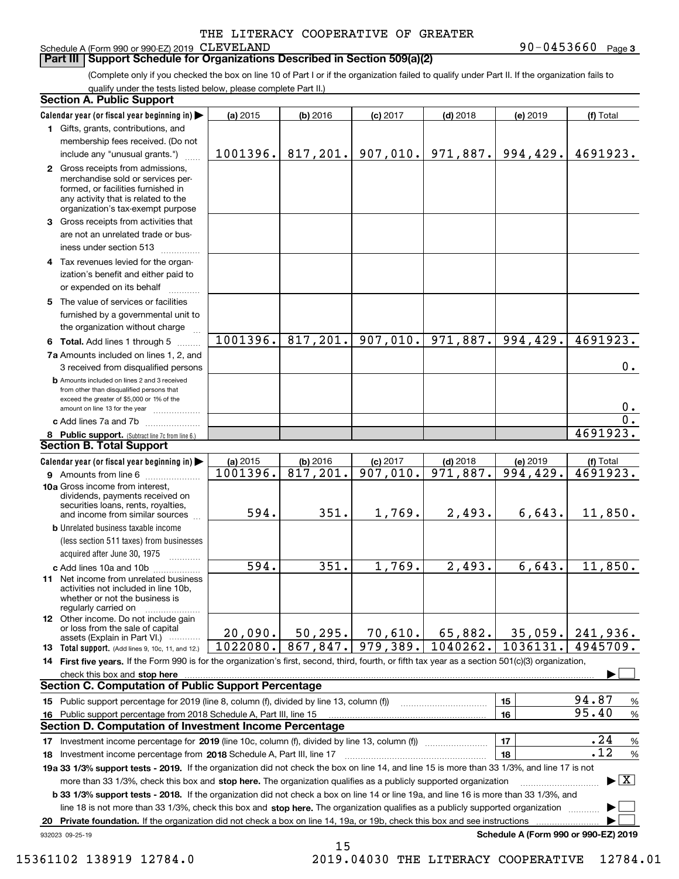## Schedule A (Form 990 or 990-EZ) 2019 CLEVELAND

**Part III Support Schedule for Organizations Described in Section 509(a)(2)** 

**3** CLEVELAND 90-0453660

(Complete only if you checked the box on line 10 of Part I or if the organization failed to qualify under Part II. If the organization fails to qualify under the tests listed below, please complete Part II.)

|    | <b>Section A. Public Support</b>                                                                                                                                                                                                                                         |                    |            |            |            |                                      |                                          |  |
|----|--------------------------------------------------------------------------------------------------------------------------------------------------------------------------------------------------------------------------------------------------------------------------|--------------------|------------|------------|------------|--------------------------------------|------------------------------------------|--|
|    | Calendar year (or fiscal year beginning in)                                                                                                                                                                                                                              | (a) 2015           | (b) 2016   | $(c)$ 2017 | $(d)$ 2018 | (e) 2019                             | (f) Total                                |  |
|    | 1 Gifts, grants, contributions, and                                                                                                                                                                                                                                      |                    |            |            |            |                                      |                                          |  |
|    | membership fees received. (Do not                                                                                                                                                                                                                                        |                    |            |            |            |                                      |                                          |  |
|    | include any "unusual grants.")                                                                                                                                                                                                                                           | 1001396.           | 817, 201.  | 907,010.   | 971,887.   | 994,429.                             | 4691923.                                 |  |
|    | 2 Gross receipts from admissions,<br>merchandise sold or services per-                                                                                                                                                                                                   |                    |            |            |            |                                      |                                          |  |
|    | formed, or facilities furnished in                                                                                                                                                                                                                                       |                    |            |            |            |                                      |                                          |  |
|    | any activity that is related to the                                                                                                                                                                                                                                      |                    |            |            |            |                                      |                                          |  |
|    | organization's tax-exempt purpose                                                                                                                                                                                                                                        |                    |            |            |            |                                      |                                          |  |
|    | 3 Gross receipts from activities that                                                                                                                                                                                                                                    |                    |            |            |            |                                      |                                          |  |
|    | are not an unrelated trade or bus-                                                                                                                                                                                                                                       |                    |            |            |            |                                      |                                          |  |
|    | iness under section 513                                                                                                                                                                                                                                                  |                    |            |            |            |                                      |                                          |  |
|    | 4 Tax revenues levied for the organ-                                                                                                                                                                                                                                     |                    |            |            |            |                                      |                                          |  |
|    | ization's benefit and either paid to                                                                                                                                                                                                                                     |                    |            |            |            |                                      |                                          |  |
|    | or expended on its behalf                                                                                                                                                                                                                                                |                    |            |            |            |                                      |                                          |  |
|    | 5 The value of services or facilities                                                                                                                                                                                                                                    |                    |            |            |            |                                      |                                          |  |
|    | furnished by a governmental unit to                                                                                                                                                                                                                                      |                    |            |            |            |                                      |                                          |  |
|    | the organization without charge                                                                                                                                                                                                                                          |                    |            |            |            |                                      |                                          |  |
|    | 6 Total. Add lines 1 through 5                                                                                                                                                                                                                                           | 1001396.           | 817,201.   | 907,010.   | 971,887.   | 994,429.                             | 4691923.                                 |  |
|    | 7a Amounts included on lines 1, 2, and                                                                                                                                                                                                                                   |                    |            |            |            |                                      |                                          |  |
|    | 3 received from disqualified persons                                                                                                                                                                                                                                     |                    |            |            |            |                                      | 0.                                       |  |
|    | <b>b</b> Amounts included on lines 2 and 3 received                                                                                                                                                                                                                      |                    |            |            |            |                                      |                                          |  |
|    | from other than disqualified persons that<br>exceed the greater of \$5,000 or 1% of the                                                                                                                                                                                  |                    |            |            |            |                                      |                                          |  |
|    | amount on line 13 for the year                                                                                                                                                                                                                                           |                    |            |            |            |                                      | 0.                                       |  |
|    | c Add lines 7a and 7b                                                                                                                                                                                                                                                    |                    |            |            |            |                                      | 0.                                       |  |
|    | 8 Public support. (Subtract line 7c from line 6.)                                                                                                                                                                                                                        |                    |            |            |            |                                      | 4691923.                                 |  |
|    | <b>Section B. Total Support</b>                                                                                                                                                                                                                                          |                    |            |            |            |                                      |                                          |  |
|    | Calendar year (or fiscal year beginning in)                                                                                                                                                                                                                              | (a) 2015           | $(b)$ 2016 | $(c)$ 2017 | $(d)$ 2018 | (e) 2019                             | (f) Total                                |  |
|    | 9 Amounts from line 6                                                                                                                                                                                                                                                    | 1001396.           | 817,201.   | 907,010.   | 971,887.   | 994,429.                             | 4691923.                                 |  |
|    | 10a Gross income from interest,                                                                                                                                                                                                                                          |                    |            |            |            |                                      |                                          |  |
|    | dividends, payments received on<br>securities loans, rents, royalties,                                                                                                                                                                                                   |                    |            |            |            |                                      |                                          |  |
|    | and income from similar sources                                                                                                                                                                                                                                          | 594.               | 351.       | 1,769.     | 2,493.     | 6,643.                               | 11,850.                                  |  |
|    | <b>b</b> Unrelated business taxable income                                                                                                                                                                                                                               |                    |            |            |            |                                      |                                          |  |
|    | (less section 511 taxes) from businesses                                                                                                                                                                                                                                 |                    |            |            |            |                                      |                                          |  |
|    | acquired after June 30, 1975                                                                                                                                                                                                                                             |                    |            |            |            |                                      |                                          |  |
|    | c Add lines 10a and 10b                                                                                                                                                                                                                                                  | $\overline{594}$ . | 351.       | 1,769.     | 2,493.     | 6,643.                               | 11,850.                                  |  |
|    | 11 Net income from unrelated business                                                                                                                                                                                                                                    |                    |            |            |            |                                      |                                          |  |
|    | activities not included in line 10b,                                                                                                                                                                                                                                     |                    |            |            |            |                                      |                                          |  |
|    | whether or not the business is<br>regularly carried on                                                                                                                                                                                                                   |                    |            |            |            |                                      |                                          |  |
|    | 12 Other income. Do not include gain                                                                                                                                                                                                                                     |                    |            |            |            |                                      |                                          |  |
|    | or loss from the sale of capital                                                                                                                                                                                                                                         | 20,090.            | 50, 295.   | 70,610.    | 65,882.    | 35,059.                              | 241,936.                                 |  |
|    | assets (Explain in Part VI.)<br><b>13</b> Total support. (Add lines 9, 10c, 11, and 12.)                                                                                                                                                                                 | 1022080.           | 867,847.   | 979,389.   | 1040262.   | 1036131.                             | 4945709.                                 |  |
|    | 14 First five years. If the Form 990 is for the organization's first, second, third, fourth, or fifth tax year as a section 501(c)(3) organization,                                                                                                                      |                    |            |            |            |                                      |                                          |  |
|    | check this box and stop here                                                                                                                                                                                                                                             |                    |            |            |            |                                      |                                          |  |
|    | <b>Section C. Computation of Public Support Percentage</b>                                                                                                                                                                                                               |                    |            |            |            |                                      |                                          |  |
|    | 15 Public support percentage for 2019 (line 8, column (f), divided by line 13, column (f))                                                                                                                                                                               |                    |            |            |            | 15                                   | 94.87<br>%                               |  |
|    | 16 Public support percentage from 2018 Schedule A, Part III, line 15                                                                                                                                                                                                     |                    |            |            |            | 16                                   | 95.40<br>$\%$                            |  |
|    | <b>Section D. Computation of Investment Income Percentage</b>                                                                                                                                                                                                            |                    |            |            |            |                                      |                                          |  |
|    | 17 Investment income percentage for 2019 (line 10c, column (f), divided by line 13, column (f))                                                                                                                                                                          |                    |            |            |            | 17                                   | .24<br>$\%$                              |  |
|    | 18 Investment income percentage from 2018 Schedule A, Part III, line 17                                                                                                                                                                                                  |                    |            |            |            | 18                                   | .12<br>%                                 |  |
|    | 19a 33 1/3% support tests - 2019. If the organization did not check the box on line 14, and line 15 is more than 33 1/3%, and line 17 is not                                                                                                                             |                    |            |            |            |                                      |                                          |  |
|    | more than 33 1/3%, check this box and stop here. The organization qualifies as a publicly supported organization                                                                                                                                                         |                    |            |            |            |                                      | $\blacktriangleright$ $\boxed{\text{X}}$ |  |
|    |                                                                                                                                                                                                                                                                          |                    |            |            |            |                                      |                                          |  |
|    | b 33 1/3% support tests - 2018. If the organization did not check a box on line 14 or line 19a, and line 16 is more than 33 1/3%, and<br>line 18 is not more than 33 1/3%, check this box and stop here. The organization qualifies as a publicly supported organization |                    |            |            |            |                                      |                                          |  |
| 20 | Private foundation. If the organization did not check a box on line 14, 19a, or 19b, check this box and see instructions                                                                                                                                                 |                    |            |            |            |                                      |                                          |  |
|    | 932023 09-25-19                                                                                                                                                                                                                                                          |                    |            |            |            | Schedule A (Form 990 or 990-EZ) 2019 |                                          |  |
|    |                                                                                                                                                                                                                                                                          |                    |            |            |            |                                      |                                          |  |

15

15361102 138919 12784.0 2019.04030 THE LITERACY COOPERATIVE 12784.01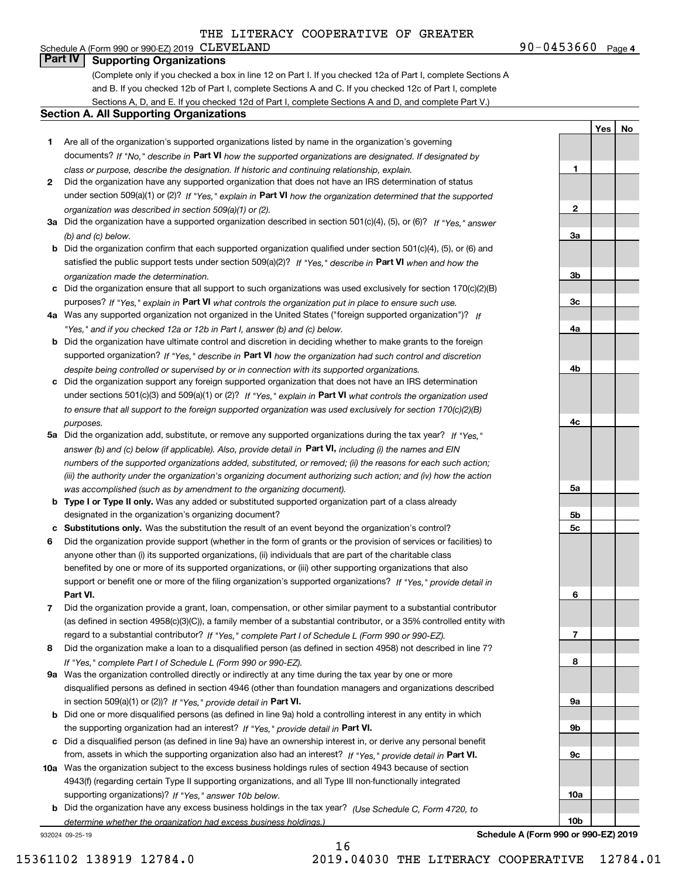## Schedule A (Form 990 or 990-EZ) 2019 CLEVELAND **Part IV Supporting Organizations**

(Complete only if you checked a box in line 12 on Part I. If you checked 12a of Part I, complete Sections A and B. If you checked 12b of Part I, complete Sections A and C. If you checked 12c of Part I, complete Sections A, D, and E. If you checked 12d of Part I, complete Sections A and D, and complete Part V.)

### **Section A. All Supporting Organizations**

- **1** Are all of the organization's supported organizations listed by name in the organization's governing documents? If "No," describe in **Part VI** how the supported organizations are designated. If designated by *class or purpose, describe the designation. If historic and continuing relationship, explain.*
- **2** Did the organization have any supported organization that does not have an IRS determination of status under section 509(a)(1) or (2)? If "Yes," explain in Part VI how the organization determined that the supported *organization was described in section 509(a)(1) or (2).*
- **3a** Did the organization have a supported organization described in section 501(c)(4), (5), or (6)? If "Yes," answer *(b) and (c) below.*
- **b** Did the organization confirm that each supported organization qualified under section 501(c)(4), (5), or (6) and satisfied the public support tests under section 509(a)(2)? If "Yes," describe in **Part VI** when and how the *organization made the determination.*
- **c**Did the organization ensure that all support to such organizations was used exclusively for section 170(c)(2)(B) purposes? If "Yes," explain in **Part VI** what controls the organization put in place to ensure such use.
- **4a***If* Was any supported organization not organized in the United States ("foreign supported organization")? *"Yes," and if you checked 12a or 12b in Part I, answer (b) and (c) below.*
- **b** Did the organization have ultimate control and discretion in deciding whether to make grants to the foreign supported organization? If "Yes," describe in **Part VI** how the organization had such control and discretion *despite being controlled or supervised by or in connection with its supported organizations.*
- **c** Did the organization support any foreign supported organization that does not have an IRS determination under sections 501(c)(3) and 509(a)(1) or (2)? If "Yes," explain in **Part VI** what controls the organization used *to ensure that all support to the foreign supported organization was used exclusively for section 170(c)(2)(B) purposes.*
- **5a** Did the organization add, substitute, or remove any supported organizations during the tax year? If "Yes," answer (b) and (c) below (if applicable). Also, provide detail in **Part VI,** including (i) the names and EIN *numbers of the supported organizations added, substituted, or removed; (ii) the reasons for each such action; (iii) the authority under the organization's organizing document authorizing such action; and (iv) how the action was accomplished (such as by amendment to the organizing document).*
- **b** Type I or Type II only. Was any added or substituted supported organization part of a class already designated in the organization's organizing document?
- **cSubstitutions only.**  Was the substitution the result of an event beyond the organization's control?
- **6** Did the organization provide support (whether in the form of grants or the provision of services or facilities) to **Part VI.** *If "Yes," provide detail in* support or benefit one or more of the filing organization's supported organizations? anyone other than (i) its supported organizations, (ii) individuals that are part of the charitable class benefited by one or more of its supported organizations, or (iii) other supporting organizations that also
- **7**Did the organization provide a grant, loan, compensation, or other similar payment to a substantial contributor *If "Yes," complete Part I of Schedule L (Form 990 or 990-EZ).* regard to a substantial contributor? (as defined in section 4958(c)(3)(C)), a family member of a substantial contributor, or a 35% controlled entity with
- **8** Did the organization make a loan to a disqualified person (as defined in section 4958) not described in line 7? *If "Yes," complete Part I of Schedule L (Form 990 or 990-EZ).*
- **9a** Was the organization controlled directly or indirectly at any time during the tax year by one or more in section 509(a)(1) or (2))? If "Yes," *provide detail in* <code>Part VI.</code> disqualified persons as defined in section 4946 (other than foundation managers and organizations described
- **b** Did one or more disqualified persons (as defined in line 9a) hold a controlling interest in any entity in which the supporting organization had an interest? If "Yes," provide detail in P**art VI**.
- **c**Did a disqualified person (as defined in line 9a) have an ownership interest in, or derive any personal benefit from, assets in which the supporting organization also had an interest? If "Yes," provide detail in P**art VI.**
- **10a** Was the organization subject to the excess business holdings rules of section 4943 because of section supporting organizations)? If "Yes," answer 10b below. 4943(f) (regarding certain Type II supporting organizations, and all Type III non-functionally integrated
- **b** Did the organization have any excess business holdings in the tax year? (Use Schedule C, Form 4720, to *determine whether the organization had excess business holdings.)*

16

932024 09-25-19

**6789a 9b9c10a10b**

**Schedule A (Form 990 or 990-EZ) 2019**

**1**

**2**

**3a**

**3b**

**3c**

**4a**

**4b**

**4c**

**5a**

**5b5c** **YesNo**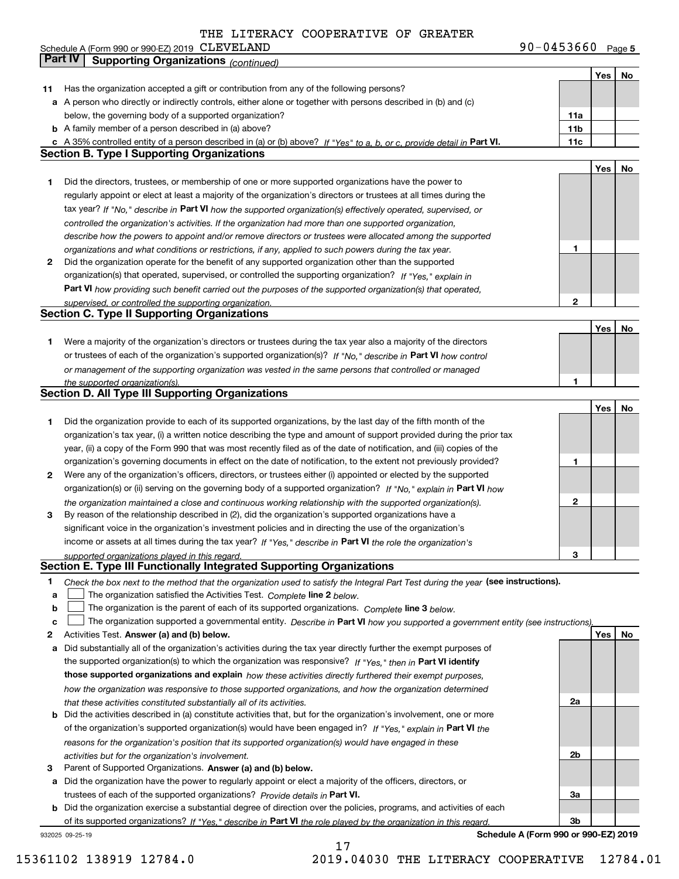**5** CLEVELAND 90-0453660 Schedule A (Form 990 or 990-EZ) 2019 Page

|    | Part IV<br><b>Supporting Organizations (continued)</b>                                                                            |              |     |    |
|----|-----------------------------------------------------------------------------------------------------------------------------------|--------------|-----|----|
|    |                                                                                                                                   |              | Yes | No |
| 11 | Has the organization accepted a gift or contribution from any of the following persons?                                           |              |     |    |
|    | a A person who directly or indirectly controls, either alone or together with persons described in (b) and (c)                    |              |     |    |
|    | below, the governing body of a supported organization?                                                                            | 11a          |     |    |
|    | <b>b</b> A family member of a person described in (a) above?                                                                      | 11b          |     |    |
|    | c A 35% controlled entity of a person described in (a) or (b) above? If "Yes" to a, b, or c, provide detail in Part VI.           | 11c          |     |    |
|    | <b>Section B. Type I Supporting Organizations</b>                                                                                 |              |     |    |
|    |                                                                                                                                   |              | Yes | No |
| 1  | Did the directors, trustees, or membership of one or more supported organizations have the power to                               |              |     |    |
|    |                                                                                                                                   |              |     |    |
|    | regularly appoint or elect at least a majority of the organization's directors or trustees at all times during the                |              |     |    |
|    | tax year? If "No," describe in Part VI how the supported organization(s) effectively operated, supervised, or                     |              |     |    |
|    | controlled the organization's activities. If the organization had more than one supported organization,                           |              |     |    |
|    | describe how the powers to appoint and/or remove directors or trustees were allocated among the supported                         |              |     |    |
|    | organizations and what conditions or restrictions, if any, applied to such powers during the tax year.                            | 1            |     |    |
| 2  | Did the organization operate for the benefit of any supported organization other than the supported                               |              |     |    |
|    | organization(s) that operated, supervised, or controlled the supporting organization? If "Yes," explain in                        |              |     |    |
|    | Part VI how providing such benefit carried out the purposes of the supported organization(s) that operated,                       |              |     |    |
|    | supervised, or controlled the supporting organization.                                                                            | 2            |     |    |
|    | <b>Section C. Type II Supporting Organizations</b>                                                                                |              |     |    |
|    |                                                                                                                                   |              | Yes | No |
| 1  | Were a majority of the organization's directors or trustees during the tax year also a majority of the directors                  |              |     |    |
|    | or trustees of each of the organization's supported organization(s)? If "No," describe in Part VI how control                     |              |     |    |
|    | or management of the supporting organization was vested in the same persons that controlled or managed                            |              |     |    |
|    | the supported organization(s).                                                                                                    | 1            |     |    |
|    | Section D. All Type III Supporting Organizations                                                                                  |              |     |    |
|    |                                                                                                                                   |              | Yes | No |
| 1  | Did the organization provide to each of its supported organizations, by the last day of the fifth month of the                    |              |     |    |
|    | organization's tax year, (i) a written notice describing the type and amount of support provided during the prior tax             |              |     |    |
|    | year, (ii) a copy of the Form 990 that was most recently filed as of the date of notification, and (iii) copies of the            |              |     |    |
|    | organization's governing documents in effect on the date of notification, to the extent not previously provided?                  | 1            |     |    |
| 2  | Were any of the organization's officers, directors, or trustees either (i) appointed or elected by the supported                  |              |     |    |
|    | organization(s) or (ii) serving on the governing body of a supported organization? If "No," explain in Part VI how                |              |     |    |
|    | the organization maintained a close and continuous working relationship with the supported organization(s).                       | $\mathbf{2}$ |     |    |
| 3  | By reason of the relationship described in (2), did the organization's supported organizations have a                             |              |     |    |
|    | significant voice in the organization's investment policies and in directing the use of the organization's                        |              |     |    |
|    | income or assets at all times during the tax year? If "Yes," describe in Part VI the role the organization's                      |              |     |    |
|    | supported organizations played in this regard.                                                                                    | 3            |     |    |
|    | Section E. Type III Functionally Integrated Supporting Organizations                                                              |              |     |    |
| 1  | Check the box next to the method that the organization used to satisfy the Integral Part Test during the year (see instructions). |              |     |    |
| a  | The organization satisfied the Activities Test. Complete line 2 below.                                                            |              |     |    |
| b  | The organization is the parent of each of its supported organizations. Complete line 3 below.                                     |              |     |    |
| C  | The organization supported a governmental entity. Describe in Part VI how you supported a government entity (see instructions),   |              |     |    |
| 2  | Activities Test. Answer (a) and (b) below.                                                                                        |              | Yes | No |
| a  | Did substantially all of the organization's activities during the tax year directly further the exempt purposes of                |              |     |    |
|    | the supported organization(s) to which the organization was responsive? If "Yes," then in Part VI identify                        |              |     |    |
|    | those supported organizations and explain how these activities directly furthered their exempt purposes,                          |              |     |    |
|    |                                                                                                                                   |              |     |    |
|    | how the organization was responsive to those supported organizations, and how the organization determined                         | 2a           |     |    |
|    | that these activities constituted substantially all of its activities.                                                            |              |     |    |
| b  | Did the activities described in (a) constitute activities that, but for the organization's involvement, one or more               |              |     |    |
|    | of the organization's supported organization(s) would have been engaged in? If "Yes," explain in Part VI the                      |              |     |    |
|    | reasons for the organization's position that its supported organization(s) would have engaged in these                            |              |     |    |
|    | activities but for the organization's involvement.                                                                                | 2b           |     |    |
| з  | Parent of Supported Organizations. Answer (a) and (b) below.                                                                      |              |     |    |
| а  | Did the organization have the power to regularly appoint or elect a majority of the officers, directors, or                       |              |     |    |
|    | trustees of each of the supported organizations? Provide details in Part VI.                                                      | За           |     |    |
|    | <b>b</b> Did the organization exercise a substantial degree of direction over the policies, programs, and activities of each      |              |     |    |
|    | of its supported organizations? If "Yes," describe in Part VI the role played by the organization in this regard                  | Зb           |     |    |
|    | Schedule A (Form 990 or 990-EZ) 2019<br>932025 09-25-19                                                                           |              |     |    |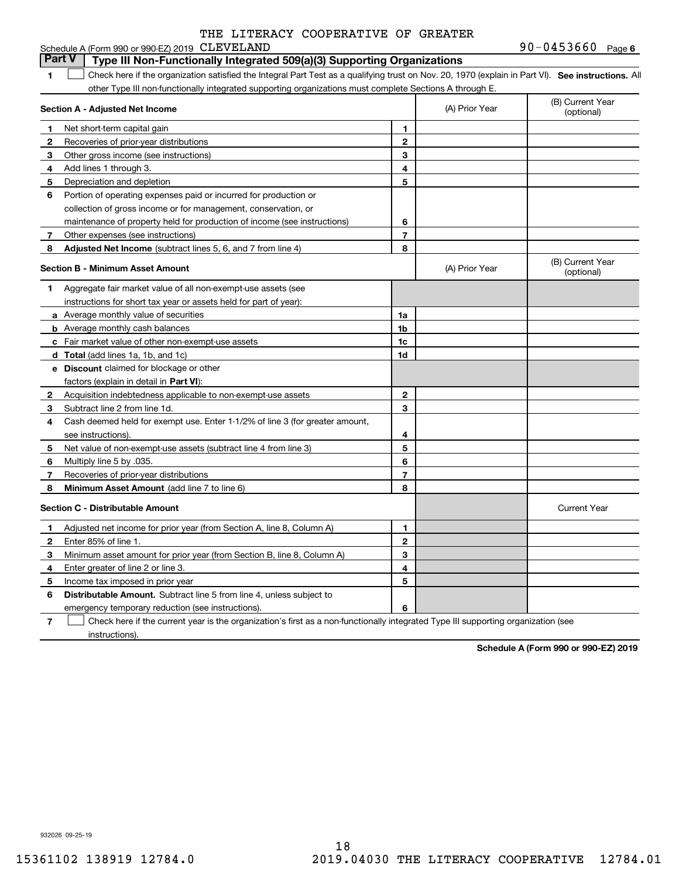|                | Schedule A (Form 990 or 990-EZ) 2019 CLEVELAND                                                                                                    | $90 - 0453660$ Page 6 |                |                                |
|----------------|---------------------------------------------------------------------------------------------------------------------------------------------------|-----------------------|----------------|--------------------------------|
|                | <b>Part V</b><br>Type III Non-Functionally Integrated 509(a)(3) Supporting Organizations                                                          |                       |                |                                |
| 1              | Check here if the organization satisfied the Integral Part Test as a qualifying trust on Nov. 20, 1970 (explain in Part VI). See instructions. Al |                       |                |                                |
|                | other Type III non-functionally integrated supporting organizations must complete Sections A through E.                                           |                       |                |                                |
|                | Section A - Adjusted Net Income                                                                                                                   |                       | (A) Prior Year | (B) Current Year<br>(optional) |
| $\mathbf{1}$   | Net short-term capital gain                                                                                                                       | 1                     |                |                                |
| 2              | Recoveries of prior-year distributions                                                                                                            | $\mathbf{2}$          |                |                                |
| 3              | Other gross income (see instructions)                                                                                                             | 3                     |                |                                |
| 4              | Add lines 1 through 3.                                                                                                                            | 4                     |                |                                |
| 5              | Depreciation and depletion                                                                                                                        | 5                     |                |                                |
| 6              | Portion of operating expenses paid or incurred for production or                                                                                  |                       |                |                                |
|                | collection of gross income or for management, conservation, or                                                                                    |                       |                |                                |
|                | maintenance of property held for production of income (see instructions)                                                                          | 6                     |                |                                |
| 7 <sup>7</sup> | Other expenses (see instructions)                                                                                                                 | $\overline{7}$        |                |                                |
| 8              | Adjusted Net Income (subtract lines 5, 6, and 7 from line 4)                                                                                      | 8                     |                |                                |
|                | <b>Section B - Minimum Asset Amount</b>                                                                                                           |                       | (A) Prior Year | (B) Current Year<br>(optional) |
| 1              | Aggregate fair market value of all non-exempt-use assets (see                                                                                     |                       |                |                                |
|                | instructions for short tax year or assets held for part of year):                                                                                 |                       |                |                                |
|                | a Average monthly value of securities                                                                                                             | 1a                    |                |                                |
|                | <b>b</b> Average monthly cash balances                                                                                                            | 1 <sub>b</sub>        |                |                                |
|                | c Fair market value of other non-exempt-use assets                                                                                                | 1c                    |                |                                |
|                | d Total (add lines 1a, 1b, and 1c)                                                                                                                | 1d                    |                |                                |
|                | <b>e</b> Discount claimed for blockage or other                                                                                                   |                       |                |                                |
|                | factors (explain in detail in <b>Part VI</b> ):                                                                                                   |                       |                |                                |
| $\mathbf{2}$   | Acquisition indebtedness applicable to non-exempt-use assets                                                                                      | 2                     |                |                                |
| 3              | Subtract line 2 from line 1d.                                                                                                                     | 3                     |                |                                |
| 4              | Cash deemed held for exempt use. Enter 1-1/2% of line 3 (for greater amount,                                                                      |                       |                |                                |
|                | see instructions).                                                                                                                                | 4                     |                |                                |
| 5              | Net value of non-exempt-use assets (subtract line 4 from line 3)                                                                                  | 5                     |                |                                |
| 6              | Multiply line 5 by .035.                                                                                                                          | 6                     |                |                                |
| 7              | Recoveries of prior-year distributions                                                                                                            | $\overline{7}$        |                |                                |
| 8              | Minimum Asset Amount (add line 7 to line 6)                                                                                                       | 8                     |                |                                |
|                | <b>Section C - Distributable Amount</b>                                                                                                           |                       |                | <b>Current Year</b>            |
| 1              | Adjusted net income for prior year (from Section A, line 8, Column A)                                                                             | 1                     |                |                                |
| $\mathbf{2}$   | Enter 85% of line 1.                                                                                                                              | $\overline{2}$        |                |                                |
| 3              | Minimum asset amount for prior year (from Section B, line 8, Column A)                                                                            | 3                     |                |                                |
| 4              | Enter greater of line 2 or line 3.                                                                                                                | 4                     |                |                                |
| 5              | Income tax imposed in prior year                                                                                                                  | 5                     |                |                                |
| 6              | <b>Distributable Amount.</b> Subtract line 5 from line 4, unless subject to                                                                       |                       |                |                                |
|                | emergency temporary reduction (see instructions).                                                                                                 | 6                     |                |                                |

**7**Check here if the current year is the organization's first as a non-functionally integrated Type III supporting organization (see instructions).

**Schedule A (Form 990 or 990-EZ) 2019**

932026 09-25-19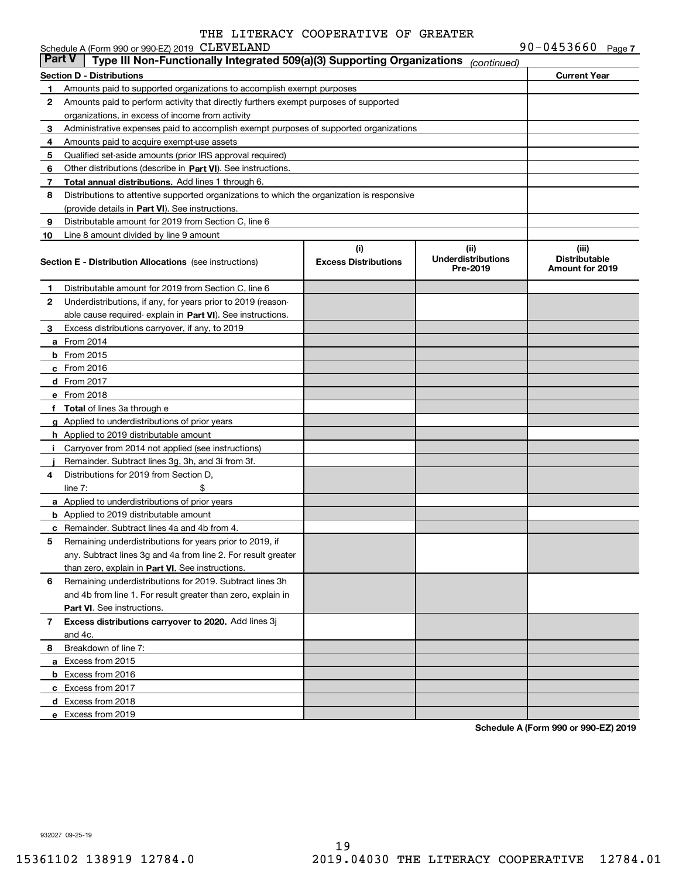|               | Schedule A (Form 990 or 990-EZ) 2019 CLEVELAND                                             |                             |                                       | 90-0453660 Page 7    |  |
|---------------|--------------------------------------------------------------------------------------------|-----------------------------|---------------------------------------|----------------------|--|
| <b>Part V</b> | Type III Non-Functionally Integrated 509(a)(3) Supporting Organizations                    |                             | (continued)                           |                      |  |
|               | <b>Section D - Distributions</b>                                                           |                             |                                       | <b>Current Year</b>  |  |
| 1             | Amounts paid to supported organizations to accomplish exempt purposes                      |                             |                                       |                      |  |
| 2             | Amounts paid to perform activity that directly furthers exempt purposes of supported       |                             |                                       |                      |  |
|               | organizations, in excess of income from activity                                           |                             |                                       |                      |  |
| 3             | Administrative expenses paid to accomplish exempt purposes of supported organizations      |                             |                                       |                      |  |
| 4             | Amounts paid to acquire exempt-use assets                                                  |                             |                                       |                      |  |
| 5             | Qualified set-aside amounts (prior IRS approval required)                                  |                             |                                       |                      |  |
| 6             | Other distributions (describe in Part VI). See instructions.                               |                             |                                       |                      |  |
| 7             | Total annual distributions. Add lines 1 through 6.                                         |                             |                                       |                      |  |
| 8             | Distributions to attentive supported organizations to which the organization is responsive |                             |                                       |                      |  |
|               | (provide details in Part VI). See instructions.                                            |                             |                                       |                      |  |
| 9             | Distributable amount for 2019 from Section C, line 6                                       |                             |                                       |                      |  |
| 10            | Line 8 amount divided by line 9 amount                                                     |                             |                                       |                      |  |
|               |                                                                                            | (i)                         | (ii)                                  | (iii)                |  |
|               | <b>Section E - Distribution Allocations</b> (see instructions)                             | <b>Excess Distributions</b> | <b>Underdistributions</b><br>Pre-2019 | <b>Distributable</b> |  |
|               |                                                                                            |                             |                                       | Amount for 2019      |  |
| 1             | Distributable amount for 2019 from Section C, line 6                                       |                             |                                       |                      |  |
| 2             | Underdistributions, if any, for years prior to 2019 (reason-                               |                             |                                       |                      |  |
|               | able cause required explain in Part VI). See instructions.                                 |                             |                                       |                      |  |
| 3             | Excess distributions carryover, if any, to 2019                                            |                             |                                       |                      |  |
|               | a From 2014                                                                                |                             |                                       |                      |  |
|               | $b$ From 2015                                                                              |                             |                                       |                      |  |
|               | c From 2016                                                                                |                             |                                       |                      |  |
|               | d From 2017                                                                                |                             |                                       |                      |  |
|               | e From 2018                                                                                |                             |                                       |                      |  |
|               | f Total of lines 3a through e                                                              |                             |                                       |                      |  |
|               | g Applied to underdistributions of prior years                                             |                             |                                       |                      |  |
|               | <b>h</b> Applied to 2019 distributable amount                                              |                             |                                       |                      |  |
|               | Carryover from 2014 not applied (see instructions)                                         |                             |                                       |                      |  |
|               | Remainder. Subtract lines 3g, 3h, and 3i from 3f.                                          |                             |                                       |                      |  |
| 4             | Distributions for 2019 from Section D,                                                     |                             |                                       |                      |  |
|               | line $7:$                                                                                  |                             |                                       |                      |  |
|               | a Applied to underdistributions of prior years                                             |                             |                                       |                      |  |
|               | <b>b</b> Applied to 2019 distributable amount                                              |                             |                                       |                      |  |
|               | c Remainder. Subtract lines 4a and 4b from 4.                                              |                             |                                       |                      |  |
|               | Remaining underdistributions for years prior to 2019, if                                   |                             |                                       |                      |  |
|               | any. Subtract lines 3g and 4a from line 2. For result greater                              |                             |                                       |                      |  |
|               | than zero, explain in Part VI. See instructions.                                           |                             |                                       |                      |  |
| 6             | Remaining underdistributions for 2019. Subtract lines 3h                                   |                             |                                       |                      |  |
|               | and 4b from line 1. For result greater than zero, explain in                               |                             |                                       |                      |  |
|               | Part VI. See instructions.                                                                 |                             |                                       |                      |  |
| 7             | Excess distributions carryover to 2020. Add lines 3j                                       |                             |                                       |                      |  |
|               | and 4c.                                                                                    |                             |                                       |                      |  |
| 8             | Breakdown of line 7:                                                                       |                             |                                       |                      |  |
|               | a Excess from 2015                                                                         |                             |                                       |                      |  |
|               | <b>b</b> Excess from 2016                                                                  |                             |                                       |                      |  |
|               | c Excess from 2017                                                                         |                             |                                       |                      |  |
|               | d Excess from 2018                                                                         |                             |                                       |                      |  |
|               | e Excess from 2019                                                                         |                             |                                       |                      |  |

**Schedule A (Form 990 or 990-EZ) 2019**

932027 09-25-19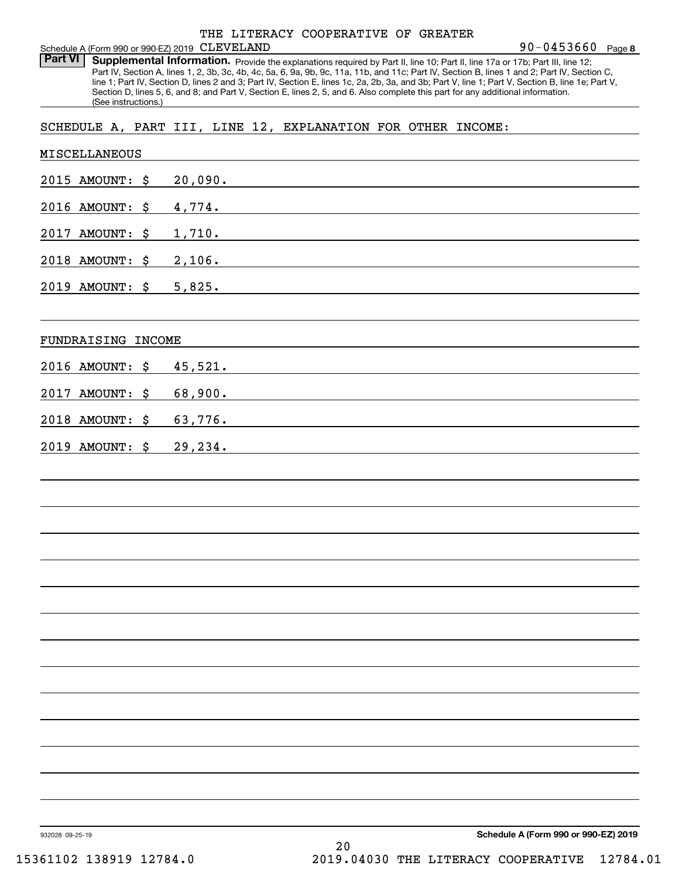Part VI | Supplemental Information. Provide the explanations required by Part II, line 10; Part II, line 17a or 17b; Part III, line 12; Part IV, Section A, lines 1, 2, 3b, 3c, 4b, 4c, 5a, 6, 9a, 9b, 9c, 11a, 11b, and 11c; Part IV, Section B, lines 1 and 2; Part IV, Section C, line 1; Part IV, Section D, lines 2 and 3; Part IV, Section E, lines 1c, 2a, 2b, 3a, and 3b; Part V, line 1; Part V, Section B, line 1e; Part V, Section D, lines 5, 6, and 8; and Part V, Section E, lines 2, 5, and 6. Also complete this part for any additional information. (See instructions.)

## SCHEDULE A, PART III, LINE 12, EXPLANATION FOR OTHER INCOME:

| <b>MISCELLANEOUS</b> |         |                                      |
|----------------------|---------|--------------------------------------|
| 2015 AMOUNT: \$      | 20,090. |                                      |
| 2016 AMOUNT: \$      | 4,774.  |                                      |
| 2017 AMOUNT: \$      | 1,710.  |                                      |
| 2018 AMOUNT: \$      | 2,106.  |                                      |
| 2019 AMOUNT: \$      | 5,825.  |                                      |
| FUNDRAISING INCOME   |         |                                      |
| 2016 AMOUNT: \$      | 45,521. |                                      |
| 2017 AMOUNT: \$      | 68,900. |                                      |
| 2018 AMOUNT: \$      | 63,776. |                                      |
| 2019 AMOUNT: \$      | 29,234. |                                      |
|                      |         |                                      |
|                      |         |                                      |
|                      |         |                                      |
|                      |         |                                      |
|                      |         |                                      |
|                      |         |                                      |
|                      |         |                                      |
|                      |         |                                      |
|                      |         |                                      |
|                      |         |                                      |
|                      |         |                                      |
|                      |         |                                      |
|                      |         |                                      |
| 932028 09-25-19      |         | Schedule A (Form 990 or 990-EZ) 2019 |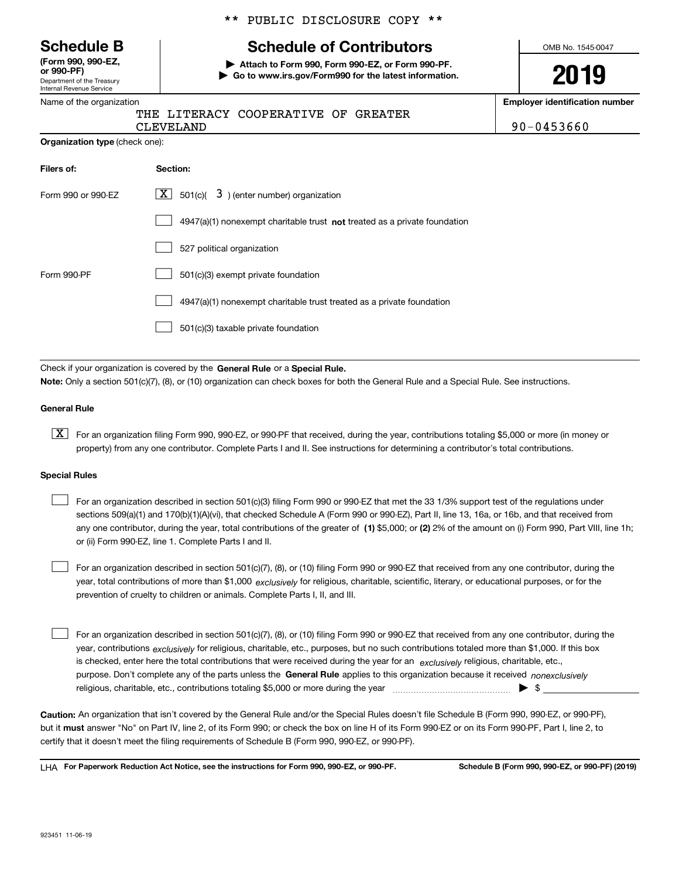|  | <b>Schedule B</b> |  |
|--|-------------------|--|
|--|-------------------|--|

Department of the Treasury Internal Revenue Service **(Form 990, 990-EZ, or 990-PF)**

### Name of the organization

\*\* PUBLIC DISCLOSURE COPY \*\*

# **Schedule of Contributors**

**| Attach to Form 990, Form 990-EZ, or Form 990-PF. | Go to www.irs.gov/Form990 for the latest information.** OMB No. 1545-0047

**2019**

**Employer identification number**

| THE LITERACY COOPERATIVE OF GREATER |  |            |
|-------------------------------------|--|------------|
| CLEVELAND                           |  | 90-0453660 |

**Organization type** (check one):

| Filers of:                                                                        | Section:                                                                    |  |  |
|-----------------------------------------------------------------------------------|-----------------------------------------------------------------------------|--|--|
| $\boxed{\textbf{X}}$ 501(c)( 3) (enter number) organization<br>Form 990 or 990-FZ |                                                                             |  |  |
|                                                                                   | $4947(a)(1)$ nonexempt charitable trust not treated as a private foundation |  |  |
|                                                                                   | 527 political organization                                                  |  |  |
| Form 990-PF                                                                       | 501(c)(3) exempt private foundation                                         |  |  |
|                                                                                   | 4947(a)(1) nonexempt charitable trust treated as a private foundation       |  |  |
|                                                                                   | 501(c)(3) taxable private foundation                                        |  |  |

Check if your organization is covered by the **General Rule** or a **Special Rule. Note:**  Only a section 501(c)(7), (8), or (10) organization can check boxes for both the General Rule and a Special Rule. See instructions.

#### **General Rule**

 $\boxed{\textbf{X}}$  For an organization filing Form 990, 990-EZ, or 990-PF that received, during the year, contributions totaling \$5,000 or more (in money or property) from any one contributor. Complete Parts I and II. See instructions for determining a contributor's total contributions.

#### **Special Rules**

any one contributor, during the year, total contributions of the greater of  $\,$  (1) \$5,000; or **(2)** 2% of the amount on (i) Form 990, Part VIII, line 1h; For an organization described in section 501(c)(3) filing Form 990 or 990-EZ that met the 33 1/3% support test of the regulations under sections 509(a)(1) and 170(b)(1)(A)(vi), that checked Schedule A (Form 990 or 990-EZ), Part II, line 13, 16a, or 16b, and that received from or (ii) Form 990-EZ, line 1. Complete Parts I and II.  $\mathcal{L}^{\text{max}}$ 

year, total contributions of more than \$1,000 *exclusively* for religious, charitable, scientific, literary, or educational purposes, or for the For an organization described in section 501(c)(7), (8), or (10) filing Form 990 or 990-EZ that received from any one contributor, during the prevention of cruelty to children or animals. Complete Parts I, II, and III.  $\mathcal{L}^{\text{max}}$ 

purpose. Don't complete any of the parts unless the **General Rule** applies to this organization because it received *nonexclusively* year, contributions <sub>exclusively</sub> for religious, charitable, etc., purposes, but no such contributions totaled more than \$1,000. If this box is checked, enter here the total contributions that were received during the year for an  $\;$ exclusively religious, charitable, etc., For an organization described in section 501(c)(7), (8), or (10) filing Form 990 or 990-EZ that received from any one contributor, during the religious, charitable, etc., contributions totaling \$5,000 or more during the year  $\Box$ — $\Box$   $\Box$  $\mathcal{L}^{\text{max}}$ 

**Caution:**  An organization that isn't covered by the General Rule and/or the Special Rules doesn't file Schedule B (Form 990, 990-EZ, or 990-PF),  **must** but it answer "No" on Part IV, line 2, of its Form 990; or check the box on line H of its Form 990-EZ or on its Form 990-PF, Part I, line 2, to certify that it doesn't meet the filing requirements of Schedule B (Form 990, 990-EZ, or 990-PF).

**For Paperwork Reduction Act Notice, see the instructions for Form 990, 990-EZ, or 990-PF. Schedule B (Form 990, 990-EZ, or 990-PF) (2019)** LHA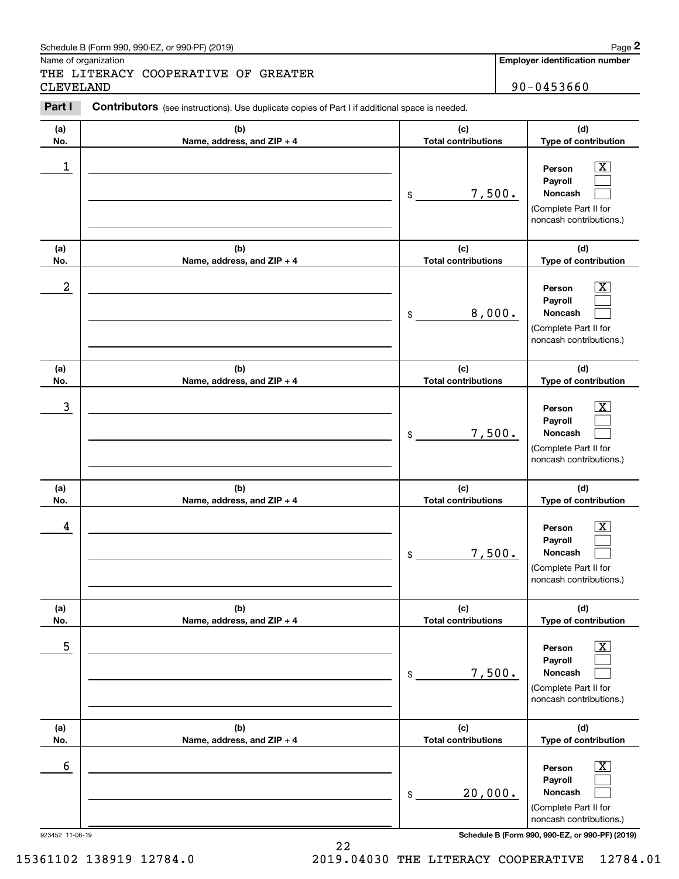Name of organization

THE LITERACY COOPERATIVE OF GREATER CLEVELAND 90-0453660

**Employer identification number**

#### **(a)No.(b)Name, address, and ZIP + 4 (c)Total contributions (d)Type of contribution PersonPayrollNoncash (a)No.(b)Name, address, and ZIP + 4 (c)Total contributions (d)Type of contribution PersonPayrollNoncash (a)No.(b)Name, address, and ZIP + 4 (c)Total contributions (d)Type of contribution PersonPayrollNoncash (a) No.(b)Name, address, and ZIP + 4 (c) Total contributions (d) Type of contribution PersonPayrollNoncash(a) No.(b)Name, address, and ZIP + 4 (c) Total contributions (d) Type of contribution PersonPayrollNoncash (a) No.(b)Name, address, and ZIP + 4 (c) Total contributions (d)Type of contribution PersonPayrollNoncash Contributors** (see instructions). Use duplicate copies of Part I if additional space is needed. \$(Complete Part II for noncash contributions.) \$(Complete Part II for noncash contributions.) \$(Complete Part II for noncash contributions.) \$(Complete Part II for noncash contributions.) \$(Complete Part II for noncash contributions.) \$(Complete Part II for noncash contributions.) Chedule B (Form 990, 990-EZ, or 990-PF) (2019)<br>Iame of organization<br>**2PART II TERACY COOPERATIVE OF GREATER**<br>2DEVELAND 90-0453660<br>**Part I** Contributors (see instructions). Use duplicate copies of Part I if additional space  $|X|$  $\mathcal{L}^{\text{max}}$  $\mathcal{L}^{\text{max}}$  $\boxed{\text{X}}$  $\mathcal{L}^{\text{max}}$  $\mathcal{L}^{\text{max}}$  $|X|$  $\mathcal{L}^{\text{max}}$  $\mathcal{L}^{\text{max}}$  $|X|$  $\mathcal{L}^{\text{max}}$  $\mathcal{L}^{\text{max}}$  $|X|$  $\mathcal{L}^{\text{max}}$  $\mathcal{L}^{\text{max}}$  $\boxed{\text{X}}$  $\mathcal{L}^{\text{max}}$  $\mathcal{L}^{\text{max}}$  $\begin{array}{c|c|c|c|c|c} 1 & \hspace{1.5cm} & \hspace{1.5cm} & \hspace{1.5cm} & \hspace{1.5cm} & \hspace{1.5cm} & \hspace{1.5cm} & \hspace{1.5cm} & \hspace{1.5cm} & \hspace{1.5cm} & \hspace{1.5cm} & \hspace{1.5cm} & \hspace{1.5cm} & \hspace{1.5cm} & \hspace{1.5cm} & \hspace{1.5cm} & \hspace{1.5cm} & \hspace{1.5cm} & \hspace{1.5cm} & \hspace{1.5cm} & \hspace{1.5cm} &$ 7,500.  $2$  | Person  $\overline{\text{X}}$ 8,000.  $\overline{3}$  | Person  $\overline{X}$ 7,500.  $4$  | Person  $\overline{\text{X}}$ 7,500.  $\sim$  5 | Person X 7,500.  $\sim$  6 | Person X 20,000.

923452 11-06-19 **Schedule B (Form 990, 990-EZ, or 990-PF) (2019)**

15361102 138919 12784.0 2019.04030 THE LITERACY COOPERATIVE 12784.01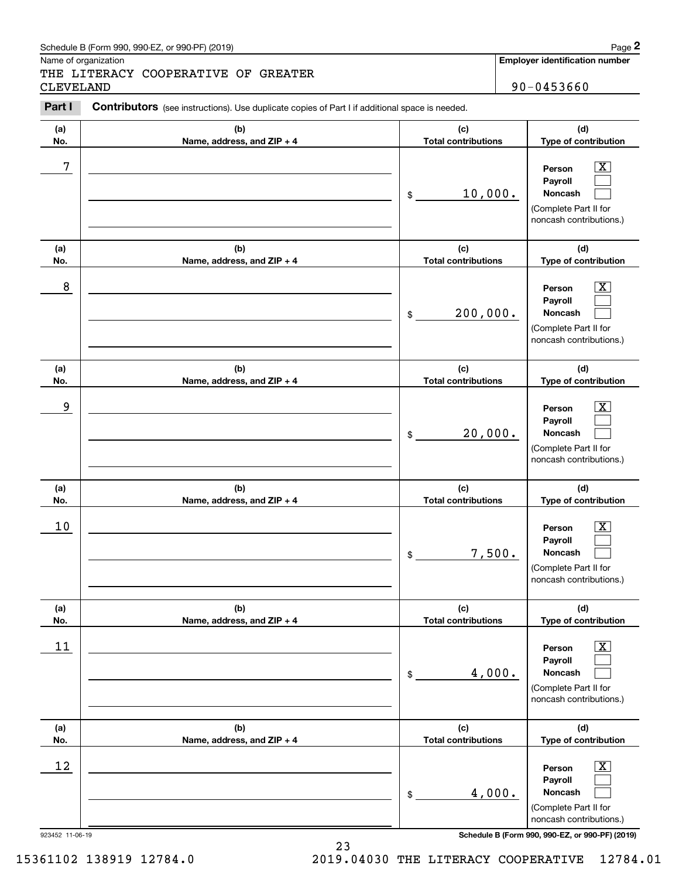Name of organization

THE LITERACY COOPERATIVE OF GREATER CLEVELAND 90-0453660

**Employer identification number**

#### **(a)No.(b)Name, address, and ZIP + 4 (c)Total contributions (d)Type of contribution PersonPayrollNoncash (a)No.(b)Name, address, and ZIP + 4 (c)Total contributions (d)Type of contribution PersonPayrollNoncash (a)No.(b)Name, address, and ZIP + 4 (c)Total contributions (d)Type of contribution PersonPayrollNoncash (a) No.(b)Name, address, and ZIP + 4 (c) Total contributions (d) Type of contribution PersonPayrollNoncash(a) No.(b)Name, address, and ZIP + 4 (c) Total contributions (d) Type of contribution PersonPayrollNoncash (a) No.(b)Name, address, and ZIP + 4 (c) Total contributions (d)Type of contribution PersonPayrollNoncash Contributors** (see instructions). Use duplicate copies of Part I if additional space is needed. \$(Complete Part II for noncash contributions.) \$(Complete Part II for noncash contributions.) \$(Complete Part II for noncash contributions.) \$(Complete Part II for noncash contributions.) \$(Complete Part II for noncash contributions.) \$(Complete Part II for noncash contributions.) Chedule B (Form 990, 990-EZ, or 990-PF) (2019)<br>Iame of organization<br>**2PART II TERACY COOPERATIVE OF GREATER**<br>2DEVELAND 90-0453660<br>**Part I** Contributors (see instructions). Use duplicate copies of Part I if additional space  $|X|$  $\mathcal{L}^{\text{max}}$  $\mathcal{L}^{\text{max}}$  $\boxed{\text{X}}$  $\mathcal{L}^{\text{max}}$  $\mathcal{L}^{\text{max}}$  $|X|$  $\mathcal{L}^{\text{max}}$  $\mathcal{L}^{\text{max}}$  $|X|$  $\mathcal{L}^{\text{max}}$  $\mathcal{L}^{\text{max}}$  $|X|$  $\mathcal{L}^{\text{max}}$  $\mathcal{L}^{\text{max}}$  $\boxed{\text{X}}$  $\mathcal{L}^{\text{max}}$  $\mathcal{L}^{\text{max}}$ 7 X 10,000. 8 X 200,000. example and the set of the set of the set of the set of the set of the set of the set of the set of the set of 20,000.  $10$  Person  $\overline{\text{X}}$ 7,500.  $11$  Person X 4,000.  $12$  Person X 4,000.

923452 11-06-19 **Schedule B (Form 990, 990-EZ, or 990-PF) (2019)**

15361102 138919 12784.0 2019.04030 THE LITERACY COOPERATIVE 12784.01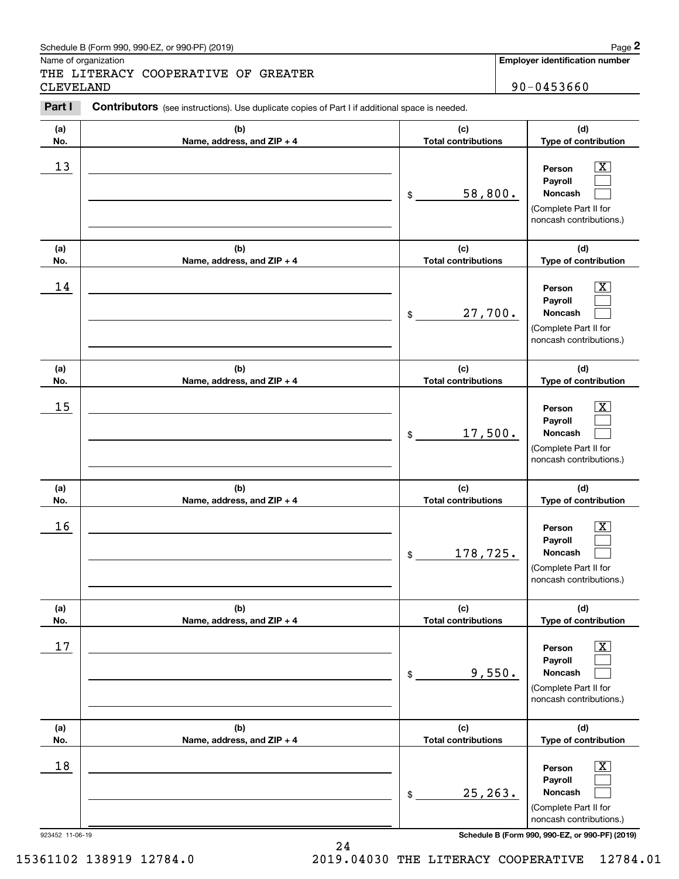Name of organization

THE LITERACY COOPERATIVE OF GREATER CLEVELAND 90-0453660

**Employer identification number**

#### 923452 11-06-19 **Schedule B (Form 990, 990-EZ, or 990-PF) (2019) (a)No.(b)Name, address, and ZIP + 4 (c)Total contributions (d)Type of contribution PersonPayrollNoncash (a)No.(b)Name, address, and ZIP + 4 (c)Total contributions (d)Type of contribution PersonPayrollNoncash (a)No.(b)Name, address, and ZIP + 4 (c)Total contributions (d)Type of contribution PersonPayrollNoncash (a) No.(b) Name, address, and ZIP + 4 (c) Total contributions (d) Type of contribution PersonPayrollNoncash(a) No.(b)Name, address, and ZIP + 4 (c) Total contributions (d) Type of contribution PersonPayrollNoncash (a) No.(b)Name, address, and ZIP + 4 (c) Total contributions (d)Type of contribution PersonPayrollNoncash Contributors** (see instructions). Use duplicate copies of Part I if additional space is needed. \$(Complete Part II for noncash contributions.) \$(Complete Part II for noncash contributions.) \$(Complete Part II for noncash contributions.) \$(Complete Part II for noncash contributions.) \$(Complete Part II for noncash contributions.) \$(Complete Part II for noncash contributions.) Chedule B (Form 990, 990-EZ, or 990-PF) (2019)<br>Iame of organization<br>**2PART II TERACY COOPERATIVE OF GREATER**<br>2DEVELAND 90-0453660<br>**Part I** Contributors (see instructions). Use duplicate copies of Part I if additional space  $|X|$  $\mathcal{L}^{\text{max}}$  $\mathcal{L}^{\text{max}}$  $\boxed{\text{X}}$  $\mathcal{L}^{\text{max}}$  $\mathcal{L}^{\text{max}}$  $|X|$  $\mathcal{L}^{\text{max}}$  $\mathcal{L}^{\text{max}}$  $|X|$  $\mathcal{L}^{\text{max}}$  $\mathcal{L}^{\text{max}}$  $|X|$  $\mathcal{L}^{\text{max}}$  $\mathcal{L}^{\text{max}}$  $\boxed{\text{X}}$  $\mathcal{L}^{\text{max}}$  $\mathcal{L}^{\text{max}}$  $13$  Person X 58,800.  $14$  Person X 27,700.  $15$  Person X 17,500.  $16$  Person X 178,725.  $17$  | Person  $\overline{\text{X}}$ 9,550.  $18$  Person  $\overline{\text{X}}$ 25,263.

15361102 138919 12784.0 2019.04030 THE LITERACY COOPERATIVE 12784.01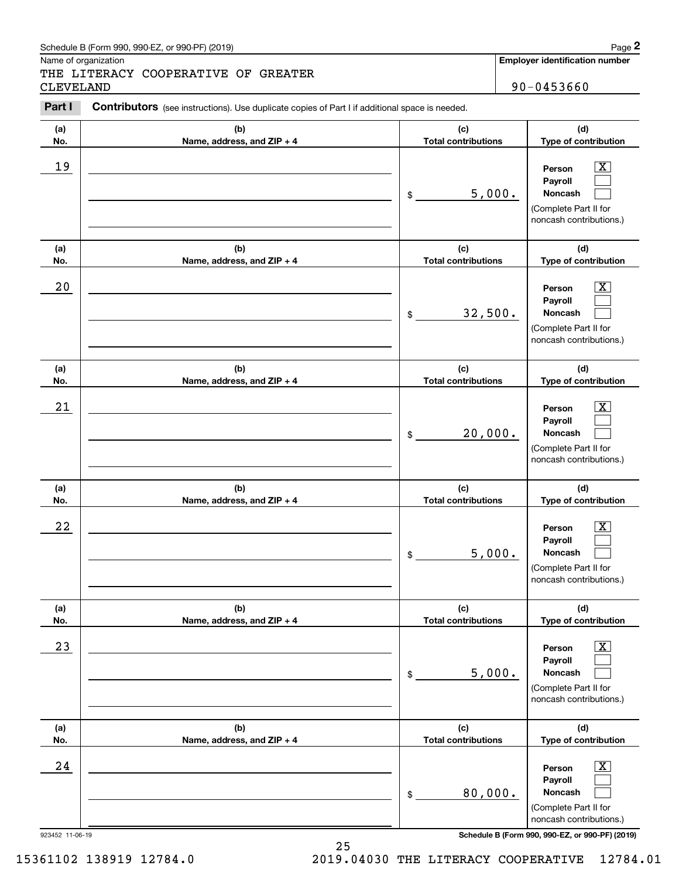Name of organization

THE LITERACY COOPERATIVE OF GREATER CLEVELAND 90-0453660

**Employer identification number**

#### **(a)No.(b)Name, address, and ZIP + 4 (c)Total contributions (d)Type of contribution PersonPayrollNoncash (a)No.(b)Name, address, and ZIP + 4 (c)Total contributions (d)Type of contribution PersonPayrollNoncash (a)No.(b)Name, address, and ZIP + 4 (c)Total contributions (d)Type of contribution PersonPayrollNoncash (a) No.(b)Name, address, and ZIP + 4 (c) Total contributions (d) Type of contribution PersonPayrollNoncash(a) No.(b)Name, address, and ZIP + 4 (c) Total contributions (d) Type of contribution PersonPayrollNoncash (a) No.(b)Name, address, and ZIP + 4 (c) Total contributions (d)Type of contribution PersonPayrollNoncash Contributors** (see instructions). Use duplicate copies of Part I if additional space is needed. \$(Complete Part II for noncash contributions.) \$(Complete Part II for noncash contributions.) \$(Complete Part II for noncash contributions.) \$(Complete Part II for noncash contributions.) \$(Complete Part II for noncash contributions.) \$(Complete Part II for noncash contributions.) Chedule B (Form 990, 990-EZ, or 990-PF) (2019)<br>Iame of organization<br>**2PART II TERACY COOPERATIVE OF GREATER**<br>2DEVELAND 90-0453660<br>**Part I** Contributors (see instructions). Use duplicate copies of Part I if additional space  $|X|$  $\mathcal{L}^{\text{max}}$  $\mathcal{L}^{\text{max}}$  $\boxed{\text{X}}$  $\mathcal{L}^{\text{max}}$  $\mathcal{L}^{\text{max}}$  $|X|$  $\mathcal{L}^{\text{max}}$  $\mathcal{L}^{\text{max}}$  $|X|$  $\mathcal{L}^{\text{max}}$  $\mathcal{L}^{\text{max}}$  $|X|$  $\mathcal{L}^{\text{max}}$  $\mathcal{L}^{\text{max}}$  $\boxed{\text{X}}$  $\mathcal{L}^{\text{max}}$  $\mathcal{L}^{\text{max}}$ 19 X 5,000.  $20$  | Person  $\overline{\text{X}}$ 32,500.  $21$  Person X 20,000.  $22$  | Person  $\overline{\text{X}}$ 5,000.  $23$  | Person  $\overline{\text{X}}$ 5,000.  $24$  | Person  $\overline{\text{X}}$ 80,000.

923452 11-06-19 **Schedule B (Form 990, 990-EZ, or 990-PF) (2019)**

15361102 138919 12784.0 2019.04030 THE LITERACY COOPERATIVE 12784.01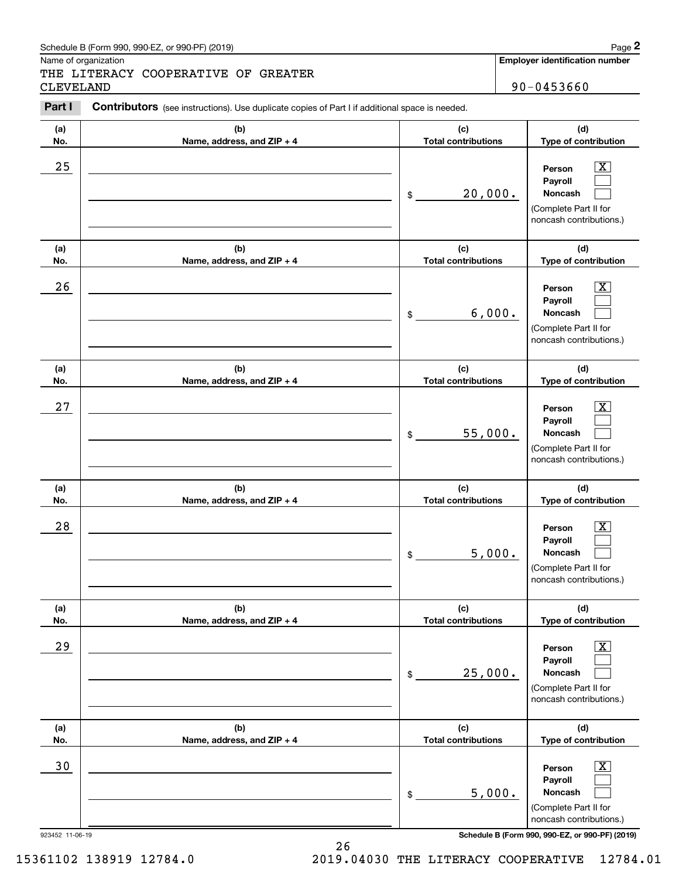Name of organization

THE LITERACY COOPERATIVE OF GREATER CLEVELAND 90-0453660

**Employer identification number**

#### 923452 11-06-19 **Schedule B (Form 990, 990-EZ, or 990-PF) (2019) (a)No.(b)Name, address, and ZIP + 4 (c)Total contributions (d)Type of contribution PersonPayrollNoncash (a)No.(b)Name, address, and ZIP + 4 (c)Total contributions (d)Type of contribution PersonPayrollNoncash (a)No.(b)Name, address, and ZIP + 4 (c)Total contributions (d)Type of contribution PersonPayrollNoncash (a) No.(b)Name, address, and ZIP + 4 (c) Total contributions (d) Type of contribution PersonPayrollNoncash(a) No.(b)Name, address, and ZIP + 4 (c) Total contributions (d) Type of contribution PersonPayrollNoncash (a) No.(b)Name, address, and ZIP + 4 (c) Total contributions (d)Type of contribution PersonPayrollNoncash Contributors** (see instructions). Use duplicate copies of Part I if additional space is needed. \$(Complete Part II for noncash contributions.) \$(Complete Part II for noncash contributions.) \$(Complete Part II for noncash contributions.) \$(Complete Part II for noncash contributions.) \$(Complete Part II for noncash contributions.) \$(Complete Part II for noncash contributions.) Chedule B (Form 990, 990-EZ, or 990-PF) (2019)<br>Iame of organization<br>**2PART II TERACY COOPERATIVE OF GREATER**<br>2DEVELAND 90-0453660<br>**Part I** Contributors (see instructions). Use duplicate copies of Part I if additional space  $|X|$  $\mathcal{L}^{\text{max}}$  $\mathcal{L}^{\text{max}}$  $\boxed{\text{X}}$  $\mathcal{L}^{\text{max}}$  $\mathcal{L}^{\text{max}}$  $|X|$  $\mathcal{L}^{\text{max}}$  $\mathcal{L}^{\text{max}}$  $|X|$  $\mathcal{L}^{\text{max}}$  $\mathcal{L}^{\text{max}}$  $|X|$  $\mathcal{L}^{\text{max}}$  $\mathcal{L}^{\text{max}}$  $\boxed{\text{X}}$  $\mathcal{L}^{\text{max}}$  $\mathcal{L}^{\text{max}}$  $25$  | Person  $\overline{\text{X}}$ 20,000.  $26$  | Person  $\overline{\text{X}}$ 6,000.  $27$  | Person  $\overline{\text{X}}$ 55,000.  $28$  | Person  $\overline{\text{X}}$ 5,000.  $29$  | Person  $\overline{\text{X}}$ 25,000. 30 Person X 5,000.

15361102 138919 12784.0 2019.04030 THE LITERACY COOPERATIVE 12784.01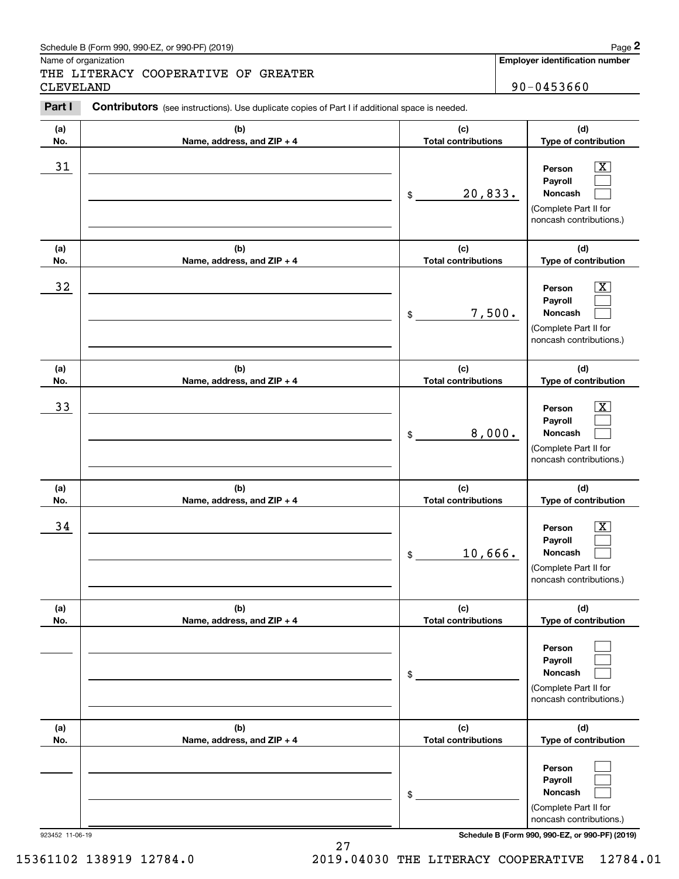### Schedule B (Form 990, 990-EZ, or 990-PF) (2019) **Page 2** and the state of the state of the state of the state of the state of the state of the state of the state of the state of the state of the state of the state of the s

Name of organization

THE LITERACY COOPERATIVE OF GREATER CLEVELAND 90-0453660

**Employer identification number**

#### **(a)No.(b)Name, address, and ZIP + 4 (c)Total contributions (d)Type of contribution PersonPayrollNoncash (a)No.(b)Name, address, and ZIP + 4 (c)Total contributions (d)Type of contribution PersonPayrollNoncash (a)No.(b)Name, address, and ZIP + 4 (c)Total contributions (d)Type of contribution PersonPayrollNoncash (a) No.(b)Name, address, and ZIP + 4 (c) Total contributions (d) Type of contribution PersonPayrollNoncash (a) No.(b)Name, address, and ZIP + 4 (c) Total contributions (d) Type of contribution PersonPayrollNoncash(a) No.(b)Name, address, and ZIP + 4 (c) Total contributions (d)Type of contribution PersonPayrollNoncash Contributors** (see instructions). Use duplicate copies of Part I if additional space is needed. \$(Complete Part II for noncash contributions.) \$(Complete Part II for noncash contributions.) \$(Complete Part II for noncash contributions.) \$(Complete Part II for noncash contributions.) \$(Complete Part II for noncash contributions.) \$(Complete Part II for noncash contributions.) Chedule B (Form 990, 990-EZ, or 990-PF) (2019)<br>Iame of organization<br>**2PART II TERACY COOPERATIVE OF GREATER**<br>2DEVELAND 90-0453660<br>**Part I** Contributors (see instructions). Use duplicate copies of Part I if additional space  $|X|$  $\mathcal{L}^{\text{max}}$  $\mathcal{L}^{\text{max}}$  $\boxed{\text{X}}$  $\mathcal{L}^{\text{max}}$  $\mathcal{L}^{\text{max}}$  $|X|$  $\mathcal{L}^{\text{max}}$  $\mathcal{L}^{\text{max}}$  $|X|$  $\mathcal{L}^{\text{max}}$  $\mathcal{L}^{\text{max}}$  $\mathcal{L}^{\text{max}}$  $\mathcal{L}^{\text{max}}$  $\mathcal{L}^{\text{max}}$  $\mathcal{L}^{\text{max}}$  $\mathcal{L}^{\text{max}}$  $\mathcal{L}^{\text{max}}$ 31 Person X 20,833.  $32$  | Person  $\overline{\text{X}}$ 7,500. 33 Person X 8,000.  $34$  | Person  $\overline{\text{X}}$ 10,666.

923452 11-06-19 **Schedule B (Form 990, 990-EZ, or 990-PF) (2019)**

15361102 138919 12784.0 2019.04030 THE LITERACY COOPERATIVE 12784.01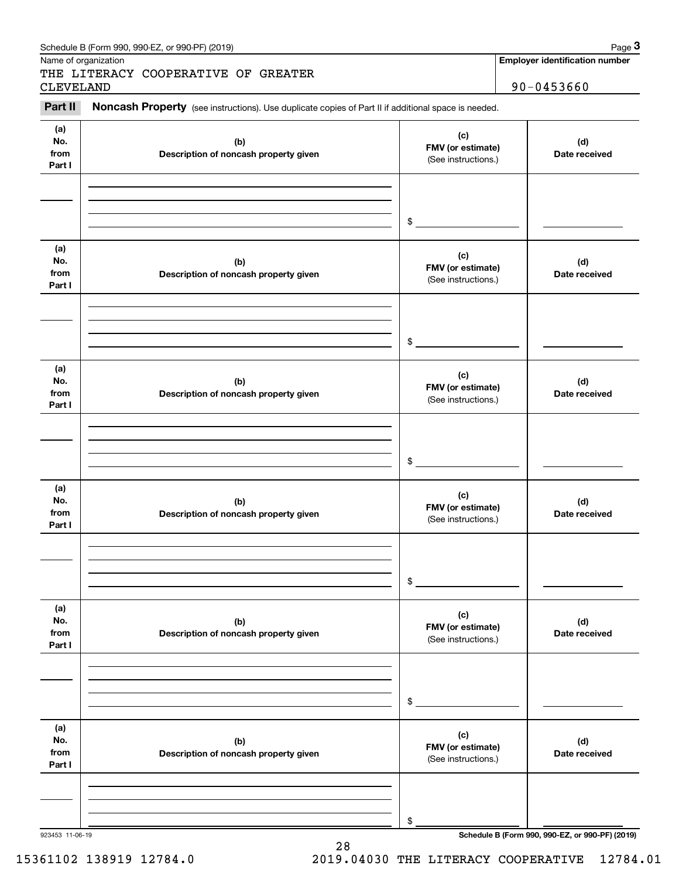|                              | Schedule B (Form 990, 990-EZ, or 990-PF) (2019)<br>Name of organization                             |                                                 | Page 3<br><b>Employer identification number</b> |
|------------------------------|-----------------------------------------------------------------------------------------------------|-------------------------------------------------|-------------------------------------------------|
|                              | THE LITERACY COOPERATIVE OF GREATER                                                                 |                                                 | 90-0453660                                      |
| <b>CLEVELAND</b><br>Part II  | Noncash Property (see instructions). Use duplicate copies of Part II if additional space is needed. |                                                 |                                                 |
| (a)<br>No.<br>from<br>Part I | (b)<br>Description of noncash property given                                                        | (c)<br>FMV (or estimate)<br>(See instructions.) | (d)<br>Date received                            |
| (a)                          |                                                                                                     | \$                                              |                                                 |
| No.<br>from<br>Part I        | (b)<br>Description of noncash property given                                                        | (c)<br>FMV (or estimate)<br>(See instructions.) | (d)<br>Date received                            |
|                              |                                                                                                     | \$                                              |                                                 |
| (a)<br>No.<br>from<br>Part I | (b)<br>Description of noncash property given                                                        | (c)<br>FMV (or estimate)<br>(See instructions.) | (d)<br>Date received                            |
|                              |                                                                                                     | \$                                              |                                                 |
| (a)<br>No.<br>from<br>Part I | (b)<br>Description of noncash property given                                                        | (c)<br>FMV (or estimate)<br>(See instructions.) | (d)<br>Date received                            |
|                              |                                                                                                     | \$                                              |                                                 |
| (a)<br>No.<br>from<br>Part I | (b)<br>Description of noncash property given                                                        | (c)<br>FMV (or estimate)<br>(See instructions.) | (d)<br>Date received                            |
|                              |                                                                                                     | \$                                              |                                                 |
| (a)<br>No.<br>from<br>Part I | (b)<br>Description of noncash property given                                                        | (c)<br>FMV (or estimate)<br>(See instructions.) | (d)<br>Date received                            |
|                              |                                                                                                     | \$                                              |                                                 |
| 923453 11-06-19              |                                                                                                     |                                                 | Schedule B (Form 990, 990-EZ, or 990-PF) (2019) |

28

## 15361102 138919 12784.0 2019.04030 THE LITERACY COOPERATIVE 12784.01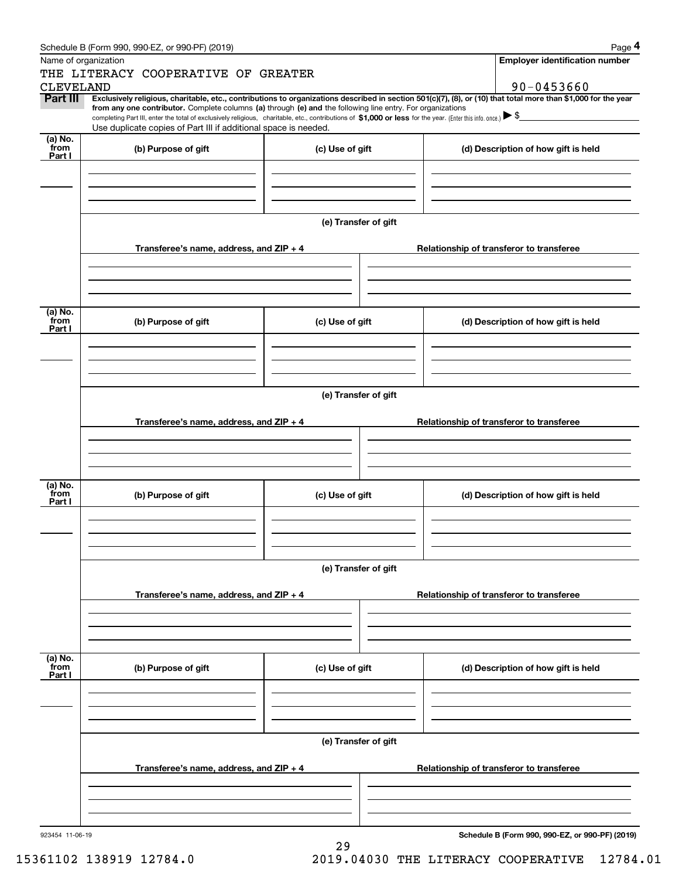|                  | Schedule B (Form 990, 990-EZ, or 990-PF) (2019)                                                                                                                                                                                                                                                 |                      |                                                                                                                                                                | Page 4 |  |  |  |
|------------------|-------------------------------------------------------------------------------------------------------------------------------------------------------------------------------------------------------------------------------------------------------------------------------------------------|----------------------|----------------------------------------------------------------------------------------------------------------------------------------------------------------|--------|--|--|--|
|                  | Name of organization                                                                                                                                                                                                                                                                            |                      | <b>Employer identification number</b>                                                                                                                          |        |  |  |  |
|                  | THE LITERACY COOPERATIVE OF GREATER                                                                                                                                                                                                                                                             |                      |                                                                                                                                                                |        |  |  |  |
| <b>CLEVELAND</b> |                                                                                                                                                                                                                                                                                                 |                      | 90-0453660                                                                                                                                                     |        |  |  |  |
| Part III         |                                                                                                                                                                                                                                                                                                 |                      | Exclusively religious, charitable, etc., contributions to organizations described in section 501(c)(7), (8), or (10) that total more than \$1,000 for the year |        |  |  |  |
|                  | from any one contributor. Complete columns (a) through (e) and the following line entry. For organizations<br>completing Part III, enter the total of exclusively religious, charitable, etc., contributions of \$1,000 or less for the year. (Enter this info. once.) $\blacktriangleright$ \$ |                      |                                                                                                                                                                |        |  |  |  |
|                  | Use duplicate copies of Part III if additional space is needed.                                                                                                                                                                                                                                 |                      |                                                                                                                                                                |        |  |  |  |
| (a) No.<br>from  | (b) Purpose of gift                                                                                                                                                                                                                                                                             | (c) Use of gift      | (d) Description of how gift is held                                                                                                                            |        |  |  |  |
| Part I           |                                                                                                                                                                                                                                                                                                 |                      |                                                                                                                                                                |        |  |  |  |
|                  |                                                                                                                                                                                                                                                                                                 |                      |                                                                                                                                                                |        |  |  |  |
|                  |                                                                                                                                                                                                                                                                                                 |                      |                                                                                                                                                                |        |  |  |  |
|                  |                                                                                                                                                                                                                                                                                                 |                      |                                                                                                                                                                |        |  |  |  |
|                  |                                                                                                                                                                                                                                                                                                 |                      |                                                                                                                                                                |        |  |  |  |
|                  |                                                                                                                                                                                                                                                                                                 | (e) Transfer of gift |                                                                                                                                                                |        |  |  |  |
|                  | Transferee's name, address, and ZIP + 4                                                                                                                                                                                                                                                         |                      | Relationship of transferor to transferee                                                                                                                       |        |  |  |  |
|                  |                                                                                                                                                                                                                                                                                                 |                      |                                                                                                                                                                |        |  |  |  |
|                  |                                                                                                                                                                                                                                                                                                 |                      |                                                                                                                                                                |        |  |  |  |
|                  |                                                                                                                                                                                                                                                                                                 |                      |                                                                                                                                                                |        |  |  |  |
|                  |                                                                                                                                                                                                                                                                                                 |                      |                                                                                                                                                                |        |  |  |  |
| (a) No.<br>from  |                                                                                                                                                                                                                                                                                                 | (c) Use of gift      |                                                                                                                                                                |        |  |  |  |
| Part I           | (b) Purpose of gift                                                                                                                                                                                                                                                                             |                      | (d) Description of how gift is held                                                                                                                            |        |  |  |  |
|                  |                                                                                                                                                                                                                                                                                                 |                      |                                                                                                                                                                |        |  |  |  |
|                  |                                                                                                                                                                                                                                                                                                 |                      |                                                                                                                                                                |        |  |  |  |
|                  |                                                                                                                                                                                                                                                                                                 |                      |                                                                                                                                                                |        |  |  |  |
|                  |                                                                                                                                                                                                                                                                                                 |                      |                                                                                                                                                                |        |  |  |  |
|                  | (e) Transfer of gift                                                                                                                                                                                                                                                                            |                      |                                                                                                                                                                |        |  |  |  |
|                  | Transferee's name, address, and ZIP + 4                                                                                                                                                                                                                                                         |                      | Relationship of transferor to transferee                                                                                                                       |        |  |  |  |
|                  |                                                                                                                                                                                                                                                                                                 |                      |                                                                                                                                                                |        |  |  |  |
|                  |                                                                                                                                                                                                                                                                                                 |                      |                                                                                                                                                                |        |  |  |  |
|                  |                                                                                                                                                                                                                                                                                                 |                      |                                                                                                                                                                |        |  |  |  |
|                  |                                                                                                                                                                                                                                                                                                 |                      |                                                                                                                                                                |        |  |  |  |
| (a) No.<br>from  | (b) Purpose of gift                                                                                                                                                                                                                                                                             | (c) Use of gift      | (d) Description of how gift is held                                                                                                                            |        |  |  |  |
| Part I           |                                                                                                                                                                                                                                                                                                 |                      |                                                                                                                                                                |        |  |  |  |
|                  |                                                                                                                                                                                                                                                                                                 |                      |                                                                                                                                                                |        |  |  |  |
|                  |                                                                                                                                                                                                                                                                                                 |                      |                                                                                                                                                                |        |  |  |  |
|                  |                                                                                                                                                                                                                                                                                                 |                      |                                                                                                                                                                |        |  |  |  |
|                  |                                                                                                                                                                                                                                                                                                 | (e) Transfer of gift |                                                                                                                                                                |        |  |  |  |
|                  |                                                                                                                                                                                                                                                                                                 |                      |                                                                                                                                                                |        |  |  |  |
|                  | Transferee's name, address, and ZIP + 4                                                                                                                                                                                                                                                         |                      | Relationship of transferor to transferee                                                                                                                       |        |  |  |  |
|                  |                                                                                                                                                                                                                                                                                                 |                      |                                                                                                                                                                |        |  |  |  |
|                  |                                                                                                                                                                                                                                                                                                 |                      |                                                                                                                                                                |        |  |  |  |
|                  |                                                                                                                                                                                                                                                                                                 |                      |                                                                                                                                                                |        |  |  |  |
|                  |                                                                                                                                                                                                                                                                                                 |                      |                                                                                                                                                                |        |  |  |  |
| (a) No.<br>from  | (b) Purpose of gift                                                                                                                                                                                                                                                                             | (c) Use of gift      | (d) Description of how gift is held                                                                                                                            |        |  |  |  |
| Part I           |                                                                                                                                                                                                                                                                                                 |                      |                                                                                                                                                                |        |  |  |  |
|                  |                                                                                                                                                                                                                                                                                                 |                      |                                                                                                                                                                |        |  |  |  |
|                  |                                                                                                                                                                                                                                                                                                 |                      |                                                                                                                                                                |        |  |  |  |
|                  |                                                                                                                                                                                                                                                                                                 |                      |                                                                                                                                                                |        |  |  |  |
|                  |                                                                                                                                                                                                                                                                                                 | (e) Transfer of gift |                                                                                                                                                                |        |  |  |  |
|                  |                                                                                                                                                                                                                                                                                                 |                      |                                                                                                                                                                |        |  |  |  |
|                  | Transferee's name, address, and ZIP + 4                                                                                                                                                                                                                                                         |                      | Relationship of transferor to transferee                                                                                                                       |        |  |  |  |
|                  |                                                                                                                                                                                                                                                                                                 |                      |                                                                                                                                                                |        |  |  |  |
|                  |                                                                                                                                                                                                                                                                                                 |                      |                                                                                                                                                                |        |  |  |  |
|                  |                                                                                                                                                                                                                                                                                                 |                      |                                                                                                                                                                |        |  |  |  |
|                  |                                                                                                                                                                                                                                                                                                 |                      |                                                                                                                                                                |        |  |  |  |
| 923454 11-06-19  |                                                                                                                                                                                                                                                                                                 | 29                   | Schedule B (Form 990, 990-EZ, or 990-PF) (2019)                                                                                                                |        |  |  |  |
|                  |                                                                                                                                                                                                                                                                                                 |                      |                                                                                                                                                                |        |  |  |  |

15361102 138919 12784.0 2019.04030 THE LITERACY COOPERATIVE 12784.01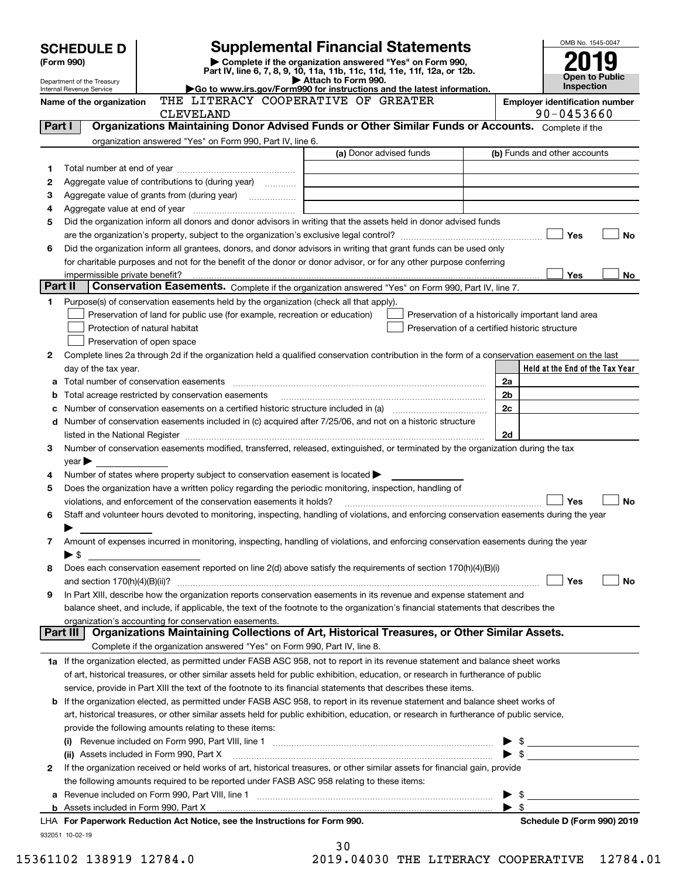|                                                        | <b>SCHEDULE D</b>               |                                                                                                        | <b>Supplemental Financial Statements</b>                                                                                                                                                                                                            |                                                    | OMB No. 1545-0047                                   |
|--------------------------------------------------------|---------------------------------|--------------------------------------------------------------------------------------------------------|-----------------------------------------------------------------------------------------------------------------------------------------------------------------------------------------------------------------------------------------------------|----------------------------------------------------|-----------------------------------------------------|
| (Form 990)                                             |                                 | Complete if the organization answered "Yes" on Form 990,                                               |                                                                                                                                                                                                                                                     |                                                    |                                                     |
|                                                        |                                 | Part IV, line 6, 7, 8, 9, 10, 11a, 11b, 11c, 11d, 11e, 11f, 12a, or 12b.<br>Attach to Form 990.        |                                                                                                                                                                                                                                                     |                                                    | <b>Open to Public</b>                               |
| Department of the Treasury<br>Internal Revenue Service |                                 |                                                                                                        | Go to www.irs.gov/Form990 for instructions and the latest information.                                                                                                                                                                              |                                                    | Inspection                                          |
|                                                        | Name of the organization        | THE LITERACY COOPERATIVE OF GREATER<br><b>CLEVELAND</b>                                                |                                                                                                                                                                                                                                                     |                                                    | <b>Employer identification number</b><br>90-0453660 |
| Part I                                                 |                                 |                                                                                                        | Organizations Maintaining Donor Advised Funds or Other Similar Funds or Accounts. Complete if the                                                                                                                                                   |                                                    |                                                     |
|                                                        |                                 | organization answered "Yes" on Form 990, Part IV, line 6.                                              |                                                                                                                                                                                                                                                     |                                                    |                                                     |
|                                                        |                                 |                                                                                                        | (a) Donor advised funds                                                                                                                                                                                                                             |                                                    | (b) Funds and other accounts                        |
| 1                                                      |                                 |                                                                                                        |                                                                                                                                                                                                                                                     |                                                    |                                                     |
| 2                                                      |                                 | Aggregate value of contributions to (during year)                                                      |                                                                                                                                                                                                                                                     |                                                    |                                                     |
| з<br>4                                                 |                                 |                                                                                                        |                                                                                                                                                                                                                                                     |                                                    |                                                     |
| 5                                                      |                                 |                                                                                                        | Did the organization inform all donors and donor advisors in writing that the assets held in donor advised funds                                                                                                                                    |                                                    |                                                     |
|                                                        |                                 |                                                                                                        |                                                                                                                                                                                                                                                     |                                                    | Yes<br>No                                           |
| 6                                                      |                                 |                                                                                                        | Did the organization inform all grantees, donors, and donor advisors in writing that grant funds can be used only                                                                                                                                   |                                                    |                                                     |
|                                                        |                                 |                                                                                                        | for charitable purposes and not for the benefit of the donor or donor advisor, or for any other purpose conferring                                                                                                                                  |                                                    |                                                     |
|                                                        | impermissible private benefit?  |                                                                                                        |                                                                                                                                                                                                                                                     |                                                    | Yes<br>No                                           |
| Part II                                                |                                 |                                                                                                        | Conservation Easements. Complete if the organization answered "Yes" on Form 990, Part IV, line 7.                                                                                                                                                   |                                                    |                                                     |
| 1.                                                     |                                 | Purpose(s) of conservation easements held by the organization (check all that apply).                  |                                                                                                                                                                                                                                                     |                                                    |                                                     |
|                                                        |                                 | Preservation of land for public use (for example, recreation or education)                             |                                                                                                                                                                                                                                                     | Preservation of a historically important land area |                                                     |
|                                                        |                                 | Protection of natural habitat                                                                          |                                                                                                                                                                                                                                                     | Preservation of a certified historic structure     |                                                     |
|                                                        |                                 | Preservation of open space                                                                             | Complete lines 2a through 2d if the organization held a qualified conservation contribution in the form of a conservation easement on the last                                                                                                      |                                                    |                                                     |
| 2                                                      | day of the tax year.            |                                                                                                        |                                                                                                                                                                                                                                                     |                                                    | Held at the End of the Tax Year                     |
| a                                                      |                                 |                                                                                                        |                                                                                                                                                                                                                                                     | 2a                                                 |                                                     |
| b                                                      |                                 | Total acreage restricted by conservation easements                                                     |                                                                                                                                                                                                                                                     | 2 <sub>b</sub>                                     |                                                     |
| с                                                      |                                 |                                                                                                        |                                                                                                                                                                                                                                                     | 2c                                                 |                                                     |
|                                                        |                                 |                                                                                                        | d Number of conservation easements included in (c) acquired after 7/25/06, and not on a historic structure                                                                                                                                          |                                                    |                                                     |
|                                                        |                                 |                                                                                                        |                                                                                                                                                                                                                                                     | 2d                                                 |                                                     |
| 3                                                      |                                 |                                                                                                        | Number of conservation easements modified, transferred, released, extinguished, or terminated by the organization during the tax                                                                                                                    |                                                    |                                                     |
|                                                        | $\mathsf{year}$                 |                                                                                                        |                                                                                                                                                                                                                                                     |                                                    |                                                     |
| 4                                                      |                                 | Number of states where property subject to conservation easement is located >                          |                                                                                                                                                                                                                                                     |                                                    |                                                     |
| 5                                                      |                                 | Does the organization have a written policy regarding the periodic monitoring, inspection, handling of |                                                                                                                                                                                                                                                     |                                                    |                                                     |
|                                                        |                                 | violations, and enforcement of the conservation easements it holds?                                    |                                                                                                                                                                                                                                                     |                                                    | No<br>Yes                                           |
| 6                                                      |                                 |                                                                                                        | Staff and volunteer hours devoted to monitoring, inspecting, handling of violations, and enforcing conservation easements during the year                                                                                                           |                                                    |                                                     |
| 7                                                      |                                 |                                                                                                        | Amount of expenses incurred in monitoring, inspecting, handling of violations, and enforcing conservation easements during the year                                                                                                                 |                                                    |                                                     |
|                                                        | $\blacktriangleright$ \$        |                                                                                                        |                                                                                                                                                                                                                                                     |                                                    |                                                     |
| 8                                                      |                                 |                                                                                                        | Does each conservation easement reported on line 2(d) above satisfy the requirements of section 170(h)(4)(B)(i)                                                                                                                                     |                                                    |                                                     |
|                                                        | and section $170(h)(4)(B)(ii)?$ |                                                                                                        |                                                                                                                                                                                                                                                     |                                                    | Yes<br>No                                           |
| 9                                                      |                                 |                                                                                                        | In Part XIII, describe how the organization reports conservation easements in its revenue and expense statement and                                                                                                                                 |                                                    |                                                     |
|                                                        |                                 |                                                                                                        | balance sheet, and include, if applicable, the text of the footnote to the organization's financial statements that describes the                                                                                                                   |                                                    |                                                     |
|                                                        |                                 | organization's accounting for conservation easements.                                                  |                                                                                                                                                                                                                                                     |                                                    |                                                     |
|                                                        | Part III                        |                                                                                                        | Organizations Maintaining Collections of Art, Historical Treasures, or Other Similar Assets.                                                                                                                                                        |                                                    |                                                     |
|                                                        |                                 | Complete if the organization answered "Yes" on Form 990, Part IV, line 8.                              |                                                                                                                                                                                                                                                     |                                                    |                                                     |
|                                                        |                                 |                                                                                                        | 1a If the organization elected, as permitted under FASB ASC 958, not to report in its revenue statement and balance sheet works                                                                                                                     |                                                    |                                                     |
|                                                        |                                 |                                                                                                        | of art, historical treasures, or other similar assets held for public exhibition, education, or research in furtherance of public<br>service, provide in Part XIII the text of the footnote to its financial statements that describes these items. |                                                    |                                                     |
|                                                        |                                 |                                                                                                        | <b>b</b> If the organization elected, as permitted under FASB ASC 958, to report in its revenue statement and balance sheet works of                                                                                                                |                                                    |                                                     |
|                                                        |                                 |                                                                                                        | art, historical treasures, or other similar assets held for public exhibition, education, or research in furtherance of public service,                                                                                                             |                                                    |                                                     |
|                                                        |                                 | provide the following amounts relating to these items:                                                 |                                                                                                                                                                                                                                                     |                                                    |                                                     |
|                                                        |                                 |                                                                                                        |                                                                                                                                                                                                                                                     |                                                    | $\frac{1}{2}$                                       |
|                                                        |                                 | (ii) Assets included in Form 990, Part X                                                               |                                                                                                                                                                                                                                                     |                                                    |                                                     |
| 2                                                      |                                 |                                                                                                        | If the organization received or held works of art, historical treasures, or other similar assets for financial gain, provide                                                                                                                        |                                                    |                                                     |
|                                                        |                                 | the following amounts required to be reported under FASB ASC 958 relating to these items:              |                                                                                                                                                                                                                                                     |                                                    |                                                     |
| a                                                      |                                 |                                                                                                        |                                                                                                                                                                                                                                                     | \$                                                 |                                                     |
|                                                        |                                 |                                                                                                        |                                                                                                                                                                                                                                                     | \$                                                 |                                                     |
|                                                        |                                 | LHA For Paperwork Reduction Act Notice, see the Instructions for Form 990.                             |                                                                                                                                                                                                                                                     |                                                    | Schedule D (Form 990) 2019                          |
|                                                        | 932051 10-02-19                 |                                                                                                        | っぃ                                                                                                                                                                                                                                                  |                                                    |                                                     |

| . J U |                       |  |
|-------|-----------------------|--|
|       | <b>تتلب 110,000 C</b> |  |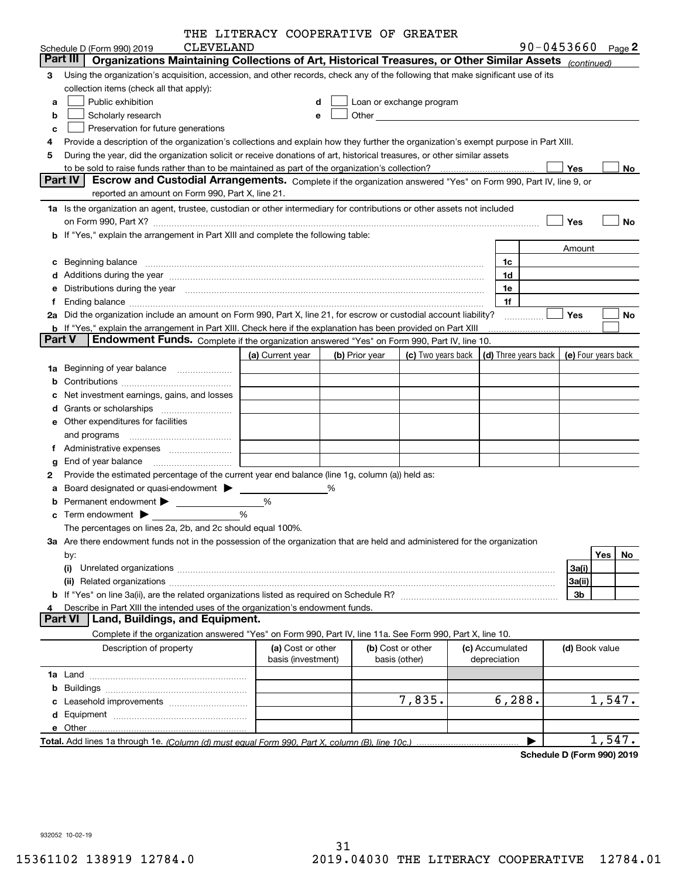|        |                                                                                                                                                                                                                                | THE LITERACY COOPERATIVE OF GREATER     |   |                |                                                                             |                                 |                            |     |          |
|--------|--------------------------------------------------------------------------------------------------------------------------------------------------------------------------------------------------------------------------------|-----------------------------------------|---|----------------|-----------------------------------------------------------------------------|---------------------------------|----------------------------|-----|----------|
|        | <b>CLEVELAND</b><br>Schedule D (Form 990) 2019                                                                                                                                                                                 |                                         |   |                |                                                                             |                                 | $90 - 0453660$             |     | Page $2$ |
|        | Part III<br>Organizations Maintaining Collections of Art, Historical Treasures, or Other Similar Assets (continued)                                                                                                            |                                         |   |                |                                                                             |                                 |                            |     |          |
| 3      | Using the organization's acquisition, accession, and other records, check any of the following that make significant use of its                                                                                                |                                         |   |                |                                                                             |                                 |                            |     |          |
|        | collection items (check all that apply):                                                                                                                                                                                       |                                         |   |                |                                                                             |                                 |                            |     |          |
| а      | Public exhibition                                                                                                                                                                                                              | d                                       |   |                | Loan or exchange program                                                    |                                 |                            |     |          |
| b      | Scholarly research                                                                                                                                                                                                             | е                                       |   |                |                                                                             |                                 |                            |     |          |
| c      | Preservation for future generations                                                                                                                                                                                            |                                         |   |                |                                                                             |                                 |                            |     |          |
| 4      | Provide a description of the organization's collections and explain how they further the organization's exempt purpose in Part XIII.                                                                                           |                                         |   |                |                                                                             |                                 |                            |     |          |
| 5      | During the year, did the organization solicit or receive donations of art, historical treasures, or other similar assets                                                                                                       |                                         |   |                |                                                                             |                                 |                            |     |          |
|        |                                                                                                                                                                                                                                |                                         |   |                |                                                                             |                                 | Yes                        |     | No       |
|        | Part IV<br>Escrow and Custodial Arrangements. Complete if the organization answered "Yes" on Form 990, Part IV, line 9, or                                                                                                     |                                         |   |                |                                                                             |                                 |                            |     |          |
|        | reported an amount on Form 990, Part X, line 21.                                                                                                                                                                               |                                         |   |                |                                                                             |                                 |                            |     |          |
|        | 1a Is the organization an agent, trustee, custodian or other intermediary for contributions or other assets not included                                                                                                       |                                         |   |                |                                                                             |                                 |                            |     |          |
|        | on Form 990, Part X? [11] matter contracts and contracts and contracts are contracted as a form of the set of the set of the set of the set of the set of the set of the set of the set of the set of the set of the set of th |                                         |   |                |                                                                             |                                 | Yes                        |     | No       |
|        | b If "Yes," explain the arrangement in Part XIII and complete the following table:                                                                                                                                             |                                         |   |                |                                                                             |                                 |                            |     |          |
|        |                                                                                                                                                                                                                                |                                         |   |                |                                                                             |                                 | Amount                     |     |          |
| c      | Beginning balance <b>contract to the contract of the contract of the contract of the contract of the contract of t</b>                                                                                                         |                                         |   |                |                                                                             | 1c                              |                            |     |          |
|        |                                                                                                                                                                                                                                |                                         |   |                |                                                                             | 1d                              |                            |     |          |
| е      | Distributions during the year manufactured and continuum control of the year manufactured and the year manufactured and the year manufactured and the year manufactured and the year manufactured and the year manufactured an |                                         |   |                |                                                                             | 1e                              |                            |     |          |
| f      |                                                                                                                                                                                                                                |                                         |   |                |                                                                             | 1f                              |                            |     |          |
|        | 2a Did the organization include an amount on Form 990, Part X, line 21, for escrow or custodial account liability?                                                                                                             |                                         |   |                |                                                                             |                                 | Yes                        |     | No       |
| Part V | b If "Yes," explain the arrangement in Part XIII. Check here if the explanation has been provided on Part XIII                                                                                                                 |                                         |   |                |                                                                             |                                 |                            |     |          |
|        | Endowment Funds. Complete if the organization answered "Yes" on Form 990, Part IV, line 10.                                                                                                                                    |                                         |   |                |                                                                             |                                 |                            |     |          |
|        |                                                                                                                                                                                                                                | (a) Current year                        |   | (b) Prior year | (c) Two years back $\vert$ (d) Three years back $\vert$ (e) Four years back |                                 |                            |     |          |
|        | 1a Beginning of year balance                                                                                                                                                                                                   | <u> 1999 - John Barnett, f</u>          |   |                |                                                                             |                                 |                            |     |          |
| b      |                                                                                                                                                                                                                                |                                         |   |                |                                                                             |                                 |                            |     |          |
|        | Net investment earnings, gains, and losses                                                                                                                                                                                     |                                         |   |                |                                                                             |                                 |                            |     |          |
| d      |                                                                                                                                                                                                                                |                                         |   |                |                                                                             |                                 |                            |     |          |
|        | <b>e</b> Other expenditures for facilities                                                                                                                                                                                     |                                         |   |                |                                                                             |                                 |                            |     |          |
|        | and programs                                                                                                                                                                                                                   |                                         |   |                |                                                                             |                                 |                            |     |          |
| Ť.     |                                                                                                                                                                                                                                |                                         |   |                |                                                                             |                                 |                            |     |          |
| g      | End of year balance                                                                                                                                                                                                            |                                         |   |                |                                                                             |                                 |                            |     |          |
| 2      | Provide the estimated percentage of the current year end balance (line 1g, column (a)) held as:                                                                                                                                |                                         |   |                |                                                                             |                                 |                            |     |          |
| а      | Board designated or quasi-endowment                                                                                                                                                                                            |                                         | % |                |                                                                             |                                 |                            |     |          |
| b      | Permanent endowment > 1                                                                                                                                                                                                        | %                                       |   |                |                                                                             |                                 |                            |     |          |
| c      | Term endowment $\blacktriangleright$                                                                                                                                                                                           | %                                       |   |                |                                                                             |                                 |                            |     |          |
|        | The percentages on lines 2a, 2b, and 2c should equal 100%.                                                                                                                                                                     |                                         |   |                |                                                                             |                                 |                            |     |          |
|        | 3a Are there endowment funds not in the possession of the organization that are held and administered for the organization                                                                                                     |                                         |   |                |                                                                             |                                 |                            |     |          |
|        | by:                                                                                                                                                                                                                            |                                         |   |                |                                                                             |                                 |                            | Yes | No       |
|        | (i)                                                                                                                                                                                                                            |                                         |   |                |                                                                             |                                 | 3a(i)                      |     |          |
|        |                                                                                                                                                                                                                                |                                         |   |                |                                                                             |                                 | 3a(ii)                     |     |          |
|        |                                                                                                                                                                                                                                |                                         |   |                |                                                                             |                                 | 3b                         |     |          |
|        | Describe in Part XIII the intended uses of the organization's endowment funds.<br>Land, Buildings, and Equipment.<br><b>Part VI</b>                                                                                            |                                         |   |                |                                                                             |                                 |                            |     |          |
|        |                                                                                                                                                                                                                                |                                         |   |                |                                                                             |                                 |                            |     |          |
|        | Complete if the organization answered "Yes" on Form 990, Part IV, line 11a. See Form 990, Part X, line 10.                                                                                                                     |                                         |   |                |                                                                             |                                 |                            |     |          |
|        | Description of property                                                                                                                                                                                                        | (a) Cost or other<br>basis (investment) |   |                | (b) Cost or other<br>basis (other)                                          | (c) Accumulated<br>depreciation | (d) Book value             |     |          |
|        |                                                                                                                                                                                                                                |                                         |   |                |                                                                             |                                 |                            |     |          |
|        |                                                                                                                                                                                                                                |                                         |   |                |                                                                             |                                 |                            |     |          |
| b      |                                                                                                                                                                                                                                |                                         |   |                | 7,835.                                                                      | 6, 288.                         |                            |     | 1,547.   |
| c      |                                                                                                                                                                                                                                |                                         |   |                |                                                                             |                                 |                            |     |          |
|        |                                                                                                                                                                                                                                |                                         |   |                |                                                                             |                                 |                            |     |          |
|        |                                                                                                                                                                                                                                |                                         |   |                |                                                                             |                                 |                            |     | 1,547.   |
|        |                                                                                                                                                                                                                                |                                         |   |                |                                                                             |                                 |                            |     |          |
|        |                                                                                                                                                                                                                                |                                         |   |                |                                                                             |                                 | Schedule D (Form 990) 2019 |     |          |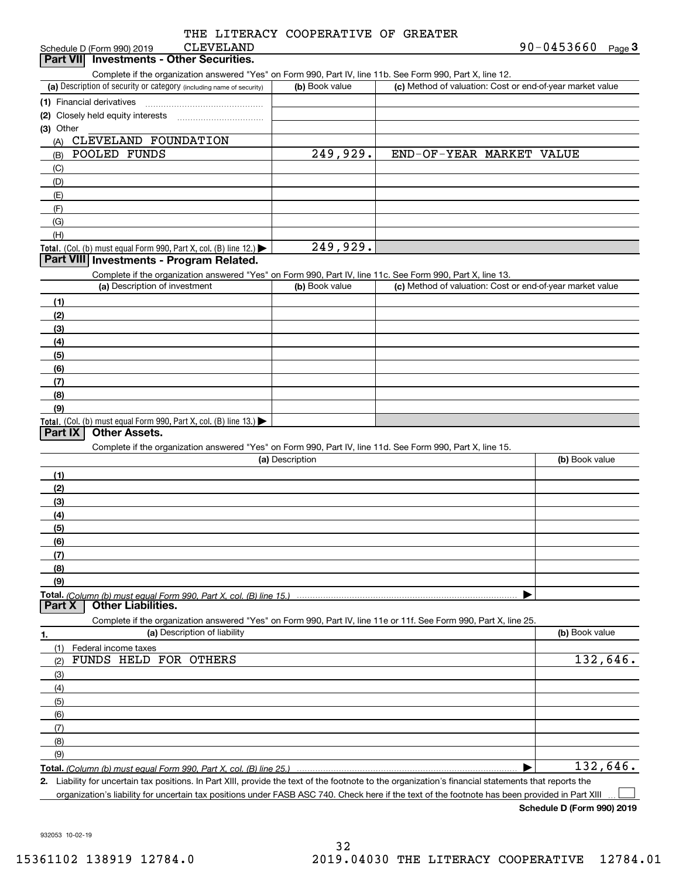|           | THE LITERACY COOPERATIVE OF GREATER |  |
|-----------|-------------------------------------|--|
| CLEVELAND |                                     |  |

| Schedule D (Form 990) 2019 | <b>CLEVELAND</b>                  | $90 - 0453660$ | Page |
|----------------------------|-----------------------------------|----------------|------|
| <b>Part VII</b>            | I Investments - Other Securities. |                |      |

Complete if the organization answered "Yes" on Form 990, Part IV, line 11b. See Form 990, Part X, line 12.

| OUTINIU II DO U HELO U HELO U TELEVITI DI DI DI DI DO UNITI DO UNITI DI TITULI TIDI. OUU I UNITI DOU, I DI L'A, INTU TEL |                |                                                           |
|--------------------------------------------------------------------------------------------------------------------------|----------------|-----------------------------------------------------------|
| (a) Description of security or category (including name of security)                                                     | (b) Book value | (c) Method of valuation: Cost or end-of-year market value |
| (1) Financial derivatives                                                                                                |                |                                                           |
| (2) Closely held equity interests                                                                                        |                |                                                           |
| (3) Other                                                                                                                |                |                                                           |
| CLEVELAND FOUNDATION<br>(A)                                                                                              |                |                                                           |
| POOLED FUNDS<br>(B)                                                                                                      | 249,929.       | END-OF-YEAR MARKET VALUE                                  |
| (C)                                                                                                                      |                |                                                           |
| (D)                                                                                                                      |                |                                                           |
| (E)                                                                                                                      |                |                                                           |
| (F)                                                                                                                      |                |                                                           |
| (G)                                                                                                                      |                |                                                           |
| (H)                                                                                                                      |                |                                                           |
| <b>Total.</b> (Col. (b) must equal Form 990, Part X, col. (B) line $12$ .)                                               | 249,929.       |                                                           |

## **Part VIII Investments - Program Related.**

Complete if the organization answered "Yes" on Form 990, Part IV, line 11c. See Form 990, Part X, line 13.

| (a) Description of investment                                                          | (b) Book value | (c) Method of valuation: Cost or end-of-year market value |
|----------------------------------------------------------------------------------------|----------------|-----------------------------------------------------------|
| (1)                                                                                    |                |                                                           |
| (2)                                                                                    |                |                                                           |
| $\frac{1}{2}$                                                                          |                |                                                           |
| (4)                                                                                    |                |                                                           |
| (5)                                                                                    |                |                                                           |
| (6)                                                                                    |                |                                                           |
| (7)                                                                                    |                |                                                           |
| (8)                                                                                    |                |                                                           |
| (9)                                                                                    |                |                                                           |
| Total. (Col. (b) must equal Form 990, Part X, col. (B) line 13.) $\blacktriangleright$ |                |                                                           |

## **Part IX Other Assets.**

Complete if the organization answered "Yes" on Form 990, Part IV, line 11d. See Form 990, Part X, line 15.

| (a) Description                                                                                                                       | (b) Book value |
|---------------------------------------------------------------------------------------------------------------------------------------|----------------|
|                                                                                                                                       |                |
| (2)                                                                                                                                   |                |
| (3)                                                                                                                                   |                |
| (4)                                                                                                                                   |                |
| (5)                                                                                                                                   |                |
| (6)                                                                                                                                   |                |
|                                                                                                                                       |                |
| (8)                                                                                                                                   |                |
| (9)                                                                                                                                   |                |
|                                                                                                                                       |                |
| Total. (Column (b) must equal Form 990, Part X, col. (B) line 15.) ………………………………………………………………………………………<br>  Part X   Other Liabilities. |                |

**1.(a)** Description of liability **Book value** Book value Book value Book value Book value Complete if the organization answered "Yes" on Form 990, Part IV, line 11e or 11f. See Form 990, Part X, line 25. (1)(2)(3)(4)(5) (6)(7)(8)(9)Federal income taxes  $\blacktriangleright$ FUNDS HELD FOR OTHERS 132,646. 132,646.

**Total.**  *(Column (b) must equal Form 990, Part X, col. (B) line 25.)* 

**2.**Liability for uncertain tax positions. In Part XIII, provide the text of the footnote to the organization's financial statements that reports the organization's liability for uncertain tax positions under FASB ASC 740. Check here if the text of the footnote has been provided in Part XIII  $\mathcal{L}^{\text{max}}$ 

**Schedule D (Form 990) 2019**

932053 10-02-19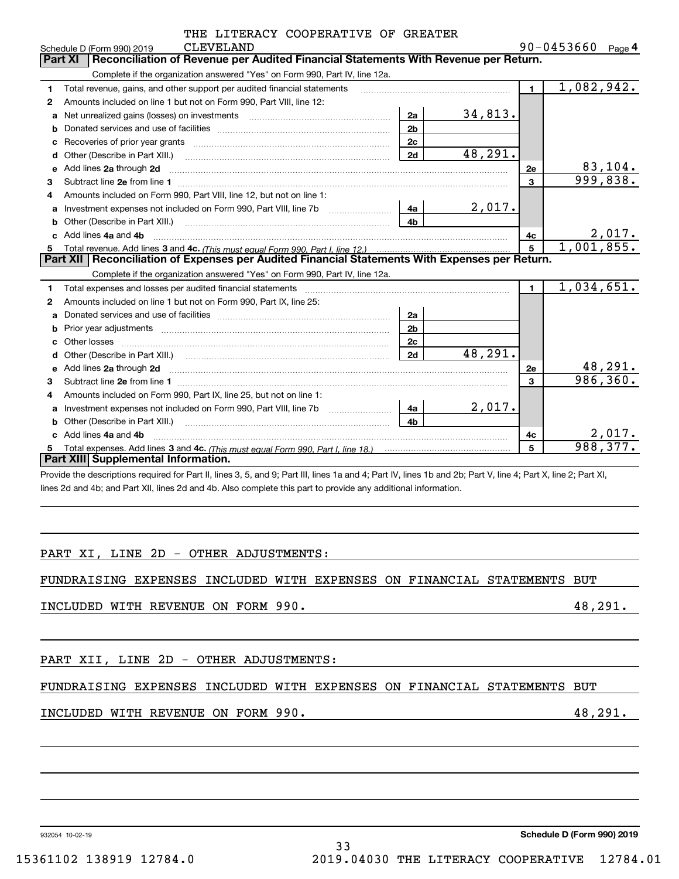|                | THE LITERACY COOPERATIVE OF GREATER |  |                 |  |
|----------------|-------------------------------------|--|-----------------|--|
| $C$ ים מא המוד |                                     |  | $QCD-0.4536600$ |  |

|    | <b>CLEVELAND</b><br>Schedule D (Form 990) 2019                                                                                                                                                                                     |                | 90-0453660<br>Page $4$      |
|----|------------------------------------------------------------------------------------------------------------------------------------------------------------------------------------------------------------------------------------|----------------|-----------------------------|
|    | Reconciliation of Revenue per Audited Financial Statements With Revenue per Return.<br>Part XI                                                                                                                                     |                |                             |
|    | Complete if the organization answered "Yes" on Form 990, Part IV, line 12a.                                                                                                                                                        |                |                             |
| 1  | Total revenue, gains, and other support per audited financial statements                                                                                                                                                           | $\blacksquare$ | 1,082,942.                  |
| 2  | Amounts included on line 1 but not on Form 990, Part VIII, line 12:                                                                                                                                                                |                |                             |
| a  | 34,813.<br>2a                                                                                                                                                                                                                      |                |                             |
| b  | 2 <sub>b</sub>                                                                                                                                                                                                                     |                |                             |
| c  | 2c<br>Recoveries of prior year grants [111] matter contracts and prior year grants and matter contracts and all all                                                                                                                |                |                             |
| d  | 48,291.<br>2d                                                                                                                                                                                                                      |                |                             |
| е  | Add lines 2a through 2d                                                                                                                                                                                                            | 2e             | 83, 104.                    |
| 3  |                                                                                                                                                                                                                                    | $\overline{3}$ | 999,838.                    |
| 4  | Amounts included on Form 990, Part VIII, line 12, but not on line 1:                                                                                                                                                               |                |                             |
| a  | 2,017.<br>4a<br>Investment expenses not included on Form 990, Part VIII, line 7b [111] [11] Investment expenses not included on Form 990, Part VIII, line 7b                                                                       |                |                             |
| b  | 4 <sub>b</sub><br>Other (Describe in Part XIII.) <b>Construction Contract Construction</b> Chern Construction Construction Construction                                                                                            |                |                             |
|    | Add lines 4a and 4b                                                                                                                                                                                                                | 4c             | $\frac{2,017.}{1,001,855.}$ |
| 5. |                                                                                                                                                                                                                                    | 5              |                             |
|    | Part XII   Reconciliation of Expenses per Audited Financial Statements With Expenses per Return.                                                                                                                                   |                |                             |
|    | Complete if the organization answered "Yes" on Form 990, Part IV, line 12a.                                                                                                                                                        |                |                             |
| 1. | Total expenses and losses per audited financial statements [11] [11] Total expenses and losses per audited financial statements [11] [11] Total expenses and losses per audited financial statements                               | $\blacksquare$ | 1,034,651.                  |
| 2  | Amounts included on line 1 but not on Form 990, Part IX, line 25:                                                                                                                                                                  |                |                             |
| a  | 2a                                                                                                                                                                                                                                 |                |                             |
| b  | 2 <sub>b</sub>                                                                                                                                                                                                                     |                |                             |
|    | 2c<br>Other losses                                                                                                                                                                                                                 |                |                             |
| d  | 48, 291.<br>2d                                                                                                                                                                                                                     |                |                             |
| e  | Add lines 2a through 2d <b>must be a constructed as the constant of the construction</b> and the state of the state of the state of the state of the state of the state of the state of the state of the state of the state of the | 2е             | 48,291.                     |
| 3  |                                                                                                                                                                                                                                    | 3              | 986, 360.                   |
| 4  | Amounts included on Form 990, Part IX, line 25, but not on line 1:                                                                                                                                                                 |                |                             |
| a  | 2,017.<br>Investment expenses not included on Form 990, Part VIII, line 7b [111] [11] Investment expenses not included on Form 990, Part VIII, line 7b<br>4a                                                                       |                |                             |
| b  | 4 <sub>h</sub><br>Other (Describe in Part XIII.)                                                                                                                                                                                   |                |                             |
| c. | Add lines 4a and 4b                                                                                                                                                                                                                | 4c             | 2,017.                      |
|    |                                                                                                                                                                                                                                    | 5              | 988, 377.                   |
|    | Part XIII Supplemental Information.                                                                                                                                                                                                |                |                             |

Provide the descriptions required for Part II, lines 3, 5, and 9; Part III, lines 1a and 4; Part IV, lines 1b and 2b; Part V, line 4; Part X, line 2; Part XI, lines 2d and 4b; and Part XII, lines 2d and 4b. Also complete this part to provide any additional information.

### PART XI, LINE 2D - OTHER ADJUSTMENTS:

FUNDRAISING EXPENSES INCLUDED WITH EXPENSES ON FINANCIAL STATEMENTS BUT

### INCLUDED WITH REVENUE ON FORM 990. 48,291.

PART XII, LINE 2D - OTHER ADJUSTMENTS:

## FUNDRAISING EXPENSES INCLUDED WITH EXPENSES ON FINANCIAL STATEMENTS BUT

33

## INCLUDED WITH REVENUE ON FORM 990. 48,291.

932054 10-02-19

**Schedule D (Form 990) 2019**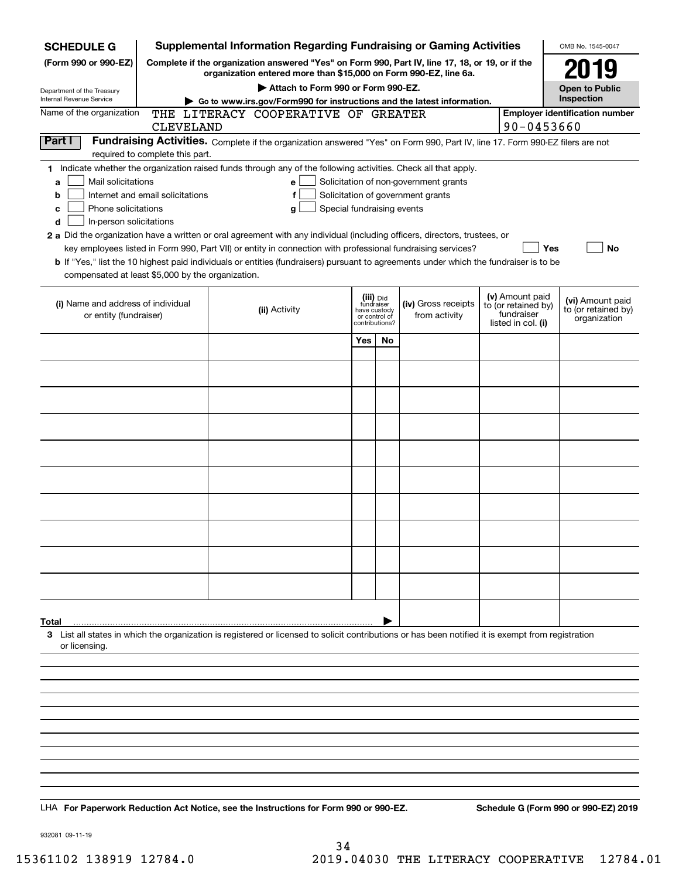| <b>SCHEDULE G</b>                                            |                                  | <b>Supplemental Information Regarding Fundraising or Gaming Activities</b>                                                                                          |                                                                            |    |                                       |                                                                            | OMB No. 1545-0047                                       |
|--------------------------------------------------------------|----------------------------------|---------------------------------------------------------------------------------------------------------------------------------------------------------------------|----------------------------------------------------------------------------|----|---------------------------------------|----------------------------------------------------------------------------|---------------------------------------------------------|
| (Form 990 or 990-EZ)                                         |                                  | Complete if the organization answered "Yes" on Form 990, Part IV, line 17, 18, or 19, or if the<br>organization entered more than \$15,000 on Form 990-EZ, line 6a. |                                                                            |    |                                       |                                                                            | 2019                                                    |
|                                                              |                                  | Attach to Form 990 or Form 990-EZ.                                                                                                                                  |                                                                            |    |                                       |                                                                            | <b>Open to Public</b>                                   |
| Department of the Treasury<br>Internal Revenue Service       |                                  | Go to www.irs.gov/Form990 for instructions and the latest information.                                                                                              |                                                                            |    |                                       |                                                                            | Inspection                                              |
| Name of the organization                                     | <b>CLEVELAND</b>                 | THE LITERACY COOPERATIVE OF GREATER                                                                                                                                 |                                                                            |    |                                       | 90-0453660                                                                 | <b>Employer identification number</b>                   |
| Part I                                                       |                                  | Fundraising Activities. Complete if the organization answered "Yes" on Form 990, Part IV, line 17. Form 990-EZ filers are not                                       |                                                                            |    |                                       |                                                                            |                                                         |
|                                                              | required to complete this part.  | 1 Indicate whether the organization raised funds through any of the following activities. Check all that apply.                                                     |                                                                            |    |                                       |                                                                            |                                                         |
| Mail solicitations<br>a                                      |                                  | e                                                                                                                                                                   |                                                                            |    | Solicitation of non-government grants |                                                                            |                                                         |
| b                                                            | Internet and email solicitations |                                                                                                                                                                     |                                                                            |    | Solicitation of government grants     |                                                                            |                                                         |
| Phone solicitations<br>с                                     |                                  | a                                                                                                                                                                   | Special fundraising events                                                 |    |                                       |                                                                            |                                                         |
| In-person solicitations<br>d                                 |                                  | 2 a Did the organization have a written or oral agreement with any individual (including officers, directors, trustees, or                                          |                                                                            |    |                                       |                                                                            |                                                         |
|                                                              |                                  | key employees listed in Form 990, Part VII) or entity in connection with professional fundraising services?                                                         |                                                                            |    |                                       | Yes                                                                        | No                                                      |
|                                                              |                                  | <b>b</b> If "Yes," list the 10 highest paid individuals or entities (fundraisers) pursuant to agreements under which the fundraiser is to be                        |                                                                            |    |                                       |                                                                            |                                                         |
| compensated at least \$5,000 by the organization.            |                                  |                                                                                                                                                                     |                                                                            |    |                                       |                                                                            |                                                         |
| (i) Name and address of individual<br>or entity (fundraiser) |                                  | (ii) Activity                                                                                                                                                       | (iii) Did<br>fundraiser<br>have custody<br>or control of<br>contributions? |    | (iv) Gross receipts<br>from activity  | (v) Amount paid<br>to (or retained by)<br>fundraiser<br>listed in col. (i) | (vi) Amount paid<br>to (or retained by)<br>organization |
|                                                              |                                  |                                                                                                                                                                     | Yes                                                                        | No |                                       |                                                                            |                                                         |
|                                                              |                                  |                                                                                                                                                                     |                                                                            |    |                                       |                                                                            |                                                         |
|                                                              |                                  |                                                                                                                                                                     |                                                                            |    |                                       |                                                                            |                                                         |
|                                                              |                                  |                                                                                                                                                                     |                                                                            |    |                                       |                                                                            |                                                         |
|                                                              |                                  |                                                                                                                                                                     |                                                                            |    |                                       |                                                                            |                                                         |
|                                                              |                                  |                                                                                                                                                                     |                                                                            |    |                                       |                                                                            |                                                         |
|                                                              |                                  |                                                                                                                                                                     |                                                                            |    |                                       |                                                                            |                                                         |
|                                                              |                                  |                                                                                                                                                                     |                                                                            |    |                                       |                                                                            |                                                         |
|                                                              |                                  |                                                                                                                                                                     |                                                                            |    |                                       |                                                                            |                                                         |
|                                                              |                                  |                                                                                                                                                                     |                                                                            |    |                                       |                                                                            |                                                         |
|                                                              |                                  |                                                                                                                                                                     |                                                                            |    |                                       |                                                                            |                                                         |
|                                                              |                                  |                                                                                                                                                                     |                                                                            |    |                                       |                                                                            |                                                         |
|                                                              |                                  |                                                                                                                                                                     |                                                                            |    |                                       |                                                                            |                                                         |
| Total                                                        |                                  |                                                                                                                                                                     |                                                                            |    |                                       |                                                                            |                                                         |
| or licensing.                                                |                                  | 3 List all states in which the organization is registered or licensed to solicit contributions or has been notified it is exempt from registration                  |                                                                            |    |                                       |                                                                            |                                                         |
|                                                              |                                  |                                                                                                                                                                     |                                                                            |    |                                       |                                                                            |                                                         |
|                                                              |                                  |                                                                                                                                                                     |                                                                            |    |                                       |                                                                            |                                                         |
|                                                              |                                  |                                                                                                                                                                     |                                                                            |    |                                       |                                                                            |                                                         |
|                                                              |                                  |                                                                                                                                                                     |                                                                            |    |                                       |                                                                            |                                                         |
|                                                              |                                  |                                                                                                                                                                     |                                                                            |    |                                       |                                                                            |                                                         |
|                                                              |                                  |                                                                                                                                                                     |                                                                            |    |                                       |                                                                            |                                                         |
|                                                              |                                  |                                                                                                                                                                     |                                                                            |    |                                       |                                                                            |                                                         |
|                                                              |                                  | LHA For Paperwork Reduction Act Notice, see the Instructions for Form 990 or 990-EZ.                                                                                |                                                                            |    |                                       |                                                                            | Schedule G (Form 990 or 990-EZ) 2019                    |

932081 09-11-19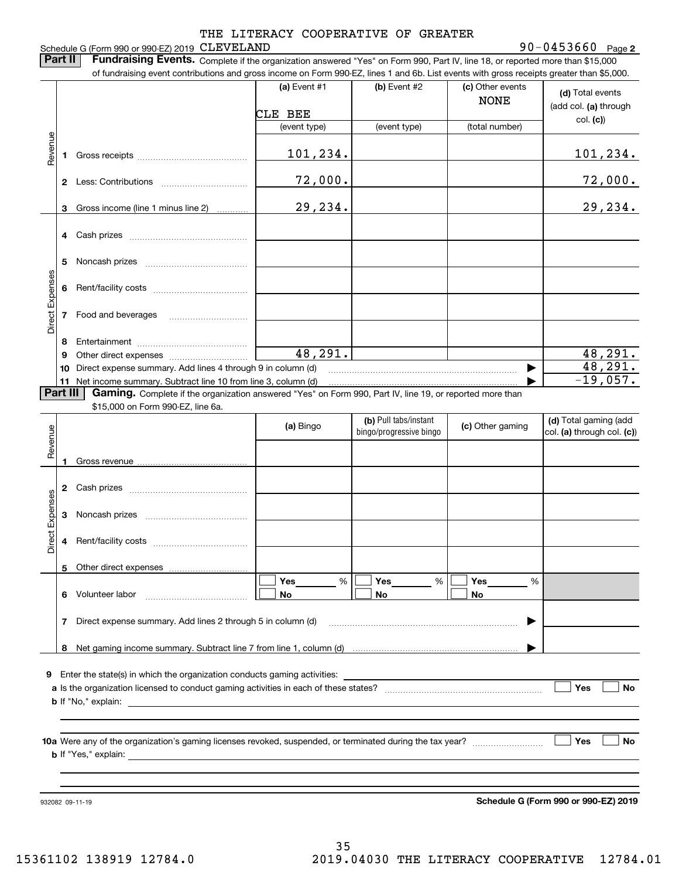**2** CLEVELAND 90-0453660

Schedule G (Form 990 or 990-EZ) 2019 CLEVELAND **Part II** | Fundraising Events. Complete if the organization answered "Yes" on Form 990, Part IV, line 18, or reported more than \$15,000 of fundraising event contributions and gross income on Form 990-EZ, lines 1 and 6b. List events with gross receipts greater than \$5,000.

|                 |    |                                                                                                                                                                             | (a) Event $#1$          | (b) Event #2                                     | (c) Other events<br><b>NONE</b> | (d) Total events<br>(add col. (a) through           |
|-----------------|----|-----------------------------------------------------------------------------------------------------------------------------------------------------------------------------|-------------------------|--------------------------------------------------|---------------------------------|-----------------------------------------------------|
|                 |    |                                                                                                                                                                             | CLE BEE<br>(event type) | (event type)                                     | (total number)                  | col. (c)                                            |
|                 |    |                                                                                                                                                                             |                         |                                                  |                                 |                                                     |
| Revenue         | 1  |                                                                                                                                                                             | 101,234.                |                                                  |                                 | <u>101,234.</u>                                     |
|                 |    |                                                                                                                                                                             | 72,000.                 |                                                  |                                 | 72,000.                                             |
|                 | 3  | Gross income (line 1 minus line 2)                                                                                                                                          | 29, 234.                |                                                  |                                 | 29,234.                                             |
|                 |    |                                                                                                                                                                             |                         |                                                  |                                 |                                                     |
|                 | 5  |                                                                                                                                                                             |                         |                                                  |                                 |                                                     |
|                 | 6  |                                                                                                                                                                             |                         |                                                  |                                 |                                                     |
| Direct Expenses | 7  | Food and beverages                                                                                                                                                          |                         |                                                  |                                 |                                                     |
|                 | 8  |                                                                                                                                                                             |                         |                                                  |                                 |                                                     |
|                 | 9  |                                                                                                                                                                             | 48,291.                 |                                                  |                                 | 48,291.                                             |
|                 | 10 | Direct expense summary. Add lines 4 through 9 in column (d)                                                                                                                 |                         |                                                  |                                 | 48,291.                                             |
| <b>Part III</b> |    | 11 Net income summary. Subtract line 10 from line 3, column (d)<br>Gaming. Complete if the organization answered "Yes" on Form 990, Part IV, line 19, or reported more than |                         |                                                  |                                 | $-19,057.$                                          |
|                 |    | \$15,000 on Form 990-EZ, line 6a.                                                                                                                                           |                         |                                                  |                                 |                                                     |
| Revenue         |    |                                                                                                                                                                             | (a) Bingo               | (b) Pull tabs/instant<br>bingo/progressive bingo | (c) Other gaming                | (d) Total gaming (add<br>col. (a) through col. (c)) |
|                 |    |                                                                                                                                                                             |                         |                                                  |                                 |                                                     |
|                 |    |                                                                                                                                                                             |                         |                                                  |                                 |                                                     |
| Direct Expenses | 3  |                                                                                                                                                                             |                         |                                                  |                                 |                                                     |
|                 | 4  |                                                                                                                                                                             |                         |                                                  |                                 |                                                     |
|                 |    |                                                                                                                                                                             |                         |                                                  |                                 |                                                     |
|                 |    |                                                                                                                                                                             | Yes<br>%                | Yes<br>%                                         | Yes<br>%                        |                                                     |
|                 | 6. | Volunteer labor                                                                                                                                                             | No                      | No                                               | No                              |                                                     |
|                 | 7  | Direct expense summary. Add lines 2 through 5 in column (d)                                                                                                                 |                         |                                                  |                                 |                                                     |
|                 | 8  |                                                                                                                                                                             |                         |                                                  |                                 |                                                     |
|                 |    |                                                                                                                                                                             |                         |                                                  |                                 |                                                     |
| 9               |    | Enter the state(s) in which the organization conducts gaming activities:                                                                                                    |                         |                                                  |                                 |                                                     |
|                 |    |                                                                                                                                                                             |                         |                                                  |                                 | Yes<br>No                                           |
|                 |    | <b>b</b> If "No," explain:                                                                                                                                                  |                         |                                                  |                                 |                                                     |
|                 |    |                                                                                                                                                                             |                         |                                                  |                                 |                                                     |
|                 |    | <b>b</b> If "Yes," explain: <b>b</b>                                                                                                                                        |                         |                                                  |                                 | Yes<br>No                                           |
|                 |    |                                                                                                                                                                             |                         |                                                  |                                 |                                                     |
|                 |    |                                                                                                                                                                             |                         |                                                  |                                 |                                                     |
|                 |    | 932082 09-11-19                                                                                                                                                             |                         |                                                  |                                 | Schedule G (Form 990 or 990-EZ) 2019                |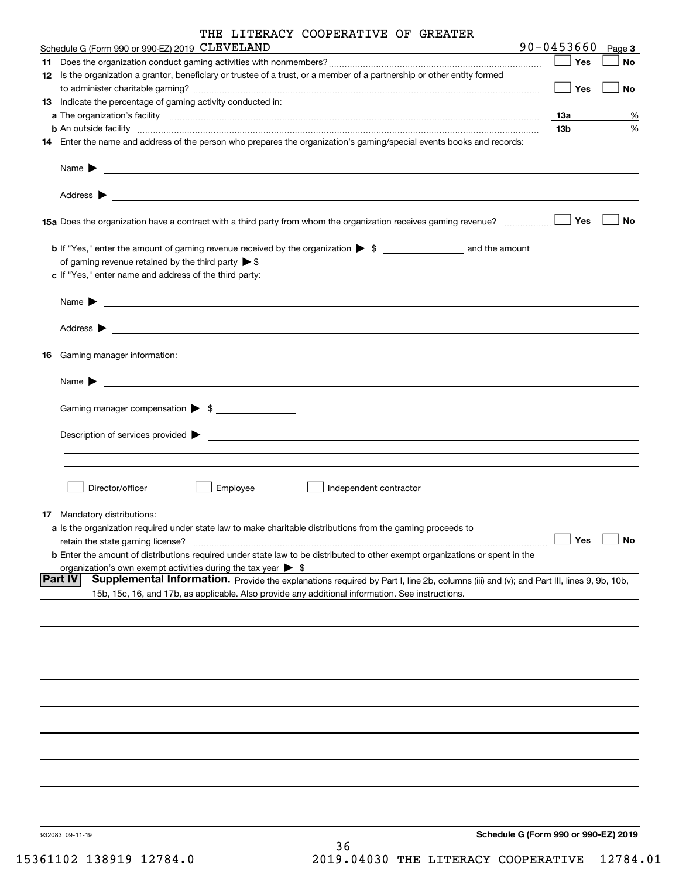| THE LITERACY COOPERATIVE OF GREATER |
|-------------------------------------|
|                                     |

| Schedule G (Form 990 or 990-EZ) 2019 CLEVELAND                                                                                                                | $90 - 0453660$  | Page 3    |
|---------------------------------------------------------------------------------------------------------------------------------------------------------------|-----------------|-----------|
|                                                                                                                                                               | Yes             | <b>No</b> |
| 12 Is the organization a grantor, beneficiary or trustee of a trust, or a member of a partnership or other entity formed                                      |                 |           |
|                                                                                                                                                               | Yes             | No        |
| 13 Indicate the percentage of gaming activity conducted in:                                                                                                   |                 |           |
|                                                                                                                                                               | 1За             | %         |
| <b>b</b> An outside facility <i>www.communicality www.communicality.communicality www.communicality www.communicality.communicality www.communicality.com</i> | 13 <sub>b</sub> | $\%$      |
| 14 Enter the name and address of the person who prepares the organization's gaming/special events books and records:                                          |                 |           |
|                                                                                                                                                               |                 |           |
| Name $\blacktriangleright$<br><u> 1989 - Andrea Stadt Britain, amerikansk politiker (</u>                                                                     |                 |           |
| Address $\blacktriangleright$<br><u> 1989 - Johann Stoff, amerikansk politiker (d. 1989)</u>                                                                  |                 |           |
|                                                                                                                                                               | Yes             | No        |
|                                                                                                                                                               |                 |           |
| of gaming revenue retained by the third party $\triangleright$ \$ $\_\_\_\_\_\_\_\_\_\_\_\_\_\_\_\_\_\_\_\_\_\_\_\_\_\_\_$                                    |                 |           |
| c If "Yes," enter name and address of the third party:                                                                                                        |                 |           |
| <u> 1989 - Johann Barbara, martin amerikan basal dan berasal dan berasal dalam basal dan berasal dan berasal dan</u><br>Name $\blacktriangleright$            |                 |           |
| Address $\blacktriangleright$<br><u> Alexandria de la contrada de la contrada de la contrada de la contrada de la contrada de la contrada de la c</u>         |                 |           |
| <b>16</b> Gaming manager information:                                                                                                                         |                 |           |
| Name $\blacktriangleright$                                                                                                                                    |                 |           |
| <u> 1980 - John Stein, mars and der Stein and der Stein and der Stein and der Stein and der Stein and der Stein a</u>                                         |                 |           |
| Gaming manager compensation > \$                                                                                                                              |                 |           |
|                                                                                                                                                               |                 |           |
|                                                                                                                                                               |                 |           |
|                                                                                                                                                               |                 |           |
| Director/officer<br>Employee<br>Independent contractor                                                                                                        |                 |           |
| <b>17</b> Mandatory distributions:                                                                                                                            |                 |           |
| a Is the organization required under state law to make charitable distributions from the gaming proceeds to                                                   |                 |           |
| retain the state gaming license?                                                                                                                              | ∫ Yes           | $\Box$ No |
| <b>b</b> Enter the amount of distributions required under state law to be distributed to other exempt organizations or spent in the                           |                 |           |
| organization's own exempt activities during the tax year $\triangleright$ \$                                                                                  |                 |           |
| <b>Part IV</b><br>Supplemental Information. Provide the explanations required by Part I, line 2b, columns (iii) and (v); and Part III, lines 9, 9b, 10b,      |                 |           |
| 15b, 15c, 16, and 17b, as applicable. Also provide any additional information. See instructions.                                                              |                 |           |
|                                                                                                                                                               |                 |           |
|                                                                                                                                                               |                 |           |
|                                                                                                                                                               |                 |           |
|                                                                                                                                                               |                 |           |
|                                                                                                                                                               |                 |           |
|                                                                                                                                                               |                 |           |
|                                                                                                                                                               |                 |           |
|                                                                                                                                                               |                 |           |
|                                                                                                                                                               |                 |           |
|                                                                                                                                                               |                 |           |
| Schedule G (Form 990 or 990-EZ) 2019<br>932083 09-11-19<br>ົ                                                                                                  |                 |           |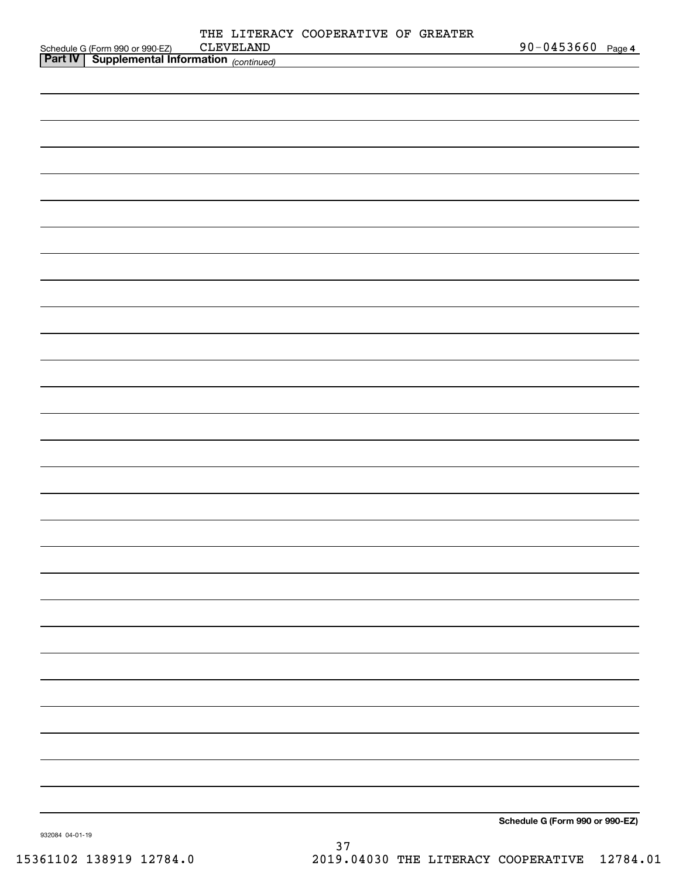|                                                                                                  | THE LITERACY COOPERATIVE OF GREATER |                                 |  |
|--------------------------------------------------------------------------------------------------|-------------------------------------|---------------------------------|--|
| Schedule G (Form 990 or 990-EZ) CLEVELAND<br><b>Part IV</b> Supplemental Information (continued) |                                     | 90-0453660 Page 4               |  |
|                                                                                                  |                                     |                                 |  |
|                                                                                                  |                                     |                                 |  |
|                                                                                                  |                                     |                                 |  |
|                                                                                                  |                                     |                                 |  |
|                                                                                                  |                                     |                                 |  |
|                                                                                                  |                                     |                                 |  |
|                                                                                                  |                                     |                                 |  |
|                                                                                                  |                                     |                                 |  |
|                                                                                                  |                                     |                                 |  |
|                                                                                                  |                                     |                                 |  |
|                                                                                                  |                                     |                                 |  |
|                                                                                                  |                                     |                                 |  |
|                                                                                                  |                                     |                                 |  |
|                                                                                                  |                                     |                                 |  |
|                                                                                                  |                                     |                                 |  |
|                                                                                                  |                                     |                                 |  |
|                                                                                                  |                                     |                                 |  |
|                                                                                                  |                                     |                                 |  |
|                                                                                                  |                                     |                                 |  |
|                                                                                                  |                                     |                                 |  |
|                                                                                                  |                                     |                                 |  |
|                                                                                                  |                                     |                                 |  |
|                                                                                                  |                                     |                                 |  |
|                                                                                                  |                                     |                                 |  |
|                                                                                                  |                                     |                                 |  |
|                                                                                                  |                                     |                                 |  |
|                                                                                                  |                                     |                                 |  |
|                                                                                                  |                                     |                                 |  |
|                                                                                                  |                                     |                                 |  |
|                                                                                                  |                                     |                                 |  |
|                                                                                                  |                                     |                                 |  |
|                                                                                                  |                                     |                                 |  |
|                                                                                                  |                                     |                                 |  |
|                                                                                                  |                                     |                                 |  |
|                                                                                                  |                                     |                                 |  |
|                                                                                                  |                                     |                                 |  |
|                                                                                                  |                                     |                                 |  |
|                                                                                                  |                                     |                                 |  |
|                                                                                                  |                                     |                                 |  |
|                                                                                                  |                                     |                                 |  |
|                                                                                                  |                                     |                                 |  |
|                                                                                                  |                                     |                                 |  |
|                                                                                                  |                                     |                                 |  |
|                                                                                                  |                                     |                                 |  |
|                                                                                                  |                                     |                                 |  |
|                                                                                                  |                                     | Schedule G (Form 990 or 990-EZ) |  |
|                                                                                                  |                                     |                                 |  |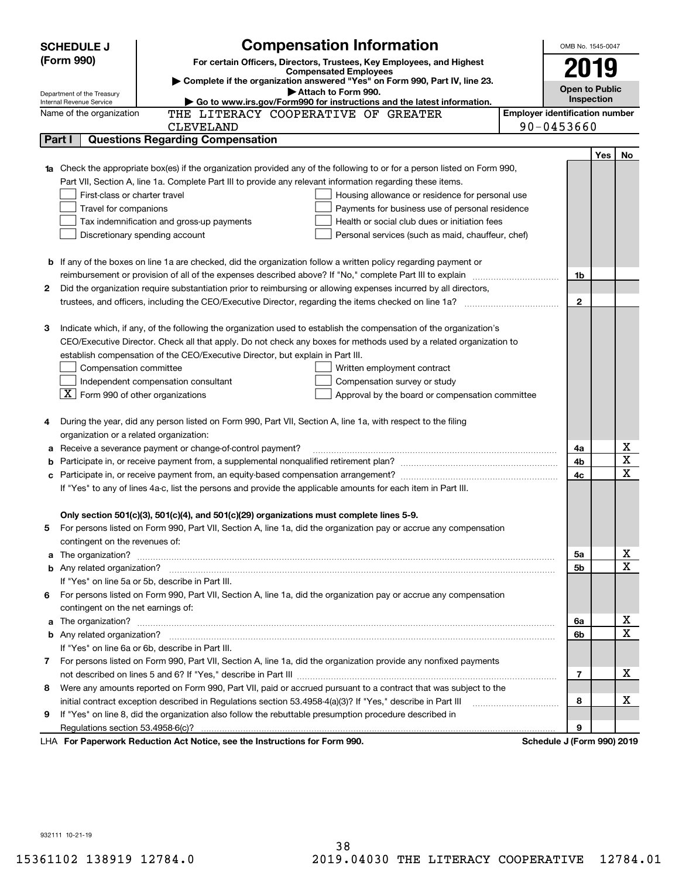| (Form 990)<br>For certain Officers, Directors, Trustees, Key Employees, and Highest<br>2019<br><b>Compensated Employees</b><br>Complete if the organization answered "Yes" on Form 990, Part IV, line 23.<br><b>Open to Public</b><br>Attach to Form 990.<br>Department of the Treasury<br><b>Inspection</b><br>Go to www.irs.gov/Form990 for instructions and the latest information.<br>Internal Revenue Service<br><b>Employer identification number</b><br>THE LITERACY COOPERATIVE OF GREATER<br>Name of the organization<br>90-0453660<br><b>CLEVELAND</b><br><b>Questions Regarding Compensation</b><br>Part I<br><b>Yes</b><br>No<br><b>1a</b> Check the appropriate box(es) if the organization provided any of the following to or for a person listed on Form 990,<br>Part VII, Section A, line 1a. Complete Part III to provide any relevant information regarding these items.<br>First-class or charter travel<br>Housing allowance or residence for personal use<br>Travel for companions<br>Payments for business use of personal residence<br>Tax indemnification and gross-up payments<br>Health or social club dues or initiation fees<br>Discretionary spending account<br>Personal services (such as maid, chauffeur, chef)<br><b>b</b> If any of the boxes on line 1a are checked, did the organization follow a written policy regarding payment or<br>reimbursement or provision of all of the expenses described above? If "No," complete Part III to explain<br>1b<br>2<br>Did the organization require substantiation prior to reimbursing or allowing expenses incurred by all directors,<br>$\mathbf{2}$<br>trustees, and officers, including the CEO/Executive Director, regarding the items checked on line 1a?<br>Indicate which, if any, of the following the organization used to establish the compensation of the organization's<br>З<br>CEO/Executive Director. Check all that apply. Do not check any boxes for methods used by a related organization to<br>establish compensation of the CEO/Executive Director, but explain in Part III.<br>Compensation committee<br>Written employment contract<br>Independent compensation consultant<br>Compensation survey or study<br>$\lfloor X \rfloor$ Form 990 of other organizations<br>Approval by the board or compensation committee<br>During the year, did any person listed on Form 990, Part VII, Section A, line 1a, with respect to the filing<br>organization or a related organization:<br>х<br>Receive a severance payment or change-of-control payment?<br>4a<br>а<br>$\overline{\mathbf{x}}$<br>4b<br>b<br>$\overline{\mathbf{x}}$<br>4c<br>с<br>If "Yes" to any of lines 4a-c, list the persons and provide the applicable amounts for each item in Part III.<br>Only section 501(c)(3), 501(c)(4), and 501(c)(29) organizations must complete lines 5-9.<br>For persons listed on Form 990, Part VII, Section A, line 1a, did the organization pay or accrue any compensation<br>contingent on the revenues of:<br>x<br>a The organization? <b>Entitation</b> and the organization?<br>5a<br>$\overline{\mathbf{x}}$<br>5b<br>If "Yes" on line 5a or 5b, describe in Part III.<br>For persons listed on Form 990, Part VII, Section A, line 1a, did the organization pay or accrue any compensation<br>6.<br>contingent on the net earnings of:<br>х<br>6a<br>a<br>$\overline{\mathbf{x}}$<br>6b<br>If "Yes" on line 6a or 6b, describe in Part III.<br>7 For persons listed on Form 990, Part VII, Section A, line 1a, did the organization provide any nonfixed payments<br>х<br>7<br>Were any amounts reported on Form 990, Part VII, paid or accrued pursuant to a contract that was subject to the<br>8<br>х<br>initial contract exception described in Regulations section 53.4958-4(a)(3)? If "Yes," describe in Part III<br>8<br>If "Yes" on line 8, did the organization also follow the rebuttable presumption procedure described in<br>9<br>9<br>Regulations section 53.4958-6(c)?<br>Schedule J (Form 990) 2019 | <b>SCHEDULE J</b> | <b>Compensation Information</b>                                            | OMB No. 1545-0047 |  |  |
|----------------------------------------------------------------------------------------------------------------------------------------------------------------------------------------------------------------------------------------------------------------------------------------------------------------------------------------------------------------------------------------------------------------------------------------------------------------------------------------------------------------------------------------------------------------------------------------------------------------------------------------------------------------------------------------------------------------------------------------------------------------------------------------------------------------------------------------------------------------------------------------------------------------------------------------------------------------------------------------------------------------------------------------------------------------------------------------------------------------------------------------------------------------------------------------------------------------------------------------------------------------------------------------------------------------------------------------------------------------------------------------------------------------------------------------------------------------------------------------------------------------------------------------------------------------------------------------------------------------------------------------------------------------------------------------------------------------------------------------------------------------------------------------------------------------------------------------------------------------------------------------------------------------------------------------------------------------------------------------------------------------------------------------------------------------------------------------------------------------------------------------------------------------------------------------------------------------------------------------------------------------------------------------------------------------------------------------------------------------------------------------------------------------------------------------------------------------------------------------------------------------------------------------------------------------------------------------------------------------------------------------------------------------------------------------------------------------------------------------------------------------------------------------------------------------------------------------------------------------------------------------------------------------------------------------------------------------------------------------------------------------------------------------------------------------------------------------------------------------------------------------------------------------------------------------------------------------------------------------------------------------------------------------------------------------------------------------------------------------------------------------------------------------------------------------------------------------------------------------------------------------------------------------------------------------------------------------------------------------------------------------------------------------------------------------------------------------------------------------------------------------------------------------------------------------------------------------------------------------------------------------------------------------------------------------------------------------------------------------------------------------------------------|-------------------|----------------------------------------------------------------------------|-------------------|--|--|
|                                                                                                                                                                                                                                                                                                                                                                                                                                                                                                                                                                                                                                                                                                                                                                                                                                                                                                                                                                                                                                                                                                                                                                                                                                                                                                                                                                                                                                                                                                                                                                                                                                                                                                                                                                                                                                                                                                                                                                                                                                                                                                                                                                                                                                                                                                                                                                                                                                                                                                                                                                                                                                                                                                                                                                                                                                                                                                                                                                                                                                                                                                                                                                                                                                                                                                                                                                                                                                                                                                                                                                                                                                                                                                                                                                                                                                                                                                                                                                                                                                  |                   |                                                                            |                   |  |  |
|                                                                                                                                                                                                                                                                                                                                                                                                                                                                                                                                                                                                                                                                                                                                                                                                                                                                                                                                                                                                                                                                                                                                                                                                                                                                                                                                                                                                                                                                                                                                                                                                                                                                                                                                                                                                                                                                                                                                                                                                                                                                                                                                                                                                                                                                                                                                                                                                                                                                                                                                                                                                                                                                                                                                                                                                                                                                                                                                                                                                                                                                                                                                                                                                                                                                                                                                                                                                                                                                                                                                                                                                                                                                                                                                                                                                                                                                                                                                                                                                                                  |                   |                                                                            |                   |  |  |
|                                                                                                                                                                                                                                                                                                                                                                                                                                                                                                                                                                                                                                                                                                                                                                                                                                                                                                                                                                                                                                                                                                                                                                                                                                                                                                                                                                                                                                                                                                                                                                                                                                                                                                                                                                                                                                                                                                                                                                                                                                                                                                                                                                                                                                                                                                                                                                                                                                                                                                                                                                                                                                                                                                                                                                                                                                                                                                                                                                                                                                                                                                                                                                                                                                                                                                                                                                                                                                                                                                                                                                                                                                                                                                                                                                                                                                                                                                                                                                                                                                  |                   |                                                                            |                   |  |  |
|                                                                                                                                                                                                                                                                                                                                                                                                                                                                                                                                                                                                                                                                                                                                                                                                                                                                                                                                                                                                                                                                                                                                                                                                                                                                                                                                                                                                                                                                                                                                                                                                                                                                                                                                                                                                                                                                                                                                                                                                                                                                                                                                                                                                                                                                                                                                                                                                                                                                                                                                                                                                                                                                                                                                                                                                                                                                                                                                                                                                                                                                                                                                                                                                                                                                                                                                                                                                                                                                                                                                                                                                                                                                                                                                                                                                                                                                                                                                                                                                                                  |                   |                                                                            |                   |  |  |
|                                                                                                                                                                                                                                                                                                                                                                                                                                                                                                                                                                                                                                                                                                                                                                                                                                                                                                                                                                                                                                                                                                                                                                                                                                                                                                                                                                                                                                                                                                                                                                                                                                                                                                                                                                                                                                                                                                                                                                                                                                                                                                                                                                                                                                                                                                                                                                                                                                                                                                                                                                                                                                                                                                                                                                                                                                                                                                                                                                                                                                                                                                                                                                                                                                                                                                                                                                                                                                                                                                                                                                                                                                                                                                                                                                                                                                                                                                                                                                                                                                  |                   |                                                                            |                   |  |  |
|                                                                                                                                                                                                                                                                                                                                                                                                                                                                                                                                                                                                                                                                                                                                                                                                                                                                                                                                                                                                                                                                                                                                                                                                                                                                                                                                                                                                                                                                                                                                                                                                                                                                                                                                                                                                                                                                                                                                                                                                                                                                                                                                                                                                                                                                                                                                                                                                                                                                                                                                                                                                                                                                                                                                                                                                                                                                                                                                                                                                                                                                                                                                                                                                                                                                                                                                                                                                                                                                                                                                                                                                                                                                                                                                                                                                                                                                                                                                                                                                                                  |                   |                                                                            |                   |  |  |
|                                                                                                                                                                                                                                                                                                                                                                                                                                                                                                                                                                                                                                                                                                                                                                                                                                                                                                                                                                                                                                                                                                                                                                                                                                                                                                                                                                                                                                                                                                                                                                                                                                                                                                                                                                                                                                                                                                                                                                                                                                                                                                                                                                                                                                                                                                                                                                                                                                                                                                                                                                                                                                                                                                                                                                                                                                                                                                                                                                                                                                                                                                                                                                                                                                                                                                                                                                                                                                                                                                                                                                                                                                                                                                                                                                                                                                                                                                                                                                                                                                  |                   |                                                                            |                   |  |  |
|                                                                                                                                                                                                                                                                                                                                                                                                                                                                                                                                                                                                                                                                                                                                                                                                                                                                                                                                                                                                                                                                                                                                                                                                                                                                                                                                                                                                                                                                                                                                                                                                                                                                                                                                                                                                                                                                                                                                                                                                                                                                                                                                                                                                                                                                                                                                                                                                                                                                                                                                                                                                                                                                                                                                                                                                                                                                                                                                                                                                                                                                                                                                                                                                                                                                                                                                                                                                                                                                                                                                                                                                                                                                                                                                                                                                                                                                                                                                                                                                                                  |                   |                                                                            |                   |  |  |
|                                                                                                                                                                                                                                                                                                                                                                                                                                                                                                                                                                                                                                                                                                                                                                                                                                                                                                                                                                                                                                                                                                                                                                                                                                                                                                                                                                                                                                                                                                                                                                                                                                                                                                                                                                                                                                                                                                                                                                                                                                                                                                                                                                                                                                                                                                                                                                                                                                                                                                                                                                                                                                                                                                                                                                                                                                                                                                                                                                                                                                                                                                                                                                                                                                                                                                                                                                                                                                                                                                                                                                                                                                                                                                                                                                                                                                                                                                                                                                                                                                  |                   |                                                                            |                   |  |  |
|                                                                                                                                                                                                                                                                                                                                                                                                                                                                                                                                                                                                                                                                                                                                                                                                                                                                                                                                                                                                                                                                                                                                                                                                                                                                                                                                                                                                                                                                                                                                                                                                                                                                                                                                                                                                                                                                                                                                                                                                                                                                                                                                                                                                                                                                                                                                                                                                                                                                                                                                                                                                                                                                                                                                                                                                                                                                                                                                                                                                                                                                                                                                                                                                                                                                                                                                                                                                                                                                                                                                                                                                                                                                                                                                                                                                                                                                                                                                                                                                                                  |                   |                                                                            |                   |  |  |
|                                                                                                                                                                                                                                                                                                                                                                                                                                                                                                                                                                                                                                                                                                                                                                                                                                                                                                                                                                                                                                                                                                                                                                                                                                                                                                                                                                                                                                                                                                                                                                                                                                                                                                                                                                                                                                                                                                                                                                                                                                                                                                                                                                                                                                                                                                                                                                                                                                                                                                                                                                                                                                                                                                                                                                                                                                                                                                                                                                                                                                                                                                                                                                                                                                                                                                                                                                                                                                                                                                                                                                                                                                                                                                                                                                                                                                                                                                                                                                                                                                  |                   |                                                                            |                   |  |  |
|                                                                                                                                                                                                                                                                                                                                                                                                                                                                                                                                                                                                                                                                                                                                                                                                                                                                                                                                                                                                                                                                                                                                                                                                                                                                                                                                                                                                                                                                                                                                                                                                                                                                                                                                                                                                                                                                                                                                                                                                                                                                                                                                                                                                                                                                                                                                                                                                                                                                                                                                                                                                                                                                                                                                                                                                                                                                                                                                                                                                                                                                                                                                                                                                                                                                                                                                                                                                                                                                                                                                                                                                                                                                                                                                                                                                                                                                                                                                                                                                                                  |                   |                                                                            |                   |  |  |
|                                                                                                                                                                                                                                                                                                                                                                                                                                                                                                                                                                                                                                                                                                                                                                                                                                                                                                                                                                                                                                                                                                                                                                                                                                                                                                                                                                                                                                                                                                                                                                                                                                                                                                                                                                                                                                                                                                                                                                                                                                                                                                                                                                                                                                                                                                                                                                                                                                                                                                                                                                                                                                                                                                                                                                                                                                                                                                                                                                                                                                                                                                                                                                                                                                                                                                                                                                                                                                                                                                                                                                                                                                                                                                                                                                                                                                                                                                                                                                                                                                  |                   |                                                                            |                   |  |  |
|                                                                                                                                                                                                                                                                                                                                                                                                                                                                                                                                                                                                                                                                                                                                                                                                                                                                                                                                                                                                                                                                                                                                                                                                                                                                                                                                                                                                                                                                                                                                                                                                                                                                                                                                                                                                                                                                                                                                                                                                                                                                                                                                                                                                                                                                                                                                                                                                                                                                                                                                                                                                                                                                                                                                                                                                                                                                                                                                                                                                                                                                                                                                                                                                                                                                                                                                                                                                                                                                                                                                                                                                                                                                                                                                                                                                                                                                                                                                                                                                                                  |                   |                                                                            |                   |  |  |
|                                                                                                                                                                                                                                                                                                                                                                                                                                                                                                                                                                                                                                                                                                                                                                                                                                                                                                                                                                                                                                                                                                                                                                                                                                                                                                                                                                                                                                                                                                                                                                                                                                                                                                                                                                                                                                                                                                                                                                                                                                                                                                                                                                                                                                                                                                                                                                                                                                                                                                                                                                                                                                                                                                                                                                                                                                                                                                                                                                                                                                                                                                                                                                                                                                                                                                                                                                                                                                                                                                                                                                                                                                                                                                                                                                                                                                                                                                                                                                                                                                  |                   |                                                                            |                   |  |  |
|                                                                                                                                                                                                                                                                                                                                                                                                                                                                                                                                                                                                                                                                                                                                                                                                                                                                                                                                                                                                                                                                                                                                                                                                                                                                                                                                                                                                                                                                                                                                                                                                                                                                                                                                                                                                                                                                                                                                                                                                                                                                                                                                                                                                                                                                                                                                                                                                                                                                                                                                                                                                                                                                                                                                                                                                                                                                                                                                                                                                                                                                                                                                                                                                                                                                                                                                                                                                                                                                                                                                                                                                                                                                                                                                                                                                                                                                                                                                                                                                                                  |                   |                                                                            |                   |  |  |
|                                                                                                                                                                                                                                                                                                                                                                                                                                                                                                                                                                                                                                                                                                                                                                                                                                                                                                                                                                                                                                                                                                                                                                                                                                                                                                                                                                                                                                                                                                                                                                                                                                                                                                                                                                                                                                                                                                                                                                                                                                                                                                                                                                                                                                                                                                                                                                                                                                                                                                                                                                                                                                                                                                                                                                                                                                                                                                                                                                                                                                                                                                                                                                                                                                                                                                                                                                                                                                                                                                                                                                                                                                                                                                                                                                                                                                                                                                                                                                                                                                  |                   |                                                                            |                   |  |  |
|                                                                                                                                                                                                                                                                                                                                                                                                                                                                                                                                                                                                                                                                                                                                                                                                                                                                                                                                                                                                                                                                                                                                                                                                                                                                                                                                                                                                                                                                                                                                                                                                                                                                                                                                                                                                                                                                                                                                                                                                                                                                                                                                                                                                                                                                                                                                                                                                                                                                                                                                                                                                                                                                                                                                                                                                                                                                                                                                                                                                                                                                                                                                                                                                                                                                                                                                                                                                                                                                                                                                                                                                                                                                                                                                                                                                                                                                                                                                                                                                                                  |                   |                                                                            |                   |  |  |
|                                                                                                                                                                                                                                                                                                                                                                                                                                                                                                                                                                                                                                                                                                                                                                                                                                                                                                                                                                                                                                                                                                                                                                                                                                                                                                                                                                                                                                                                                                                                                                                                                                                                                                                                                                                                                                                                                                                                                                                                                                                                                                                                                                                                                                                                                                                                                                                                                                                                                                                                                                                                                                                                                                                                                                                                                                                                                                                                                                                                                                                                                                                                                                                                                                                                                                                                                                                                                                                                                                                                                                                                                                                                                                                                                                                                                                                                                                                                                                                                                                  |                   |                                                                            |                   |  |  |
|                                                                                                                                                                                                                                                                                                                                                                                                                                                                                                                                                                                                                                                                                                                                                                                                                                                                                                                                                                                                                                                                                                                                                                                                                                                                                                                                                                                                                                                                                                                                                                                                                                                                                                                                                                                                                                                                                                                                                                                                                                                                                                                                                                                                                                                                                                                                                                                                                                                                                                                                                                                                                                                                                                                                                                                                                                                                                                                                                                                                                                                                                                                                                                                                                                                                                                                                                                                                                                                                                                                                                                                                                                                                                                                                                                                                                                                                                                                                                                                                                                  |                   |                                                                            |                   |  |  |
|                                                                                                                                                                                                                                                                                                                                                                                                                                                                                                                                                                                                                                                                                                                                                                                                                                                                                                                                                                                                                                                                                                                                                                                                                                                                                                                                                                                                                                                                                                                                                                                                                                                                                                                                                                                                                                                                                                                                                                                                                                                                                                                                                                                                                                                                                                                                                                                                                                                                                                                                                                                                                                                                                                                                                                                                                                                                                                                                                                                                                                                                                                                                                                                                                                                                                                                                                                                                                                                                                                                                                                                                                                                                                                                                                                                                                                                                                                                                                                                                                                  |                   |                                                                            |                   |  |  |
|                                                                                                                                                                                                                                                                                                                                                                                                                                                                                                                                                                                                                                                                                                                                                                                                                                                                                                                                                                                                                                                                                                                                                                                                                                                                                                                                                                                                                                                                                                                                                                                                                                                                                                                                                                                                                                                                                                                                                                                                                                                                                                                                                                                                                                                                                                                                                                                                                                                                                                                                                                                                                                                                                                                                                                                                                                                                                                                                                                                                                                                                                                                                                                                                                                                                                                                                                                                                                                                                                                                                                                                                                                                                                                                                                                                                                                                                                                                                                                                                                                  |                   |                                                                            |                   |  |  |
|                                                                                                                                                                                                                                                                                                                                                                                                                                                                                                                                                                                                                                                                                                                                                                                                                                                                                                                                                                                                                                                                                                                                                                                                                                                                                                                                                                                                                                                                                                                                                                                                                                                                                                                                                                                                                                                                                                                                                                                                                                                                                                                                                                                                                                                                                                                                                                                                                                                                                                                                                                                                                                                                                                                                                                                                                                                                                                                                                                                                                                                                                                                                                                                                                                                                                                                                                                                                                                                                                                                                                                                                                                                                                                                                                                                                                                                                                                                                                                                                                                  |                   |                                                                            |                   |  |  |
|                                                                                                                                                                                                                                                                                                                                                                                                                                                                                                                                                                                                                                                                                                                                                                                                                                                                                                                                                                                                                                                                                                                                                                                                                                                                                                                                                                                                                                                                                                                                                                                                                                                                                                                                                                                                                                                                                                                                                                                                                                                                                                                                                                                                                                                                                                                                                                                                                                                                                                                                                                                                                                                                                                                                                                                                                                                                                                                                                                                                                                                                                                                                                                                                                                                                                                                                                                                                                                                                                                                                                                                                                                                                                                                                                                                                                                                                                                                                                                                                                                  |                   |                                                                            |                   |  |  |
|                                                                                                                                                                                                                                                                                                                                                                                                                                                                                                                                                                                                                                                                                                                                                                                                                                                                                                                                                                                                                                                                                                                                                                                                                                                                                                                                                                                                                                                                                                                                                                                                                                                                                                                                                                                                                                                                                                                                                                                                                                                                                                                                                                                                                                                                                                                                                                                                                                                                                                                                                                                                                                                                                                                                                                                                                                                                                                                                                                                                                                                                                                                                                                                                                                                                                                                                                                                                                                                                                                                                                                                                                                                                                                                                                                                                                                                                                                                                                                                                                                  |                   |                                                                            |                   |  |  |
|                                                                                                                                                                                                                                                                                                                                                                                                                                                                                                                                                                                                                                                                                                                                                                                                                                                                                                                                                                                                                                                                                                                                                                                                                                                                                                                                                                                                                                                                                                                                                                                                                                                                                                                                                                                                                                                                                                                                                                                                                                                                                                                                                                                                                                                                                                                                                                                                                                                                                                                                                                                                                                                                                                                                                                                                                                                                                                                                                                                                                                                                                                                                                                                                                                                                                                                                                                                                                                                                                                                                                                                                                                                                                                                                                                                                                                                                                                                                                                                                                                  |                   |                                                                            |                   |  |  |
|                                                                                                                                                                                                                                                                                                                                                                                                                                                                                                                                                                                                                                                                                                                                                                                                                                                                                                                                                                                                                                                                                                                                                                                                                                                                                                                                                                                                                                                                                                                                                                                                                                                                                                                                                                                                                                                                                                                                                                                                                                                                                                                                                                                                                                                                                                                                                                                                                                                                                                                                                                                                                                                                                                                                                                                                                                                                                                                                                                                                                                                                                                                                                                                                                                                                                                                                                                                                                                                                                                                                                                                                                                                                                                                                                                                                                                                                                                                                                                                                                                  |                   |                                                                            |                   |  |  |
|                                                                                                                                                                                                                                                                                                                                                                                                                                                                                                                                                                                                                                                                                                                                                                                                                                                                                                                                                                                                                                                                                                                                                                                                                                                                                                                                                                                                                                                                                                                                                                                                                                                                                                                                                                                                                                                                                                                                                                                                                                                                                                                                                                                                                                                                                                                                                                                                                                                                                                                                                                                                                                                                                                                                                                                                                                                                                                                                                                                                                                                                                                                                                                                                                                                                                                                                                                                                                                                                                                                                                                                                                                                                                                                                                                                                                                                                                                                                                                                                                                  |                   |                                                                            |                   |  |  |
|                                                                                                                                                                                                                                                                                                                                                                                                                                                                                                                                                                                                                                                                                                                                                                                                                                                                                                                                                                                                                                                                                                                                                                                                                                                                                                                                                                                                                                                                                                                                                                                                                                                                                                                                                                                                                                                                                                                                                                                                                                                                                                                                                                                                                                                                                                                                                                                                                                                                                                                                                                                                                                                                                                                                                                                                                                                                                                                                                                                                                                                                                                                                                                                                                                                                                                                                                                                                                                                                                                                                                                                                                                                                                                                                                                                                                                                                                                                                                                                                                                  |                   |                                                                            |                   |  |  |
|                                                                                                                                                                                                                                                                                                                                                                                                                                                                                                                                                                                                                                                                                                                                                                                                                                                                                                                                                                                                                                                                                                                                                                                                                                                                                                                                                                                                                                                                                                                                                                                                                                                                                                                                                                                                                                                                                                                                                                                                                                                                                                                                                                                                                                                                                                                                                                                                                                                                                                                                                                                                                                                                                                                                                                                                                                                                                                                                                                                                                                                                                                                                                                                                                                                                                                                                                                                                                                                                                                                                                                                                                                                                                                                                                                                                                                                                                                                                                                                                                                  |                   |                                                                            |                   |  |  |
|                                                                                                                                                                                                                                                                                                                                                                                                                                                                                                                                                                                                                                                                                                                                                                                                                                                                                                                                                                                                                                                                                                                                                                                                                                                                                                                                                                                                                                                                                                                                                                                                                                                                                                                                                                                                                                                                                                                                                                                                                                                                                                                                                                                                                                                                                                                                                                                                                                                                                                                                                                                                                                                                                                                                                                                                                                                                                                                                                                                                                                                                                                                                                                                                                                                                                                                                                                                                                                                                                                                                                                                                                                                                                                                                                                                                                                                                                                                                                                                                                                  |                   |                                                                            |                   |  |  |
|                                                                                                                                                                                                                                                                                                                                                                                                                                                                                                                                                                                                                                                                                                                                                                                                                                                                                                                                                                                                                                                                                                                                                                                                                                                                                                                                                                                                                                                                                                                                                                                                                                                                                                                                                                                                                                                                                                                                                                                                                                                                                                                                                                                                                                                                                                                                                                                                                                                                                                                                                                                                                                                                                                                                                                                                                                                                                                                                                                                                                                                                                                                                                                                                                                                                                                                                                                                                                                                                                                                                                                                                                                                                                                                                                                                                                                                                                                                                                                                                                                  |                   |                                                                            |                   |  |  |
|                                                                                                                                                                                                                                                                                                                                                                                                                                                                                                                                                                                                                                                                                                                                                                                                                                                                                                                                                                                                                                                                                                                                                                                                                                                                                                                                                                                                                                                                                                                                                                                                                                                                                                                                                                                                                                                                                                                                                                                                                                                                                                                                                                                                                                                                                                                                                                                                                                                                                                                                                                                                                                                                                                                                                                                                                                                                                                                                                                                                                                                                                                                                                                                                                                                                                                                                                                                                                                                                                                                                                                                                                                                                                                                                                                                                                                                                                                                                                                                                                                  |                   |                                                                            |                   |  |  |
|                                                                                                                                                                                                                                                                                                                                                                                                                                                                                                                                                                                                                                                                                                                                                                                                                                                                                                                                                                                                                                                                                                                                                                                                                                                                                                                                                                                                                                                                                                                                                                                                                                                                                                                                                                                                                                                                                                                                                                                                                                                                                                                                                                                                                                                                                                                                                                                                                                                                                                                                                                                                                                                                                                                                                                                                                                                                                                                                                                                                                                                                                                                                                                                                                                                                                                                                                                                                                                                                                                                                                                                                                                                                                                                                                                                                                                                                                                                                                                                                                                  |                   |                                                                            |                   |  |  |
|                                                                                                                                                                                                                                                                                                                                                                                                                                                                                                                                                                                                                                                                                                                                                                                                                                                                                                                                                                                                                                                                                                                                                                                                                                                                                                                                                                                                                                                                                                                                                                                                                                                                                                                                                                                                                                                                                                                                                                                                                                                                                                                                                                                                                                                                                                                                                                                                                                                                                                                                                                                                                                                                                                                                                                                                                                                                                                                                                                                                                                                                                                                                                                                                                                                                                                                                                                                                                                                                                                                                                                                                                                                                                                                                                                                                                                                                                                                                                                                                                                  |                   |                                                                            |                   |  |  |
|                                                                                                                                                                                                                                                                                                                                                                                                                                                                                                                                                                                                                                                                                                                                                                                                                                                                                                                                                                                                                                                                                                                                                                                                                                                                                                                                                                                                                                                                                                                                                                                                                                                                                                                                                                                                                                                                                                                                                                                                                                                                                                                                                                                                                                                                                                                                                                                                                                                                                                                                                                                                                                                                                                                                                                                                                                                                                                                                                                                                                                                                                                                                                                                                                                                                                                                                                                                                                                                                                                                                                                                                                                                                                                                                                                                                                                                                                                                                                                                                                                  |                   |                                                                            |                   |  |  |
|                                                                                                                                                                                                                                                                                                                                                                                                                                                                                                                                                                                                                                                                                                                                                                                                                                                                                                                                                                                                                                                                                                                                                                                                                                                                                                                                                                                                                                                                                                                                                                                                                                                                                                                                                                                                                                                                                                                                                                                                                                                                                                                                                                                                                                                                                                                                                                                                                                                                                                                                                                                                                                                                                                                                                                                                                                                                                                                                                                                                                                                                                                                                                                                                                                                                                                                                                                                                                                                                                                                                                                                                                                                                                                                                                                                                                                                                                                                                                                                                                                  |                   |                                                                            |                   |  |  |
|                                                                                                                                                                                                                                                                                                                                                                                                                                                                                                                                                                                                                                                                                                                                                                                                                                                                                                                                                                                                                                                                                                                                                                                                                                                                                                                                                                                                                                                                                                                                                                                                                                                                                                                                                                                                                                                                                                                                                                                                                                                                                                                                                                                                                                                                                                                                                                                                                                                                                                                                                                                                                                                                                                                                                                                                                                                                                                                                                                                                                                                                                                                                                                                                                                                                                                                                                                                                                                                                                                                                                                                                                                                                                                                                                                                                                                                                                                                                                                                                                                  |                   |                                                                            |                   |  |  |
|                                                                                                                                                                                                                                                                                                                                                                                                                                                                                                                                                                                                                                                                                                                                                                                                                                                                                                                                                                                                                                                                                                                                                                                                                                                                                                                                                                                                                                                                                                                                                                                                                                                                                                                                                                                                                                                                                                                                                                                                                                                                                                                                                                                                                                                                                                                                                                                                                                                                                                                                                                                                                                                                                                                                                                                                                                                                                                                                                                                                                                                                                                                                                                                                                                                                                                                                                                                                                                                                                                                                                                                                                                                                                                                                                                                                                                                                                                                                                                                                                                  |                   |                                                                            |                   |  |  |
|                                                                                                                                                                                                                                                                                                                                                                                                                                                                                                                                                                                                                                                                                                                                                                                                                                                                                                                                                                                                                                                                                                                                                                                                                                                                                                                                                                                                                                                                                                                                                                                                                                                                                                                                                                                                                                                                                                                                                                                                                                                                                                                                                                                                                                                                                                                                                                                                                                                                                                                                                                                                                                                                                                                                                                                                                                                                                                                                                                                                                                                                                                                                                                                                                                                                                                                                                                                                                                                                                                                                                                                                                                                                                                                                                                                                                                                                                                                                                                                                                                  |                   |                                                                            |                   |  |  |
|                                                                                                                                                                                                                                                                                                                                                                                                                                                                                                                                                                                                                                                                                                                                                                                                                                                                                                                                                                                                                                                                                                                                                                                                                                                                                                                                                                                                                                                                                                                                                                                                                                                                                                                                                                                                                                                                                                                                                                                                                                                                                                                                                                                                                                                                                                                                                                                                                                                                                                                                                                                                                                                                                                                                                                                                                                                                                                                                                                                                                                                                                                                                                                                                                                                                                                                                                                                                                                                                                                                                                                                                                                                                                                                                                                                                                                                                                                                                                                                                                                  |                   |                                                                            |                   |  |  |
|                                                                                                                                                                                                                                                                                                                                                                                                                                                                                                                                                                                                                                                                                                                                                                                                                                                                                                                                                                                                                                                                                                                                                                                                                                                                                                                                                                                                                                                                                                                                                                                                                                                                                                                                                                                                                                                                                                                                                                                                                                                                                                                                                                                                                                                                                                                                                                                                                                                                                                                                                                                                                                                                                                                                                                                                                                                                                                                                                                                                                                                                                                                                                                                                                                                                                                                                                                                                                                                                                                                                                                                                                                                                                                                                                                                                                                                                                                                                                                                                                                  |                   |                                                                            |                   |  |  |
|                                                                                                                                                                                                                                                                                                                                                                                                                                                                                                                                                                                                                                                                                                                                                                                                                                                                                                                                                                                                                                                                                                                                                                                                                                                                                                                                                                                                                                                                                                                                                                                                                                                                                                                                                                                                                                                                                                                                                                                                                                                                                                                                                                                                                                                                                                                                                                                                                                                                                                                                                                                                                                                                                                                                                                                                                                                                                                                                                                                                                                                                                                                                                                                                                                                                                                                                                                                                                                                                                                                                                                                                                                                                                                                                                                                                                                                                                                                                                                                                                                  |                   |                                                                            |                   |  |  |
|                                                                                                                                                                                                                                                                                                                                                                                                                                                                                                                                                                                                                                                                                                                                                                                                                                                                                                                                                                                                                                                                                                                                                                                                                                                                                                                                                                                                                                                                                                                                                                                                                                                                                                                                                                                                                                                                                                                                                                                                                                                                                                                                                                                                                                                                                                                                                                                                                                                                                                                                                                                                                                                                                                                                                                                                                                                                                                                                                                                                                                                                                                                                                                                                                                                                                                                                                                                                                                                                                                                                                                                                                                                                                                                                                                                                                                                                                                                                                                                                                                  |                   |                                                                            |                   |  |  |
|                                                                                                                                                                                                                                                                                                                                                                                                                                                                                                                                                                                                                                                                                                                                                                                                                                                                                                                                                                                                                                                                                                                                                                                                                                                                                                                                                                                                                                                                                                                                                                                                                                                                                                                                                                                                                                                                                                                                                                                                                                                                                                                                                                                                                                                                                                                                                                                                                                                                                                                                                                                                                                                                                                                                                                                                                                                                                                                                                                                                                                                                                                                                                                                                                                                                                                                                                                                                                                                                                                                                                                                                                                                                                                                                                                                                                                                                                                                                                                                                                                  |                   |                                                                            |                   |  |  |
|                                                                                                                                                                                                                                                                                                                                                                                                                                                                                                                                                                                                                                                                                                                                                                                                                                                                                                                                                                                                                                                                                                                                                                                                                                                                                                                                                                                                                                                                                                                                                                                                                                                                                                                                                                                                                                                                                                                                                                                                                                                                                                                                                                                                                                                                                                                                                                                                                                                                                                                                                                                                                                                                                                                                                                                                                                                                                                                                                                                                                                                                                                                                                                                                                                                                                                                                                                                                                                                                                                                                                                                                                                                                                                                                                                                                                                                                                                                                                                                                                                  |                   |                                                                            |                   |  |  |
|                                                                                                                                                                                                                                                                                                                                                                                                                                                                                                                                                                                                                                                                                                                                                                                                                                                                                                                                                                                                                                                                                                                                                                                                                                                                                                                                                                                                                                                                                                                                                                                                                                                                                                                                                                                                                                                                                                                                                                                                                                                                                                                                                                                                                                                                                                                                                                                                                                                                                                                                                                                                                                                                                                                                                                                                                                                                                                                                                                                                                                                                                                                                                                                                                                                                                                                                                                                                                                                                                                                                                                                                                                                                                                                                                                                                                                                                                                                                                                                                                                  |                   |                                                                            |                   |  |  |
|                                                                                                                                                                                                                                                                                                                                                                                                                                                                                                                                                                                                                                                                                                                                                                                                                                                                                                                                                                                                                                                                                                                                                                                                                                                                                                                                                                                                                                                                                                                                                                                                                                                                                                                                                                                                                                                                                                                                                                                                                                                                                                                                                                                                                                                                                                                                                                                                                                                                                                                                                                                                                                                                                                                                                                                                                                                                                                                                                                                                                                                                                                                                                                                                                                                                                                                                                                                                                                                                                                                                                                                                                                                                                                                                                                                                                                                                                                                                                                                                                                  |                   |                                                                            |                   |  |  |
|                                                                                                                                                                                                                                                                                                                                                                                                                                                                                                                                                                                                                                                                                                                                                                                                                                                                                                                                                                                                                                                                                                                                                                                                                                                                                                                                                                                                                                                                                                                                                                                                                                                                                                                                                                                                                                                                                                                                                                                                                                                                                                                                                                                                                                                                                                                                                                                                                                                                                                                                                                                                                                                                                                                                                                                                                                                                                                                                                                                                                                                                                                                                                                                                                                                                                                                                                                                                                                                                                                                                                                                                                                                                                                                                                                                                                                                                                                                                                                                                                                  |                   |                                                                            |                   |  |  |
|                                                                                                                                                                                                                                                                                                                                                                                                                                                                                                                                                                                                                                                                                                                                                                                                                                                                                                                                                                                                                                                                                                                                                                                                                                                                                                                                                                                                                                                                                                                                                                                                                                                                                                                                                                                                                                                                                                                                                                                                                                                                                                                                                                                                                                                                                                                                                                                                                                                                                                                                                                                                                                                                                                                                                                                                                                                                                                                                                                                                                                                                                                                                                                                                                                                                                                                                                                                                                                                                                                                                                                                                                                                                                                                                                                                                                                                                                                                                                                                                                                  |                   |                                                                            |                   |  |  |
|                                                                                                                                                                                                                                                                                                                                                                                                                                                                                                                                                                                                                                                                                                                                                                                                                                                                                                                                                                                                                                                                                                                                                                                                                                                                                                                                                                                                                                                                                                                                                                                                                                                                                                                                                                                                                                                                                                                                                                                                                                                                                                                                                                                                                                                                                                                                                                                                                                                                                                                                                                                                                                                                                                                                                                                                                                                                                                                                                                                                                                                                                                                                                                                                                                                                                                                                                                                                                                                                                                                                                                                                                                                                                                                                                                                                                                                                                                                                                                                                                                  |                   | LHA For Paperwork Reduction Act Notice, see the Instructions for Form 990. |                   |  |  |

932111 10-21-19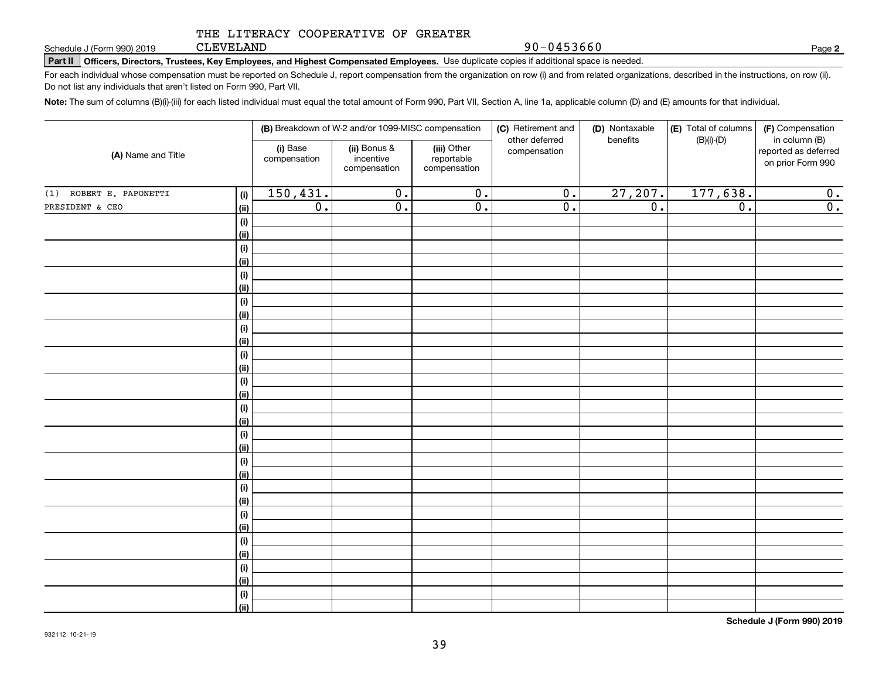CLEVELAND

90-0453660

**2**

**Part II Officers, Directors, Trustees, Key Employees, and Highest Compensated Employees.**  Schedule J (Form 990) 2019 Page Use duplicate copies if additional space is needed.

For each individual whose compensation must be reported on Schedule J, report compensation from the organization on row (i) and from related organizations, described in the instructions, on row (ii). Do not list any individuals that aren't listed on Form 990, Part VII.

**Note:**  The sum of columns (B)(i)-(iii) for each listed individual must equal the total amount of Form 990, Part VII, Section A, line 1a, applicable column (D) and (E) amounts for that individual.

| (A) Name and Title      |                              |                          | (B) Breakdown of W-2 and/or 1099-MISC compensation |                                           | (C) Retirement and<br>(D) Nontaxable<br>other deferred<br>benefits |                  | (E) Total of columns<br>$(B)(i)-(D)$ | (F) Compensation<br>in column (B)         |
|-------------------------|------------------------------|--------------------------|----------------------------------------------------|-------------------------------------------|--------------------------------------------------------------------|------------------|--------------------------------------|-------------------------------------------|
|                         |                              | (i) Base<br>compensation | (ii) Bonus &<br>incentive<br>compensation          | (iii) Other<br>reportable<br>compensation | compensation                                                       |                  |                                      | reported as deferred<br>on prior Form 990 |
| (1) ROBERT E. PAPONETTI | (i)                          | 150,431.                 | $\overline{0}$ .                                   | $\overline{0}$ .                          | $\overline{0}$ .                                                   | 27,207.          | 177,638.                             | 0.                                        |
| PRESIDENT & CEO         | <u>(ii)</u>                  | $\overline{0}$ .         | $\overline{0}$ .                                   | $\overline{0}$ .                          | $\overline{0}$ .                                                   | $\overline{0}$ . | $\overline{0}$ .                     | 0.                                        |
|                         | $\qquad \qquad \textbf{(i)}$ |                          |                                                    |                                           |                                                                    |                  |                                      |                                           |
|                         | <u>(ii)</u>                  |                          |                                                    |                                           |                                                                    |                  |                                      |                                           |
|                         | (i)                          |                          |                                                    |                                           |                                                                    |                  |                                      |                                           |
|                         | <u>(ii)</u>                  |                          |                                                    |                                           |                                                                    |                  |                                      |                                           |
|                         | (i)                          |                          |                                                    |                                           |                                                                    |                  |                                      |                                           |
|                         | <u>(ii)</u>                  |                          |                                                    |                                           |                                                                    |                  |                                      |                                           |
|                         | (i)                          |                          |                                                    |                                           |                                                                    |                  |                                      |                                           |
|                         | <u>(ii)</u>                  |                          |                                                    |                                           |                                                                    |                  |                                      |                                           |
|                         | (i)<br><u>(ii)</u>           |                          |                                                    |                                           |                                                                    |                  |                                      |                                           |
|                         | (i)                          |                          |                                                    |                                           |                                                                    |                  |                                      |                                           |
|                         | <u>(ii)</u>                  |                          |                                                    |                                           |                                                                    |                  |                                      |                                           |
|                         | (i)                          |                          |                                                    |                                           |                                                                    |                  |                                      |                                           |
|                         | <u>(ii)</u>                  |                          |                                                    |                                           |                                                                    |                  |                                      |                                           |
|                         | (i)                          |                          |                                                    |                                           |                                                                    |                  |                                      |                                           |
|                         | <u>(ii)</u>                  |                          |                                                    |                                           |                                                                    |                  |                                      |                                           |
|                         | (i)                          |                          |                                                    |                                           |                                                                    |                  |                                      |                                           |
|                         | <u>(ii)</u>                  |                          |                                                    |                                           |                                                                    |                  |                                      |                                           |
|                         | (i)                          |                          |                                                    |                                           |                                                                    |                  |                                      |                                           |
|                         | <u>(ii)</u>                  |                          |                                                    |                                           |                                                                    |                  |                                      |                                           |
|                         | (i)                          |                          |                                                    |                                           |                                                                    |                  |                                      |                                           |
|                         | <u>(ii)</u>                  |                          |                                                    |                                           |                                                                    |                  |                                      |                                           |
|                         | (i)                          |                          |                                                    |                                           |                                                                    |                  |                                      |                                           |
|                         | <u>(ii)</u>                  |                          |                                                    |                                           |                                                                    |                  |                                      |                                           |
|                         | (i)<br><u>(ii)</u>           |                          |                                                    |                                           |                                                                    |                  |                                      |                                           |
|                         | (i)                          |                          |                                                    |                                           |                                                                    |                  |                                      |                                           |
|                         | <u>(ii)</u>                  |                          |                                                    |                                           |                                                                    |                  |                                      |                                           |
|                         | (i)                          |                          |                                                    |                                           |                                                                    |                  |                                      |                                           |
|                         | $\overline{}}$               |                          |                                                    |                                           |                                                                    |                  |                                      |                                           |
|                         |                              |                          |                                                    |                                           |                                                                    |                  |                                      |                                           |

**Schedule J (Form 990) 2019**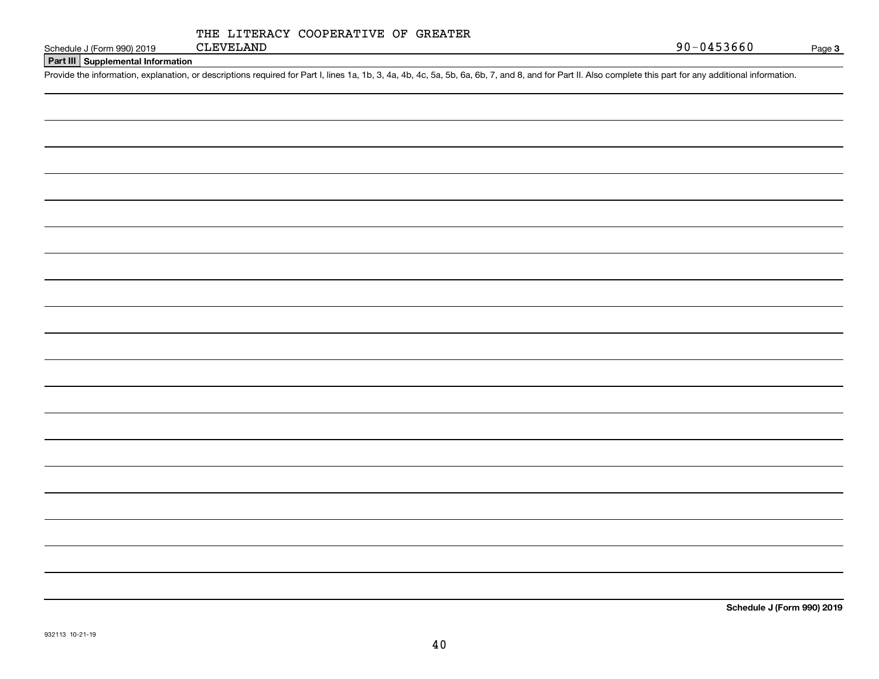| $\sim$ | . |  |
|--------|---|--|
|        |   |  |

Page 3

**Part III Supplemental Information**

Schedule J (Form 990) 2019 CLEVELAND<br>Part III Supplemental Information<br>Provide the information, explanation, or descriptions required for Part I, lines 1a, 1b, 3, 4a, 4b, 4c, 5a, 5b, 6a, 6b, 7, and 8, and for Part II. Als

**Schedule J (Form 990) 2019**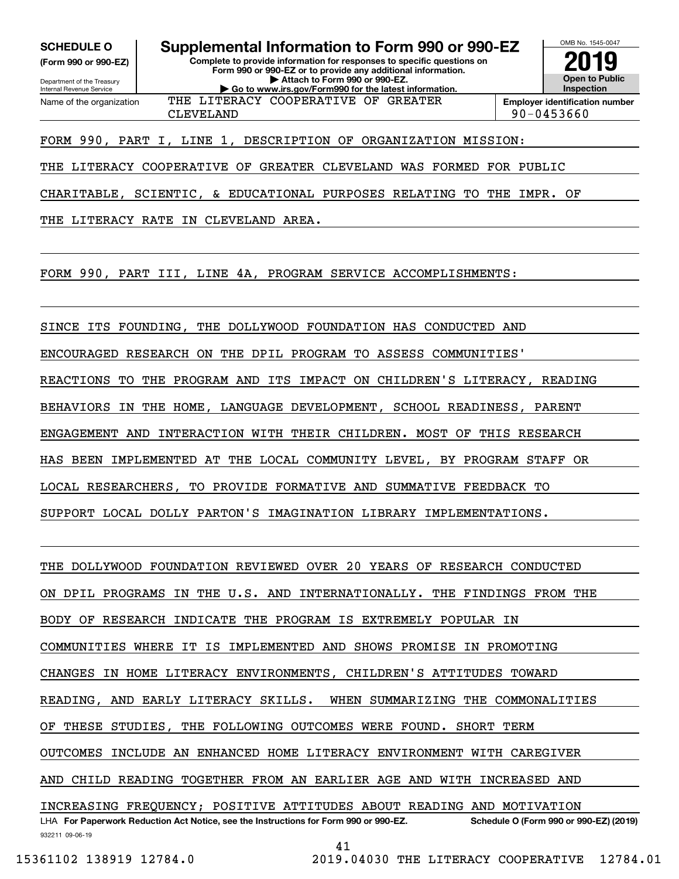**(Form 990 or 990-EZ)**

Department of the Treasury Internal Revenue Service Name of the organization

**SCHEDULE O Supplemental Information to Form 990 or 990-EZ**

**Complete to provide information for responses to specific questions on Form 990 or 990-EZ or to provide any additional information. | Attach to Form 990 or 990-EZ. | Go to www.irs.gov/Form990 for the latest information.**



CLEVELAND 90-0453660

## FORM 990, PART I, LINE 1, DESCRIPTION OF ORGANIZATION MISSION:

THE LITERACY COOPERATIVE OF GREATER CLEVELAND WAS FORMED FOR PUBLIC

THE LITERACY COOPERATIVE OF GREATER

CHARITABLE, SCIENTIC, & EDUCATIONAL PURPOSES RELATING TO THE IMPR. OF

THE LITERACY RATE IN CLEVELAND AREA.

FORM 990, PART III, LINE 4A, PROGRAM SERVICE ACCOMPLISHMENTS:

SINCE ITS FOUNDING, THE DOLLYWOOD FOUNDATION HAS CONDUCTED AND

ENCOURAGED RESEARCH ON THE DPIL PROGRAM TO ASSESS COMMUNITIES'

REACTIONS TO THE PROGRAM AND ITS IMPACT ON CHILDREN'S LITERACY, READING

BEHAVIORS IN THE HOME, LANGUAGE DEVELOPMENT, SCHOOL READINESS, PARENT

ENGAGEMENT AND INTERACTION WITH THEIR CHILDREN. MOST OF THIS RESEARCH

HAS BEEN IMPLEMENTED AT THE LOCAL COMMUNITY LEVEL, BY PROGRAM STAFF OR

LOCAL RESEARCHERS, TO PROVIDE FORMATIVE AND SUMMATIVE FEEDBACK TO

SUPPORT LOCAL DOLLY PARTON'S IMAGINATION LIBRARY IMPLEMENTATIONS.

THE DOLLYWOOD FOUNDATION REVIEWED OVER 20 YEARS OF RESEARCH CONDUCTED

ON DPIL PROGRAMS IN THE U.S. AND INTERNATIONALLY. THE FINDINGS FROM THE

BODY OF RESEARCH INDICATE THE PROGRAM IS EXTREMELY POPULAR IN

COMMUNITIES WHERE IT IS IMPLEMENTED AND SHOWS PROMISE IN PROMOTING

CHANGES IN HOME LITERACY ENVIRONMENTS, CHILDREN'S ATTITUDES TOWARD

READING, AND EARLY LITERACY SKILLS. WHEN SUMMARIZING THE COMMONALITIES

OF THESE STUDIES, THE FOLLOWING OUTCOMES WERE FOUND. SHORT TERM

OUTCOMES INCLUDE AN ENHANCED HOME LITERACY ENVIRONMENT WITH CAREGIVER

AND CHILD READING TOGETHER FROM AN EARLIER AGE AND WITH INCREASED AND

932211 09-06-19 LHA For Paperwork Reduction Act Notice, see the Instructions for Form 990 or 990-EZ. Schedule O (Form 990 or 990-EZ) (2019) INCREASING FREQUENCY; POSITIVE ATTITUDES ABOUT READING AND MOTIVATION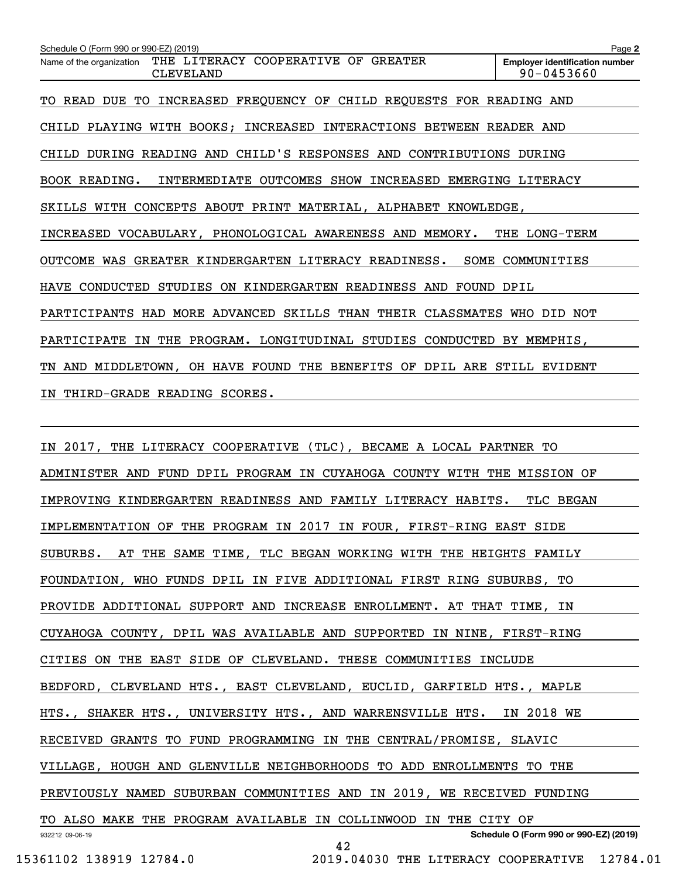| Schedule O (Form 990 or 990-EZ) (2019)                                              | Page 2                                              |
|-------------------------------------------------------------------------------------|-----------------------------------------------------|
| THE LITERACY COOPERATIVE OF GREATER<br>Name of the organization<br><b>CLEVELAND</b> | <b>Employer identification number</b><br>90-0453660 |
| INCREASED FREQUENCY OF CHILD REQUESTS FOR READING AND<br>TO READ DUE TO             |                                                     |
| CHILD PLAYING WITH BOOKS; INCREASED INTERACTIONS BETWEEN READER AND                 |                                                     |
| CHILD DURING READING AND CHILD'S RESPONSES AND CONTRIBUTIONS DURING                 |                                                     |
| BOOK READING.<br>INTERMEDIATE OUTCOMES SHOW INCREASED EMERGING LITERACY             |                                                     |
| SKILLS WITH CONCEPTS ABOUT PRINT MATERIAL, ALPHABET KNOWLEDGE,                      |                                                     |
| INCREASED VOCABULARY, PHONOLOGICAL AWARENESS AND MEMORY. THE LONG-TERM              |                                                     |
| GREATER KINDERGARTEN LITERACY READINESS.<br>SOME<br><b>OUTCOME</b><br>WAS           | COMMUNITIES                                         |
| STUDIES ON KINDERGARTEN READINESS AND FOUND DPIL<br>CONDUCTED<br><b>HAVE</b>        |                                                     |
| PARTICIPANTS HAD MORE ADVANCED SKILLS THAN THEIR CLASSMATES                         | WHO DID NOT                                         |
| THE PROGRAM. LONGITUDINAL STUDIES CONDUCTED BY MEMPHIS,<br>PARTICIPATE<br>IN        |                                                     |
| TN AND MIDDLETOWN, OH HAVE FOUND THE BENEFITS OF                                    | DPIL ARE STILL EVIDENT                              |
| THIRD-GRADE READING SCORES.<br>IN                                                   |                                                     |

| IN 2017, THE LITERACY COOPERATIVE (TLC), BECAME A LOCAL PARTNER TO      |
|-------------------------------------------------------------------------|
| ADMINISTER AND FUND DPIL PROGRAM IN CUYAHOGA COUNTY WITH THE MISSION OF |
| IMPROVING KINDERGARTEN READINESS AND FAMILY LITERACY HABITS. TLC BEGAN  |
| IMPLEMENTATION OF THE PROGRAM IN 2017 IN FOUR, FIRST-RING EAST SIDE     |
| SUBURBS. AT THE SAME TIME, TLC BEGAN WORKING WITH THE HEIGHTS FAMILY    |
| FOUNDATION, WHO FUNDS DPIL IN FIVE ADDITIONAL FIRST RING SUBURBS, TO    |
| PROVIDE ADDITIONAL SUPPORT AND INCREASE ENROLLMENT. AT THAT TIME, IN    |
| CUYAHOGA COUNTY, DPIL WAS AVAILABLE AND SUPPORTED IN NINE, FIRST-RING   |
| CITIES ON THE EAST SIDE OF CLEVELAND. THESE COMMUNITIES INCLUDE         |
| BEDFORD, CLEVELAND HTS., EAST CLEVELAND, EUCLID, GARFIELD HTS., MAPLE   |
| HTS., SHAKER HTS., UNIVERSITY HTS., AND WARRENSVILLE HTS. IN 2018 WE    |
| RECEIVED GRANTS TO FUND PROGRAMMING IN THE CENTRAL/PROMISE, SLAVIC      |
| VILLAGE, HOUGH AND GLENVILLE NEIGHBORHOODS TO ADD ENROLLMENTS TO THE    |
| PREVIOUSLY NAMED SUBURBAN COMMUNITIES AND IN 2019, WE RECEIVED FUNDING  |
| TO ALSO MAKE THE PROGRAM AVAILABLE IN COLLINWOOD IN THE CITY OF         |
| Schedule O (Form 990 or 990-EZ) (2019)<br>932212 09-06-19<br>42         |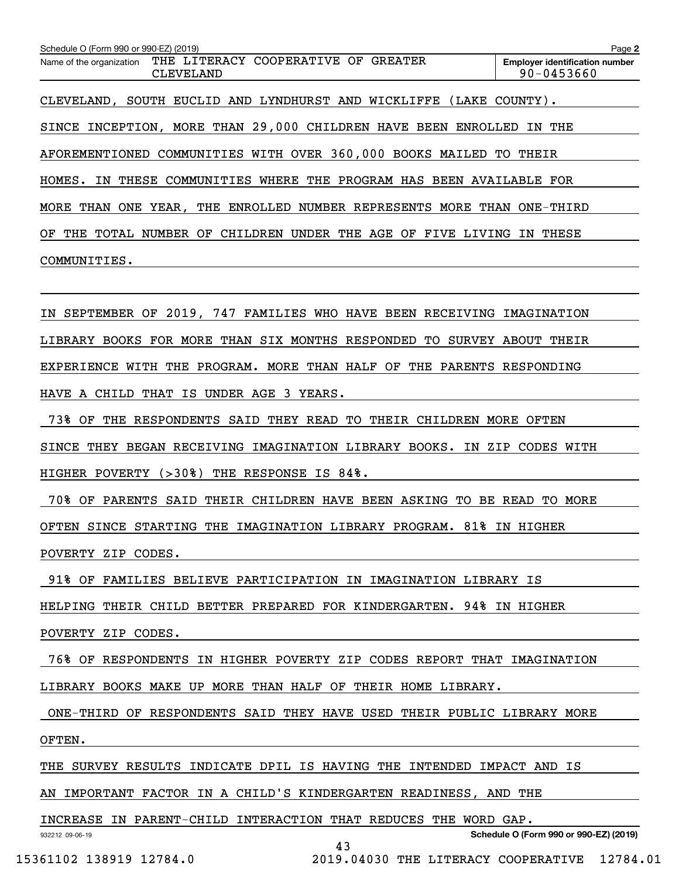| Schedule O (Form 990 or 990-EZ) (2019)                                                              | Page 2                                                  |
|-----------------------------------------------------------------------------------------------------|---------------------------------------------------------|
| THE LITERACY<br>COOPERATIVE<br><b>GREATER</b><br>OF<br>Name of the organization<br><b>CLEVELAND</b> | <b>Employer identification number</b><br>$90 - 0453660$ |
| SOUTH EUCLID AND LYNDHURST AND WICKLIFFE<br>CLEVELAND,                                              | (LAKE COUNTY).                                          |
| SINCE INCEPTION, MORE THAN 29,000 CHILDREN HAVE BEEN<br>ENROLLED                                    | IN THE                                                  |
| AFOREMENTIONED COMMUNITIES WITH OVER 360,000 BOOKS MAILED TO THEIR                                  |                                                         |
| THESE COMMUNITIES WHERE THE PROGRAM HAS BEEN AVAILABLE FOR<br>HOMES.<br>IN.                         |                                                         |
| MORE<br>THAN ONE YEAR, THE ENROLLED NUMBER REPRESENTS<br>MORE                                       | THAN<br>ONE-THIRD                                       |
| OF<br>THE<br>TOTAL<br>NUMBER OF<br>CHILDREN<br>UNDER THE<br>AGE<br>OF<br>FIVE<br>LIVING             | THESE<br>IN.                                            |
| COMMUNITIES.                                                                                        |                                                         |
|                                                                                                     |                                                         |

IN SEPTEMBER OF 2019, 747 FAMILIES WHO HAVE BEEN RECEIVING IMAGINATION LIBRARY BOOKS FOR MORE THAN SIX MONTHS RESPONDED TO SURVEY ABOUT THEIR EXPERIENCE WITH THE PROGRAM. MORE THAN HALF OF THE PARENTS RESPONDING

HAVE A CHILD THAT IS UNDER AGE 3 YEARS.

73% OF THE RESPONDENTS SAID THEY READ TO THEIR CHILDREN MORE OFTEN

SINCE THEY BEGAN RECEIVING IMAGINATION LIBRARY BOOKS. IN ZIP CODES WITH

HIGHER POVERTY (>30%) THE RESPONSE IS 84%.

 70% OF PARENTS SAID THEIR CHILDREN HAVE BEEN ASKING TO BE READ TO MORE OFTEN SINCE STARTING THE IMAGINATION LIBRARY PROGRAM. 81% IN HIGHER POVERTY ZIP CODES.

91% OF FAMILIES BELIEVE PARTICIPATION IN IMAGINATION LIBRARY IS

HELPING THEIR CHILD BETTER PREPARED FOR KINDERGARTEN. 94% IN HIGHER

POVERTY ZIP CODES.

76% OF RESPONDENTS IN HIGHER POVERTY ZIP CODES REPORT THAT IMAGINATION

LIBRARY BOOKS MAKE UP MORE THAN HALF OF THEIR HOME LIBRARY.

 ONE-THIRD OF RESPONDENTS SAID THEY HAVE USED THEIR PUBLIC LIBRARY MORE OFTEN.

43

THE SURVEY RESULTS INDICATE DPIL IS HAVING THE INTENDED IMPACT AND IS

AN IMPORTANT FACTOR IN A CHILD'S KINDERGARTEN READINESS, AND THE

INCREASE IN PARENT-CHILD INTERACTION THAT REDUCES THE WORD GAP.

932212 09-06-19

**Schedule O (Form 990 or 990-EZ) (2019)**

15361102 138919 12784.0 2019.04030 THE LITERACY COOPERATIVE 12784.01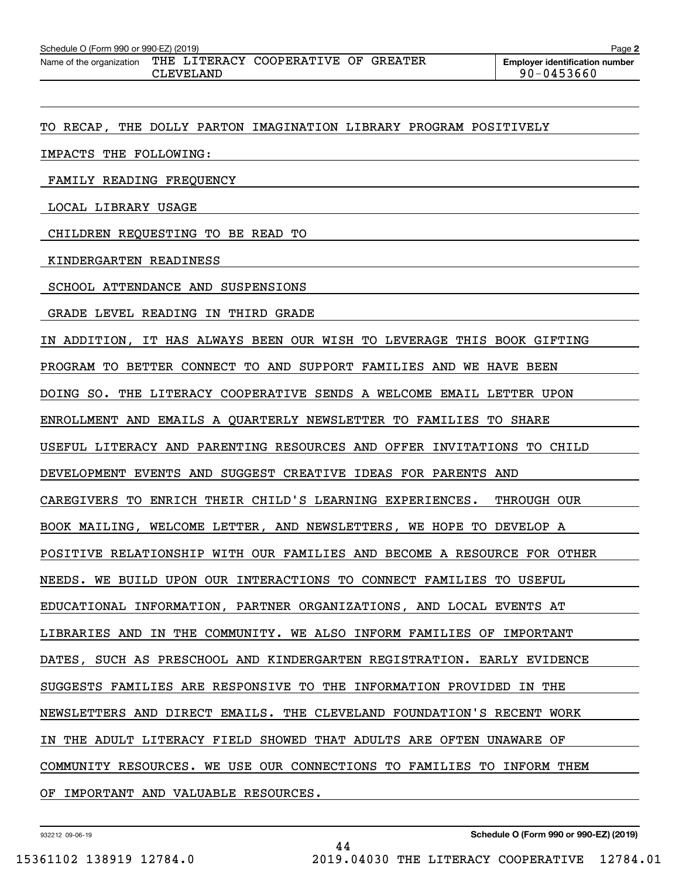| Schedule O (Form 990 or 990-EZ) (2019)<br>Page 2 |                  |                                 |  |  |                                                         |  |  |  |  |
|--------------------------------------------------|------------------|---------------------------------|--|--|---------------------------------------------------------|--|--|--|--|
| Name of the organization                         | THE<br>CLEVELAND | LITERACY COOPERATIVE OF GREATER |  |  | <b>Employer identification number</b><br>$90 - 0453660$ |  |  |  |  |

TO RECAP, THE DOLLY PARTON IMAGINATION LIBRARY PROGRAM POSITIVELY

IMPACTS THE FOLLOWING:

FAMILY READING FREQUENCY

LOCAL LIBRARY USAGE

CHILDREN REQUESTING TO BE READ TO

KINDERGARTEN READINESS

SCHOOL ATTENDANCE AND SUSPENSIONS

GRADE LEVEL READING IN THIRD GRADE

IN ADDITION, IT HAS ALWAYS BEEN OUR WISH TO LEVERAGE THIS BOOK GIFTING

PROGRAM TO BETTER CONNECT TO AND SUPPORT FAMILIES AND WE HAVE BEEN

DOING SO. THE LITERACY COOPERATIVE SENDS A WELCOME EMAIL LETTER UPON

ENROLLMENT AND EMAILS A QUARTERLY NEWSLETTER TO FAMILIES TO SHARE

USEFUL LITERACY AND PARENTING RESOURCES AND OFFER INVITATIONS TO CHILD

DEVELOPMENT EVENTS AND SUGGEST CREATIVE IDEAS FOR PARENTS AND

CAREGIVERS TO ENRICH THEIR CHILD'S LEARNING EXPERIENCES. THROUGH OUR

BOOK MAILING, WELCOME LETTER, AND NEWSLETTERS, WE HOPE TO DEVELOP A

POSITIVE RELATIONSHIP WITH OUR FAMILIES AND BECOME A RESOURCE FOR OTHER

NEEDS. WE BUILD UPON OUR INTERACTIONS TO CONNECT FAMILIES TO USEFUL

EDUCATIONAL INFORMATION, PARTNER ORGANIZATIONS, AND LOCAL EVENTS AT

LIBRARIES AND IN THE COMMUNITY. WE ALSO INFORM FAMILIES OF IMPORTANT

DATES, SUCH AS PRESCHOOL AND KINDERGARTEN REGISTRATION. EARLY EVIDENCE

SUGGESTS FAMILIES ARE RESPONSIVE TO THE INFORMATION PROVIDED IN THE

NEWSLETTERS AND DIRECT EMAILS. THE CLEVELAND FOUNDATION'S RECENT WORK

IN THE ADULT LITERACY FIELD SHOWED THAT ADULTS ARE OFTEN UNAWARE OF

COMMUNITY RESOURCES. WE USE OUR CONNECTIONS TO FAMILIES TO INFORM THEM

44

OF IMPORTANT AND VALUABLE RESOURCES.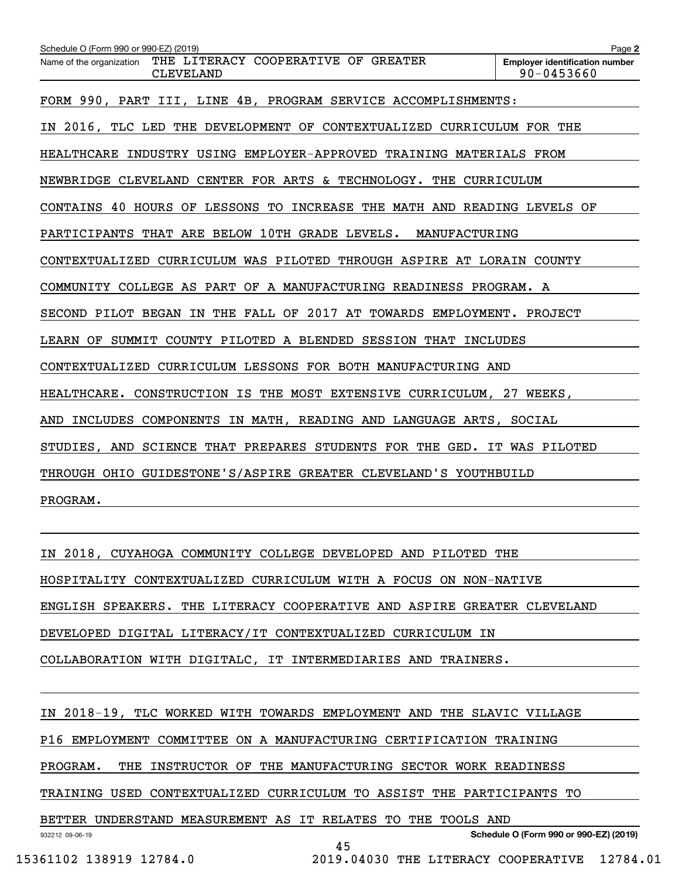| Schedule O (Form 990 or 990-EZ) (2019)                                              | Page 2                                              |  |  |  |  |
|-------------------------------------------------------------------------------------|-----------------------------------------------------|--|--|--|--|
| THE LITERACY COOPERATIVE OF GREATER<br>Name of the organization<br><b>CLEVELAND</b> | <b>Emplover identification number</b><br>90-0453660 |  |  |  |  |
| FORM 990, PART III, LINE 4B, PROGRAM SERVICE ACCOMPLISHMENTS:                       |                                                     |  |  |  |  |
| IN 2016, TLC LED THE DEVELOPMENT OF CONTEXTUALIZED CURRICULUM FOR THE               |                                                     |  |  |  |  |
| HEALTHCARE INDUSTRY USING EMPLOYER-APPROVED TRAINING MATERIALS FROM                 |                                                     |  |  |  |  |
| NEWBRIDGE CLEVELAND CENTER FOR ARTS & TECHNOLOGY. THE CURRICULUM                    |                                                     |  |  |  |  |
| CONTAINS 40 HOURS OF LESSONS TO INCREASE THE MATH AND READING LEVELS OF             |                                                     |  |  |  |  |
| PARTICIPANTS THAT ARE BELOW 10TH GRADE LEVELS. MANUFACTURING                        |                                                     |  |  |  |  |
| CONTEXTUALIZED CURRICULUM WAS PILOTED THROUGH ASPIRE AT LORAIN COUNTY               |                                                     |  |  |  |  |
| COMMUNITY COLLEGE AS PART OF A MANUFACTURING READINESS PROGRAM. A                   |                                                     |  |  |  |  |
| SECOND PILOT BEGAN IN THE FALL OF 2017 AT TOWARDS EMPLOYMENT. PROJECT               |                                                     |  |  |  |  |
| LEARN OF SUMMIT COUNTY PILOTED A BLENDED SESSION THAT INCLUDES                      |                                                     |  |  |  |  |
| CONTEXTUALIZED CURRICULUM LESSONS FOR BOTH MANUFACTURING AND                        |                                                     |  |  |  |  |
| HEALTHCARE. CONSTRUCTION IS THE MOST EXTENSIVE CURRICULUM, 27 WEEKS,                |                                                     |  |  |  |  |
| INCLUDES COMPONENTS IN MATH, READING AND LANGUAGE ARTS, SOCIAL<br>AND               |                                                     |  |  |  |  |
| STUDIES, AND SCIENCE THAT PREPARES STUDENTS FOR THE GED. IT WAS PILOTED             |                                                     |  |  |  |  |
| THROUGH OHIO GUIDESTONE'S/ASPIRE GREATER CLEVELAND'S YOUTHBUILD                     |                                                     |  |  |  |  |
| PROGRAM.                                                                            |                                                     |  |  |  |  |
|                                                                                     |                                                     |  |  |  |  |

IN 2018, CUYAHOGA COMMUNITY COLLEGE DEVELOPED AND PILOTED THE HOSPITALITY CONTEXTUALIZED CURRICULUM WITH A FOCUS ON NON-NATIVE ENGLISH SPEAKERS. THE LITERACY COOPERATIVE AND ASPIRE GREATER CLEVELAND DEVELOPED DIGITAL LITERACY/IT CONTEXTUALIZED CURRICULUM IN COLLABORATION WITH DIGITALC, IT INTERMEDIARIES AND TRAINERS.

IN 2018-19, TLC WORKED WITH TOWARDS EMPLOYMENT AND THE SLAVIC VILLAGE

P16 EMPLOYMENT COMMITTEE ON A MANUFACTURING CERTIFICATION TRAINING

PROGRAM. THE INSTRUCTOR OF THE MANUFACTURING SECTOR WORK READINESS

TRAINING USED CONTEXTUALIZED CURRICULUM TO ASSIST THE PARTICIPANTS TO

BETTER UNDERSTAND MEASUREMENT AS IT RELATES TO THE TOOLS AND

932212 09-06-19

**Schedule O (Form 990 or 990-EZ) (2019)**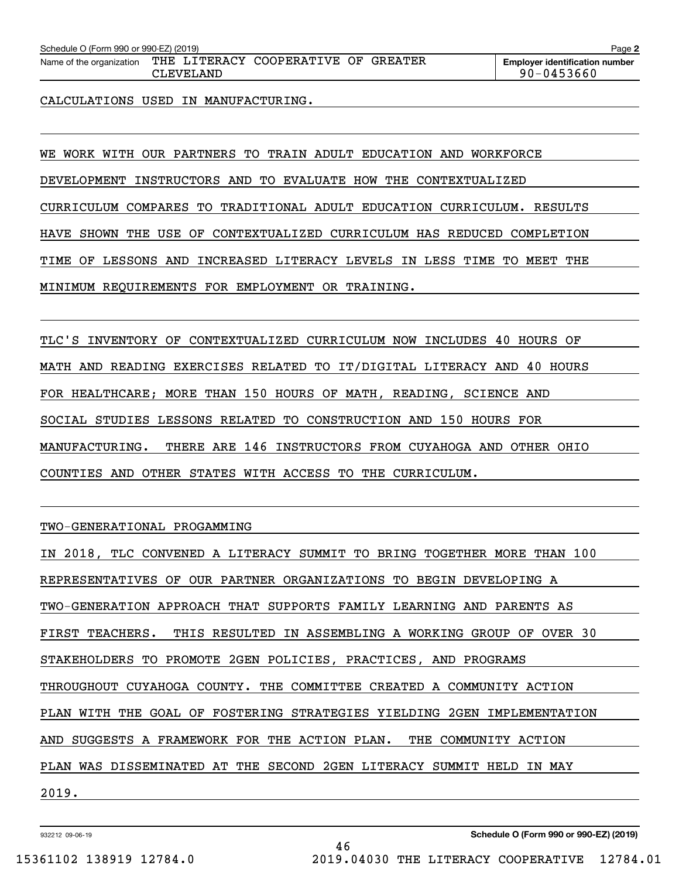| Schedule O (Form 990 or 990-EZ) (2019)<br>Page $\geq$        |           |  |  |  |                                       |  |  |  |
|--------------------------------------------------------------|-----------|--|--|--|---------------------------------------|--|--|--|
| Name of the organization THE LITERACY COOPERATIVE OF GREATER |           |  |  |  | <b>Emplover identification number</b> |  |  |  |
|                                                              | CLEVELAND |  |  |  | $90 - 0453660$                        |  |  |  |

CALCULATIONS USED IN MANUFACTURING.

WE WORK WITH OUR PARTNERS TO TRAIN ADULT EDUCATION AND WORKFORCE

DEVELOPMENT INSTRUCTORS AND TO EVALUATE HOW THE CONTEXTUALIZED

CURRICULUM COMPARES TO TRADITIONAL ADULT EDUCATION CURRICULUM. RESULTS

HAVE SHOWN THE USE OF CONTEXTUALIZED CURRICULUM HAS REDUCED COMPLETION

TIME OF LESSONS AND INCREASED LITERACY LEVELS IN LESS TIME TO MEET THE

MINIMUM REQUIREMENTS FOR EMPLOYMENT OR TRAINING.

TLC'S INVENTORY OF CONTEXTUALIZED CURRICULUM NOW INCLUDES 40 HOURS OF MATH AND READING EXERCISES RELATED TO IT/DIGITAL LITERACY AND 40 HOURS FOR HEALTHCARE; MORE THAN 150 HOURS OF MATH, READING, SCIENCE AND SOCIAL STUDIES LESSONS RELATED TO CONSTRUCTION AND 150 HOURS FOR MANUFACTURING. THERE ARE 146 INSTRUCTORS FROM CUYAHOGA AND OTHER OHIO COUNTIES AND OTHER STATES WITH ACCESS TO THE CURRICULUM.

### TWO-GENERATIONAL PROGAMMING

IN 2018, TLC CONVENED A LITERACY SUMMIT TO BRING TOGETHER MORE THAN 100 REPRESENTATIVES OF OUR PARTNER ORGANIZATIONS TO BEGIN DEVELOPING A TWO-GENERATION APPROACH THAT SUPPORTS FAMILY LEARNING AND PARENTS AS FIRST TEACHERS. THIS RESULTED IN ASSEMBLING A WORKING GROUP OF OVER 30 STAKEHOLDERS TO PROMOTE 2GEN POLICIES, PRACTICES, AND PROGRAMS THROUGHOUT CUYAHOGA COUNTY. THE COMMITTEE CREATED A COMMUNITY ACTION PLAN WITH THE GOAL OF FOSTERING STRATEGIES YIELDING 2GEN IMPLEMENTATION AND SUGGESTS A FRAMEWORK FOR THE ACTION PLAN. THE COMMUNITY ACTION PLAN WAS DISSEMINATED AT THE SECOND 2GEN LITERACY SUMMIT HELD IN MAY 2019.

46

932212 09-06-19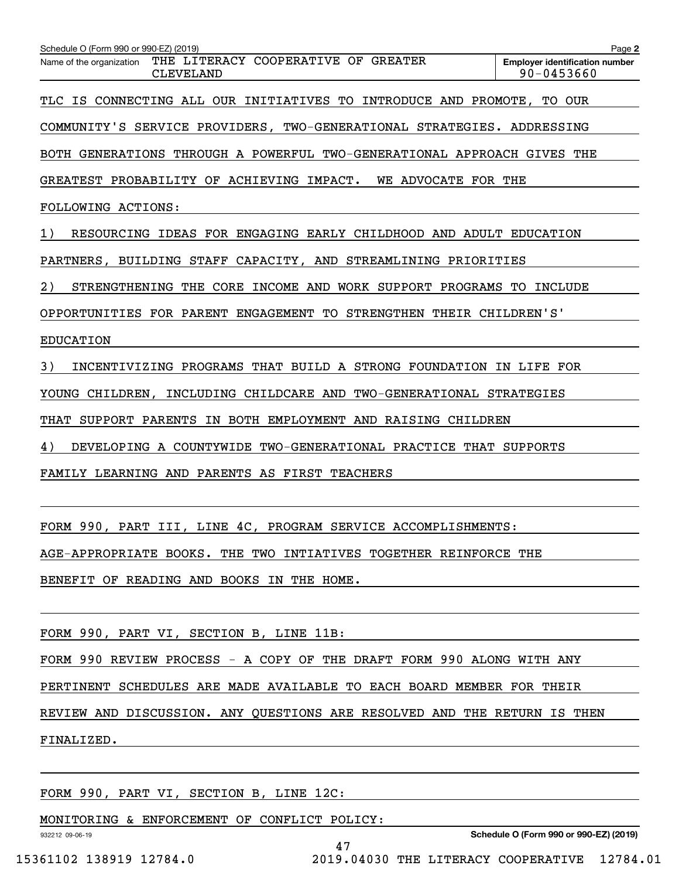| Schedule O (Form 990 or 990-EZ) (2019)<br>THE LITERACY COOPERATIVE OF GREATER<br>Name of the organization | Page 2<br><b>Employer identification number</b> |
|-----------------------------------------------------------------------------------------------------------|-------------------------------------------------|
| <b>CLEVELAND</b>                                                                                          | $90 - 0453660$                                  |
| TLC IS CONNECTING ALL OUR INITIATIVES TO<br>INTRODUCE AND PROMOTE, TO OUR                                 |                                                 |
| COMMUNITY'S SERVICE PROVIDERS, TWO-GENERATIONAL STRATEGIES. ADDRESSING                                    |                                                 |
| BOTH GENERATIONS THROUGH A POWERFUL TWO-GENERATIONAL APPROACH GIVES THE                                   |                                                 |
| GREATEST PROBABILITY OF ACHIEVING IMPACT.<br>WE ADVOCATE FOR THE                                          |                                                 |
| FOLLOWING ACTIONS:                                                                                        |                                                 |
| RESOURCING IDEAS FOR ENGAGING EARLY CHILDHOOD AND ADULT EDUCATION<br>1)                                   |                                                 |
| PARTNERS, BUILDING STAFF CAPACITY, AND STREAMLINING PRIORITIES                                            |                                                 |
| 2)<br>STRENGTHENING THE CORE<br>INCOME AND WORK SUPPORT PROGRAMS TO                                       | INCLUDE                                         |
| OPPORTUNITIES FOR PARENT ENGAGEMENT TO STRENGTHEN THEIR CHILDREN'S'                                       |                                                 |
| <b>EDUCATION</b>                                                                                          |                                                 |
| 3)<br>INCENTIVIZING PROGRAMS THAT BUILD A STRONG FOUNDATION IN LIFE FOR                                   |                                                 |
| YOUNG CHILDREN, INCLUDING CHILDCARE AND TWO-GENERATIONAL STRATEGIES                                       |                                                 |
| SUPPORT PARENTS IN BOTH EMPLOYMENT AND RAISING CHILDREN<br>THAT                                           |                                                 |
| 4)<br>DEVELOPING A COUNTYWIDE TWO-GENERATIONAL PRACTICE THAT SUPPORTS                                     |                                                 |
| FAMILY LEARNING AND PARENTS AS FIRST TEACHERS                                                             |                                                 |
|                                                                                                           |                                                 |
| FORM 990,<br>PART III,<br>LINE 4C,<br>PROGRAM SERVICE ACCOMPLISHMENTS:                                    |                                                 |
| AGE-APPROPRIATE BOOKS. THE TWO INTIATIVES TOGETHER REINFORCE THE                                          |                                                 |
| BENEFIT OF READING AND BOOKS IN THE HOME.                                                                 |                                                 |
|                                                                                                           |                                                 |
| FORM 990, PART VI, SECTION B, LINE 11B:                                                                   |                                                 |

FORM 990 REVIEW PROCESS - A COPY OF THE DRAFT FORM 990 ALONG WITH ANY

PERTINENT SCHEDULES ARE MADE AVAILABLE TO EACH BOARD MEMBER FOR THEIR

REVIEW AND DISCUSSION. ANY QUESTIONS ARE RESOLVED AND THE RETURN IS THEN FINALIZED.

47

FORM 990, PART VI, SECTION B, LINE 12C:

MONITORING & ENFORCEMENT OF CONFLICT POLICY:

**Schedule O (Form 990 or 990-EZ) (2019)**

932212 09-06-19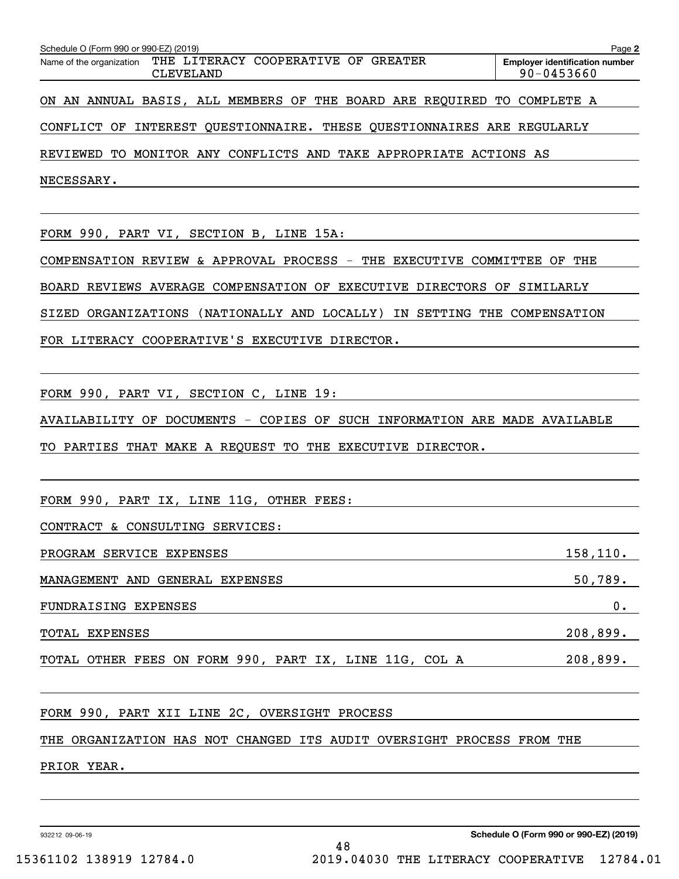| Schedule O (Form 990 or 990-EZ) (2019)                                    | Page 2                                                  |
|---------------------------------------------------------------------------|---------------------------------------------------------|
| Name of the organization THE LITERACY COOPERATIVE OF GREATER<br>CLEVELAND | <b>Employer identification number</b><br>$90 - 0453660$ |
| ON AN ANNUAL BASIS, ALL MEMBERS OF THE BOARD ARE REQUIRED TO COMPLETE A   |                                                         |
| CONFLICT OF INTEREST QUESTIONNAIRE. THESE QUESTIONNAIRES ARE REGULARLY    |                                                         |
| REVIEWED TO MONITOR ANY CONFLICTS AND TAKE APPROPRIATE ACTIONS AS         |                                                         |
| NECESSARY.                                                                |                                                         |
|                                                                           |                                                         |
| FORM 990, PART VI, SECTION B, LINE 15A:                                   |                                                         |
| COMPENSATION REVIEW & APPROVAL PROCESS - THE EXECUTIVE COMMITTEE OF THE   |                                                         |
| BOARD REVIEWS AVERAGE COMPENSATION OF EXECUTIVE DIRECTORS OF SIMILARLY    |                                                         |
| SIZED ORGANIZATIONS (NATIONALLY AND LOCALLY) IN SETTING THE COMPENSATION  |                                                         |
| FOR LITERACY COOPERATIVE'S EXECUTIVE DIRECTOR.                            |                                                         |
|                                                                           |                                                         |
| FORM 990, PART VI, SECTION C, LINE 19:                                    |                                                         |
| AVAILABILITY OF DOCUMENTS - COPIES OF SUCH INFORMATION ARE MADE AVAILABLE |                                                         |
| TO PARTIES THAT MAKE A REQUEST TO THE EXECUTIVE DIRECTOR.                 |                                                         |
|                                                                           |                                                         |
| FORM 990, PART IX, LINE 11G, OTHER FEES:                                  |                                                         |
| CONTRACT & CONSULTING SERVICES:                                           |                                                         |
| PROGRAM SERVICE EXPENSES                                                  | 158, 110.                                               |
| MANAGEMENT AND GENERAL EXPENSES                                           | $50,789$ .                                              |
| FUNDRAISING EXPENSES                                                      | 0.                                                      |
| TOTAL EXPENSES                                                            | 208,899.                                                |
| TOTAL OTHER FEES ON FORM 990, PART IX, LINE 11G, COL A                    | 208,899.                                                |
|                                                                           |                                                         |
| FORM 990, PART XII LINE 2C, OVERSIGHT PROCESS                             |                                                         |
| THE ORGANIZATION HAS NOT CHANGED ITS AUDIT OVERSIGHT PROCESS FROM THE     |                                                         |
| PRIOR YEAR.                                                               |                                                         |

932212 09-06-19